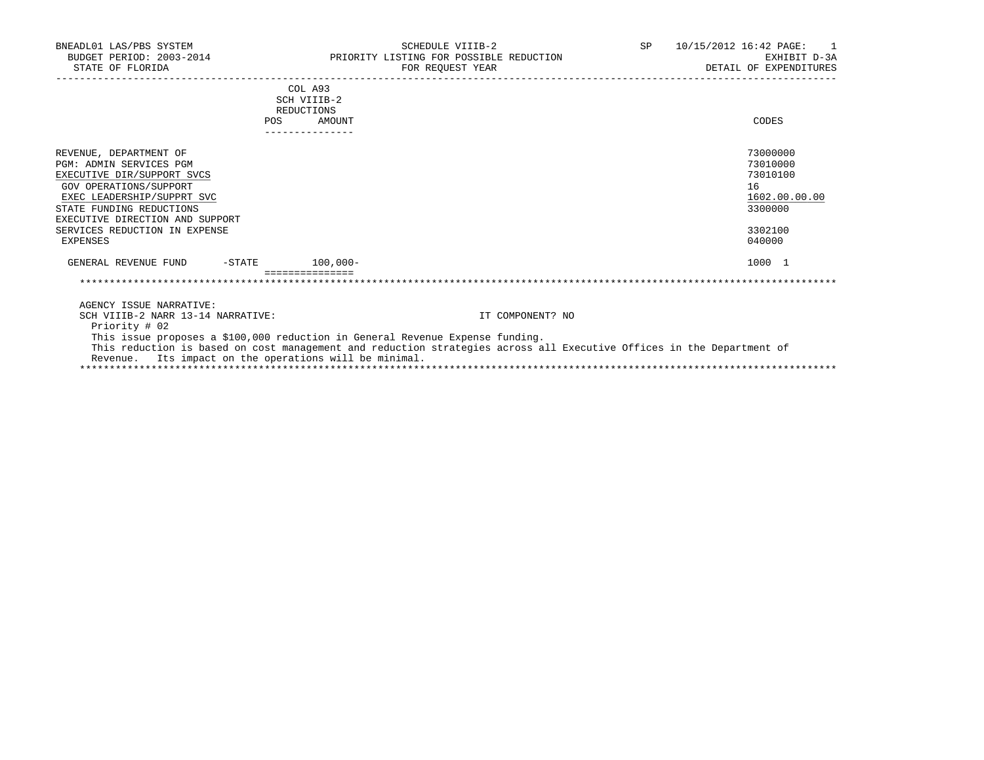| BNEADL01 LAS/PBS SYSTEM<br>BUDGET PERIOD: 2003-2014<br>STATE OF FLORIDA                                                                                                                                                                                           | SCHEDULE VIIIB-2<br>PRIORITY LISTING FOR POSSIBLE REDUCTION<br>FOR REOUEST YEAR                                                                                                                        | SP -             | 10/15/2012 16:42 PAGE:<br>EXHIBIT D-3A<br>DETAIL OF EXPENDITURES                        |
|-------------------------------------------------------------------------------------------------------------------------------------------------------------------------------------------------------------------------------------------------------------------|--------------------------------------------------------------------------------------------------------------------------------------------------------------------------------------------------------|------------------|-----------------------------------------------------------------------------------------|
| POS                                                                                                                                                                                                                                                               | COL A93<br>SCH VIIIB-2<br>REDUCTIONS<br>AMOUNT<br>---------------                                                                                                                                      |                  | CODES                                                                                   |
| REVENUE, DEPARTMENT OF<br><b>PGM: ADMIN SERVICES PGM</b><br>EXECUTIVE DIR/SUPPORT SVCS<br><b>GOV OPERATIONS/SUPPORT</b><br>EXEC LEADERSHIP/SUPPRT SVC<br>STATE FUNDING REDUCTIONS<br>EXECUTIVE DIRECTION AND SUPPORT<br>SERVICES REDUCTION IN EXPENSE<br>EXPENSES |                                                                                                                                                                                                        |                  | 73000000<br>73010000<br>73010100<br>16<br>1602.00.00.00<br>3300000<br>3302100<br>040000 |
| GENERAL REVENUE FUND                                                                                                                                                                                                                                              | $-$ STATE 100,000 -                                                                                                                                                                                    |                  | 1000 1                                                                                  |
|                                                                                                                                                                                                                                                                   |                                                                                                                                                                                                        |                  |                                                                                         |
| AGENCY ISSUE NARRATIVE:<br>SCH VIIIB-2 NARR 13-14 NARRATIVE:<br>Priority # 02<br>Revenue. Its impact on the operations will be minimal.                                                                                                                           | This issue proposes a \$100,000 reduction in General Revenue Expense funding.<br>This reduction is based on cost management and reduction strategies across all Executive Offices in the Department of | IT COMPONENT? NO |                                                                                         |
|                                                                                                                                                                                                                                                                   |                                                                                                                                                                                                        |                  |                                                                                         |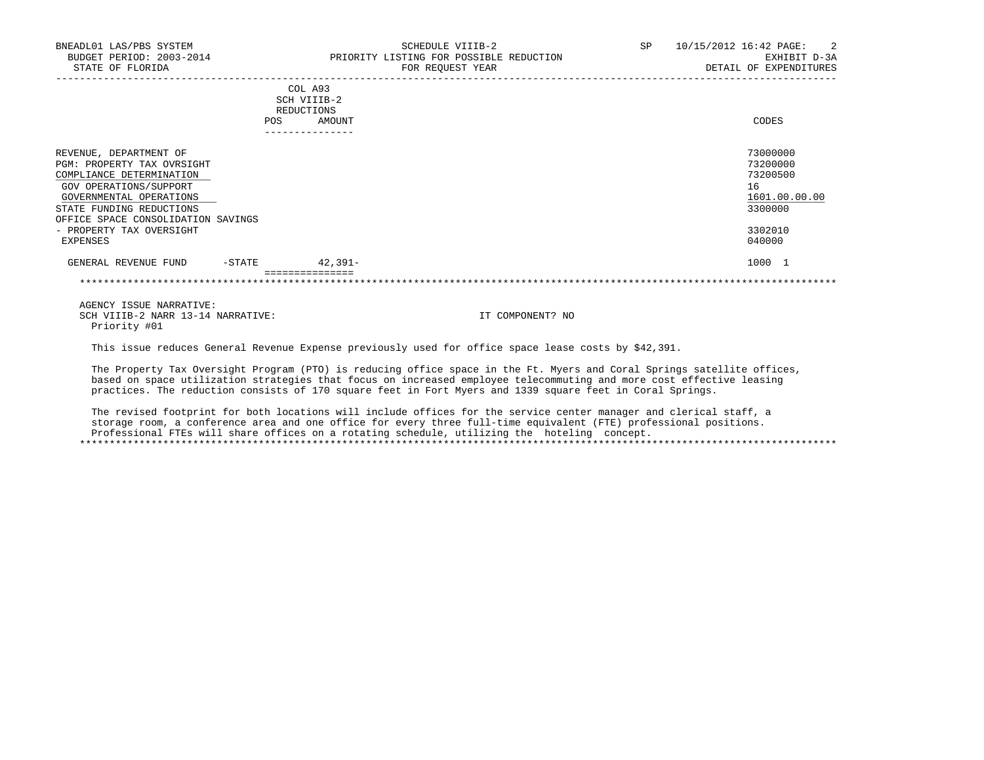| BNEADL01 LAS/PBS SYSTEM<br>BUDGET PERIOD: 2003-2014<br>STATE OF FLORIDA                                                                                                                                                                         |           |                                                        | SCHEDULE VIIIB-2<br>PRIORITY LISTING FOR POSSIBLE REDUCTION<br>FOR REQUEST YEAR | SP | 10/15/2012 16:42 PAGE:<br>$\overline{2}$<br>EXHIBIT D-3A<br>DETAIL OF EXPENDITURES      |
|-------------------------------------------------------------------------------------------------------------------------------------------------------------------------------------------------------------------------------------------------|-----------|--------------------------------------------------------|---------------------------------------------------------------------------------|----|-----------------------------------------------------------------------------------------|
|                                                                                                                                                                                                                                                 |           | COL A93<br>SCH VIIIB-2<br>REDUCTIONS<br>AMOUNT<br>POS. |                                                                                 |    | CODES                                                                                   |
| REVENUE, DEPARTMENT OF<br>PGM: PROPERTY TAX OVRSIGHT<br>COMPLIANCE DETERMINATION<br>GOV OPERATIONS/SUPPORT<br>GOVERNMENTAL OPERATIONS<br>STATE FUNDING REDUCTIONS<br>OFFICE SPACE CONSOLIDATION SAVINGS<br>- PROPERTY TAX OVERSIGHT<br>EXPENSES |           |                                                        |                                                                                 |    | 73000000<br>73200000<br>73200500<br>16<br>1601.00.00.00<br>3300000<br>3302010<br>040000 |
| GENERAL REVENUE FUND                                                                                                                                                                                                                            | $-$ STATE | 42,391-                                                |                                                                                 |    | 1000 1                                                                                  |
|                                                                                                                                                                                                                                                 |           |                                                        |                                                                                 |    |                                                                                         |

This issue reduces General Revenue Expense previously used for office space lease costs by \$42,391.

 The Property Tax Oversight Program (PTO) is reducing office space in the Ft. Myers and Coral Springs satellite offices, based on space utilization strategies that focus on increased employee telecommuting and more cost effective leasing practices. The reduction consists of 170 square feet in Fort Myers and 1339 square feet in Coral Springs.

 The revised footprint for both locations will include offices for the service center manager and clerical staff, a storage room, a conference area and one office for every three full-time equivalent (FTE) professional positions. Professional FTEs will share offices on a rotating schedule, utilizing the hoteling concept. \*\*\*\*\*\*\*\*\*\*\*\*\*\*\*\*\*\*\*\*\*\*\*\*\*\*\*\*\*\*\*\*\*\*\*\*\*\*\*\*\*\*\*\*\*\*\*\*\*\*\*\*\*\*\*\*\*\*\*\*\*\*\*\*\*\*\*\*\*\*\*\*\*\*\*\*\*\*\*\*\*\*\*\*\*\*\*\*\*\*\*\*\*\*\*\*\*\*\*\*\*\*\*\*\*\*\*\*\*\*\*\*\*\*\*\*\*\*\*\*\*\*\*\*\*\*\*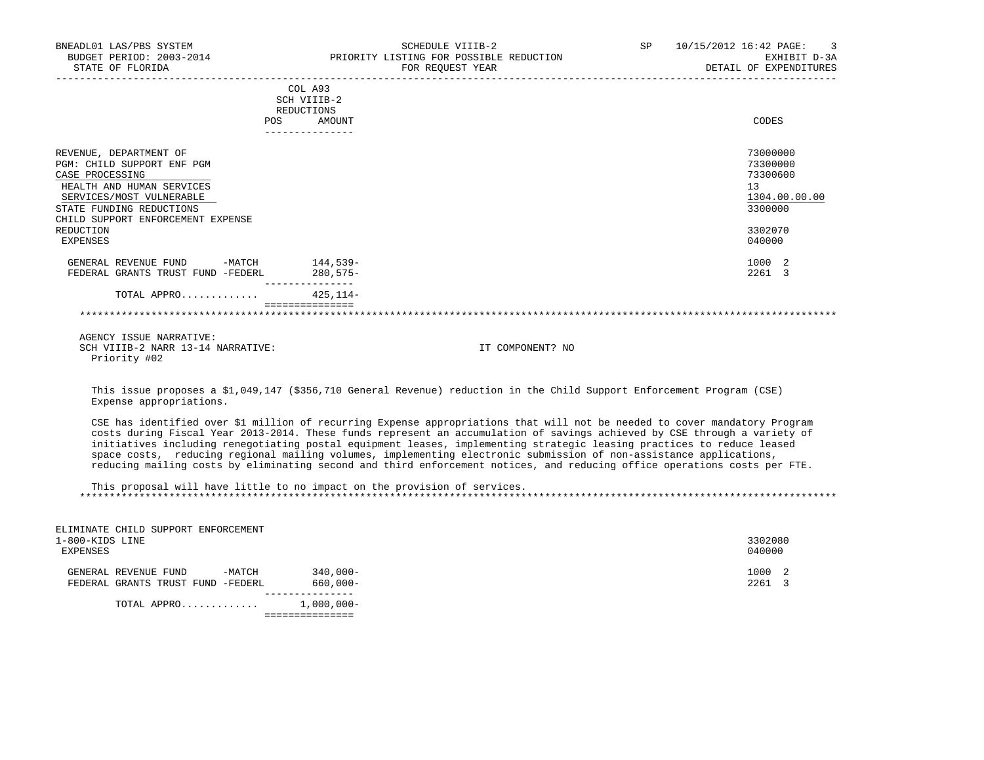| BNEADL01 LAS/PBS SYSTEM<br>BUDGET PERIOD: 2003-2014<br>STATE OF FLORIDA                                                                                                                                        | SCHEDULE VIIIB-2<br>PRIORITY LISTING FOR POSSIBLE REDUCTION<br>FOR REOUEST YEAR<br>--------------------------------------                                                                                                                                                                                                                                                                                                                                                                                                                                                                                                            | SP | 10/15/2012 16:42 PAGE:<br>3<br>EXHIBIT D-3A<br>DETAIL OF EXPENDITURES         |
|----------------------------------------------------------------------------------------------------------------------------------------------------------------------------------------------------------------|--------------------------------------------------------------------------------------------------------------------------------------------------------------------------------------------------------------------------------------------------------------------------------------------------------------------------------------------------------------------------------------------------------------------------------------------------------------------------------------------------------------------------------------------------------------------------------------------------------------------------------------|----|-------------------------------------------------------------------------------|
|                                                                                                                                                                                                                | COL A93<br>SCH VIIIB-2<br>REDUCTIONS                                                                                                                                                                                                                                                                                                                                                                                                                                                                                                                                                                                                 |    |                                                                               |
| <b>POS</b>                                                                                                                                                                                                     | AMOUNT<br>_______________                                                                                                                                                                                                                                                                                                                                                                                                                                                                                                                                                                                                            |    | CODES                                                                         |
| REVENUE, DEPARTMENT OF<br>PGM: CHILD SUPPORT ENF PGM<br>CASE PROCESSING<br>HEALTH AND HUMAN SERVICES<br>SERVICES/MOST VULNERABLE<br>STATE FUNDING REDUCTIONS<br>CHILD SUPPORT ENFORCEMENT EXPENSE<br>REDUCTION |                                                                                                                                                                                                                                                                                                                                                                                                                                                                                                                                                                                                                                      |    | 73000000<br>73300000<br>73300600<br>13<br>1304.00.00.00<br>3300000<br>3302070 |
| <b>EXPENSES</b>                                                                                                                                                                                                |                                                                                                                                                                                                                                                                                                                                                                                                                                                                                                                                                                                                                                      |    | 040000                                                                        |
| GENERAL REVENUE FUND -MATCH<br>FEDERAL GRANTS TRUST FUND -FEDERL                                                                                                                                               | 144,539–<br>$280.575-$                                                                                                                                                                                                                                                                                                                                                                                                                                                                                                                                                                                                               |    | 1000 2<br>2261 3                                                              |
| TOTAL APPRO                                                                                                                                                                                                    | $425.114-$                                                                                                                                                                                                                                                                                                                                                                                                                                                                                                                                                                                                                           |    |                                                                               |
|                                                                                                                                                                                                                | ================                                                                                                                                                                                                                                                                                                                                                                                                                                                                                                                                                                                                                     |    |                                                                               |
| AGENCY ISSUE NARRATIVE:<br>SCH VIIIB-2 NARR 13-14 NARRATIVE:<br>Priority #02                                                                                                                                   | IT COMPONENT? NO                                                                                                                                                                                                                                                                                                                                                                                                                                                                                                                                                                                                                     |    |                                                                               |
| Expense appropriations.                                                                                                                                                                                        | This issue proposes a \$1,049,147 (\$356,710 General Revenue) reduction in the Child Support Enforcement Program (CSE)                                                                                                                                                                                                                                                                                                                                                                                                                                                                                                               |    |                                                                               |
|                                                                                                                                                                                                                | CSE has identified over \$1 million of recurring Expense appropriations that will not be needed to cover mandatory Program<br>costs during Fiscal Year 2013-2014. These funds represent an accumulation of savings achieved by CSE through a variety of<br>initiatives including renegotiating postal equipment leases, implementing strategic leasing practices to reduce leased<br>space costs, reducing regional mailing volumes, implementing electronic submission of non-assistance applications,<br>reducing mailing costs by eliminating second and third enforcement notices, and reducing office operations costs per FTE. |    |                                                                               |
|                                                                                                                                                                                                                | This proposal will have little to no impact on the provision of services.                                                                                                                                                                                                                                                                                                                                                                                                                                                                                                                                                            |    |                                                                               |
|                                                                                                                                                                                                                |                                                                                                                                                                                                                                                                                                                                                                                                                                                                                                                                                                                                                                      |    |                                                                               |
| ELIMINATE CHILD SUPPORT ENFORCEMENT<br>1-800-KIDS LINE<br><b>EXPENSES</b>                                                                                                                                      |                                                                                                                                                                                                                                                                                                                                                                                                                                                                                                                                                                                                                                      |    | 3302080<br>040000                                                             |
| GENERAL REVENUE FUND -MATCH<br>FEDERAL GRANTS TRUST FUND -FEDERL                                                                                                                                               | $340.000 -$<br>$660,000 -$<br>_______________                                                                                                                                                                                                                                                                                                                                                                                                                                                                                                                                                                                        |    | 1000 2<br>2261 3                                                              |
| TOTAL APPRO 1,000,000-                                                                                                                                                                                         |                                                                                                                                                                                                                                                                                                                                                                                                                                                                                                                                                                                                                                      |    |                                                                               |
|                                                                                                                                                                                                                | ===============                                                                                                                                                                                                                                                                                                                                                                                                                                                                                                                                                                                                                      |    |                                                                               |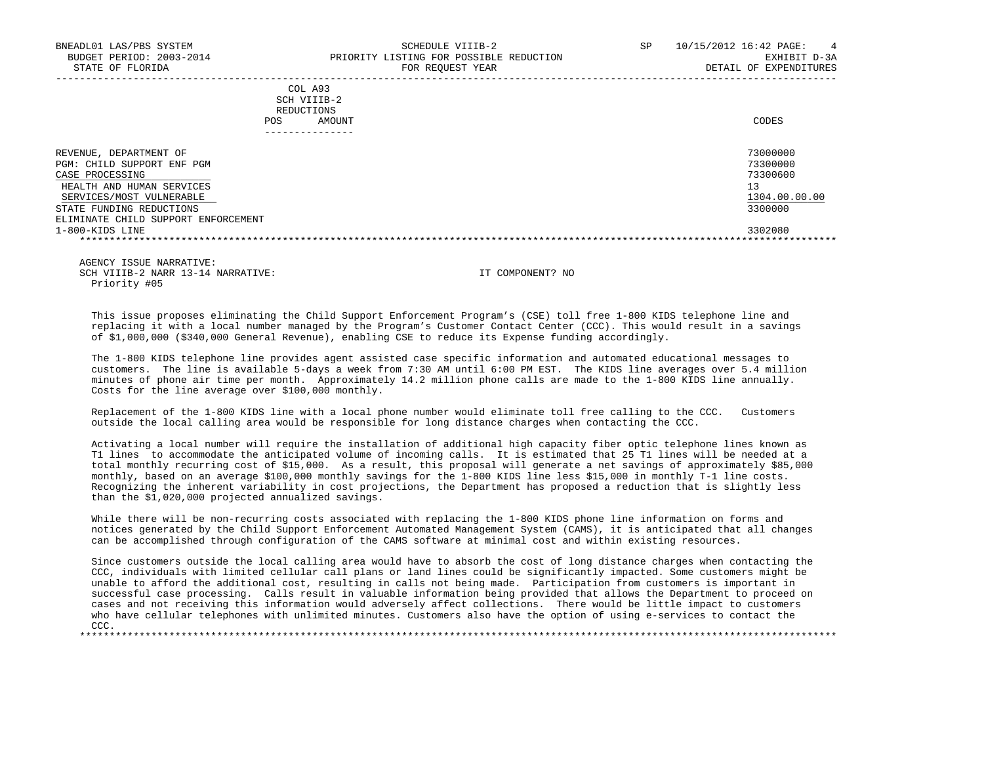|            | _______________ |       |
|------------|-----------------|-------|
| POS        | AMOUNT          | CODES |
| REDUCTIONS |                 |       |
|            | SCH VIIIB-2     |       |
|            | COL A93         |       |

| DEPARTMENT OF<br>REVENUE ,          | 73000000      |
|-------------------------------------|---------------|
| PGM: CHILD SUPPORT ENF PGM          | 73300000      |
| CASE PROCESSING                     | 73300600      |
| HEALTH AND HUMAN SERVICES           |               |
| SERVICES/MOST VULNERABLE            | 1304.00.00.00 |
| STATE FUNDING REDUCTIONS            | 3300000       |
| ELIMINATE CHILD SUPPORT ENFORCEMENT |               |
| 1-800-KIDS LINE                     | 3302080       |
|                                     |               |

-----------------------------------------------------------------------------------------------------------------------------------

 AGENCY ISSUE NARRATIVE: SCH VIIIB-2 NARR 13-14 NARRATIVE: IT COMPONENT? NO Priority #05

 This issue proposes eliminating the Child Support Enforcement Program's (CSE) toll free 1-800 KIDS telephone line and replacing it with a local number managed by the Program's Customer Contact Center (CCC). This would result in a savings of \$1,000,000 (\$340,000 General Revenue), enabling CSE to reduce its Expense funding accordingly.

 The 1-800 KIDS telephone line provides agent assisted case specific information and automated educational messages to customers. The line is available 5-days a week from 7:30 AM until 6:00 PM EST. The KIDS line averages over 5.4 million minutes of phone air time per month. Approximately 14.2 million phone calls are made to the 1-800 KIDS line annually. Costs for the line average over \$100,000 monthly.

 Replacement of the 1-800 KIDS line with a local phone number would eliminate toll free calling to the CCC. Customers outside the local calling area would be responsible for long distance charges when contacting the CCC.

 Activating a local number will require the installation of additional high capacity fiber optic telephone lines known as T1 lines to accommodate the anticipated volume of incoming calls. It is estimated that 25 T1 lines will be needed at a total monthly recurring cost of \$15,000. As a result, this proposal will generate a net savings of approximately \$85,000 monthly, based on an average \$100,000 monthly savings for the 1-800 KIDS line less \$15,000 in monthly T-1 line costs. Recognizing the inherent variability in cost projections, the Department has proposed a reduction that is slightly less than the \$1,020,000 projected annualized savings.

While there will be non-recurring costs associated with replacing the 1-800 KIDS phone line information on forms and notices generated by the Child Support Enforcement Automated Management System (CAMS), it is anticipated that all changes can be accomplished through configuration of the CAMS software at minimal cost and within existing resources.

 Since customers outside the local calling area would have to absorb the cost of long distance charges when contacting the CCC, individuals with limited cellular call plans or land lines could be significantly impacted. Some customers might be unable to afford the additional cost, resulting in calls not being made. Participation from customers is important in successful case processing. Calls result in valuable information being provided that allows the Department to proceed on cases and not receiving this information would adversely affect collections. There would be little impact to customers who have cellular telephones with unlimited minutes. Customers also have the option of using e-services to contact the CCC. \*\*\*\*\*\*\*\*\*\*\*\*\*\*\*\*\*\*\*\*\*\*\*\*\*\*\*\*\*\*\*\*\*\*\*\*\*\*\*\*\*\*\*\*\*\*\*\*\*\*\*\*\*\*\*\*\*\*\*\*\*\*\*\*\*\*\*\*\*\*\*\*\*\*\*\*\*\*\*\*\*\*\*\*\*\*\*\*\*\*\*\*\*\*\*\*\*\*\*\*\*\*\*\*\*\*\*\*\*\*\*\*\*\*\*\*\*\*\*\*\*\*\*\*\*\*\*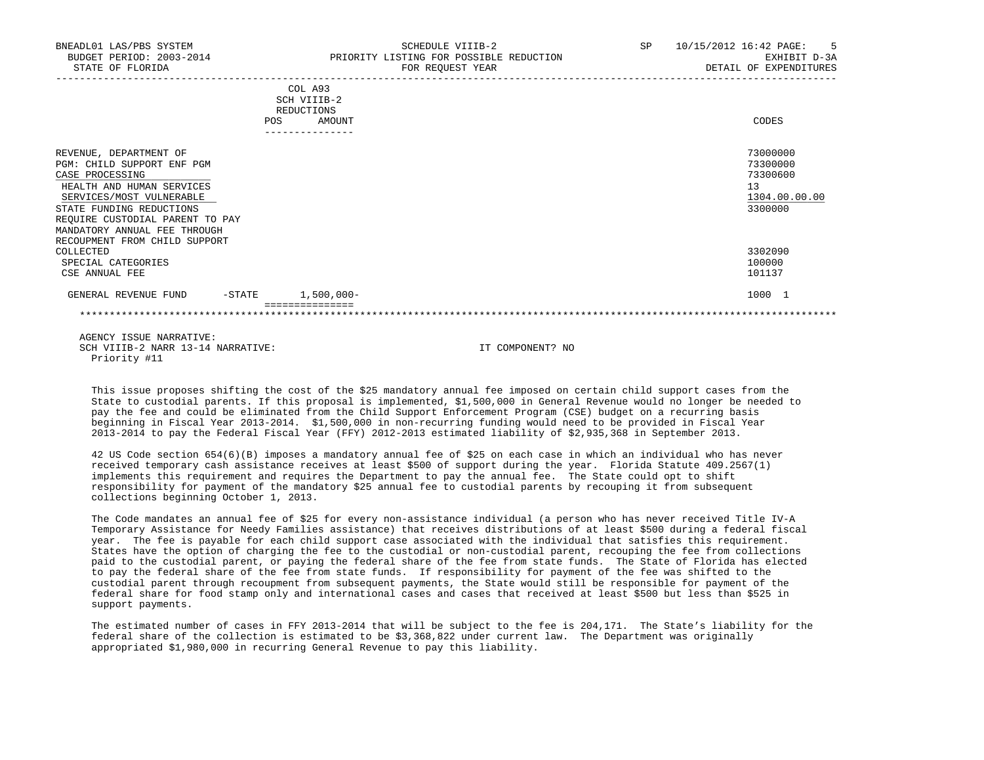| BNEADL01 LAS/PBS SYSTEM<br>BUDGET PERIOD: 2003-2014<br>STATE OF FLORIDA                                                                                                                                                                                          | SCHEDULE VIIIB-2<br>PRIORITY LISTING FOR POSSIBLE REDUCTION<br>FOR REQUEST YEAR | SP | 10/15/2012 16:42 PAGE:<br>$-5$<br>EXHIBIT D-3A<br>DETAIL OF EXPENDITURES |
|------------------------------------------------------------------------------------------------------------------------------------------------------------------------------------------------------------------------------------------------------------------|---------------------------------------------------------------------------------|----|--------------------------------------------------------------------------|
|                                                                                                                                                                                                                                                                  | COL A93<br>SCH VIIIB-2<br>REDUCTIONS<br>POS<br>AMOUNT                           |    | CODES                                                                    |
| REVENUE, DEPARTMENT OF<br>PGM: CHILD SUPPORT ENF PGM<br>CASE PROCESSING<br>HEALTH AND HUMAN SERVICES<br>SERVICES/MOST VULNERABLE<br>STATE FUNDING REDUCTIONS<br>REQUIRE CUSTODIAL PARENT TO PAY<br>MANDATORY ANNUAL FEE THROUGH<br>RECOUPMENT FROM CHILD SUPPORT |                                                                                 |    | 73000000<br>73300000<br>73300600<br>13<br>1304.00.00.00<br>3300000       |
| COLLECTED<br>SPECIAL CATEGORIES<br>CSE ANNUAL FEE                                                                                                                                                                                                                |                                                                                 |    | 3302090<br>100000<br>101137                                              |
| $-$ STATE<br>GENERAL REVENUE FUND                                                                                                                                                                                                                                | $1,500,000 -$                                                                   |    | 1000 1                                                                   |

 This issue proposes shifting the cost of the \$25 mandatory annual fee imposed on certain child support cases from the State to custodial parents. If this proposal is implemented, \$1,500,000 in General Revenue would no longer be needed to pay the fee and could be eliminated from the Child Support Enforcement Program (CSE) budget on a recurring basis beginning in Fiscal Year 2013-2014. \$1,500,000 in non-recurring funding would need to be provided in Fiscal Year 2013-2014 to pay the Federal Fiscal Year (FFY) 2012-2013 estimated liability of \$2,935,368 in September 2013.

 42 US Code section 654(6)(B) imposes a mandatory annual fee of \$25 on each case in which an individual who has never received temporary cash assistance receives at least \$500 of support during the year. Florida Statute 409.2567(1) implements this requirement and requires the Department to pay the annual fee. The State could opt to shift responsibility for payment of the mandatory \$25 annual fee to custodial parents by recouping it from subsequent collections beginning October 1, 2013.

 The Code mandates an annual fee of \$25 for every non-assistance individual (a person who has never received Title IV-A Temporary Assistance for Needy Families assistance) that receives distributions of at least \$500 during a federal fiscal year. The fee is payable for each child support case associated with the individual that satisfies this requirement. States have the option of charging the fee to the custodial or non-custodial parent, recouping the fee from collections paid to the custodial parent, or paying the federal share of the fee from state funds. The State of Florida has elected to pay the federal share of the fee from state funds. If responsibility for payment of the fee was shifted to the custodial parent through recoupment from subsequent payments, the State would still be responsible for payment of the federal share for food stamp only and international cases and cases that received at least \$500 but less than \$525 in support payments.

 The estimated number of cases in FFY 2013-2014 that will be subject to the fee is 204,171. The State's liability for the federal share of the collection is estimated to be \$3,368,822 under current law. The Department was originally appropriated \$1,980,000 in recurring General Revenue to pay this liability.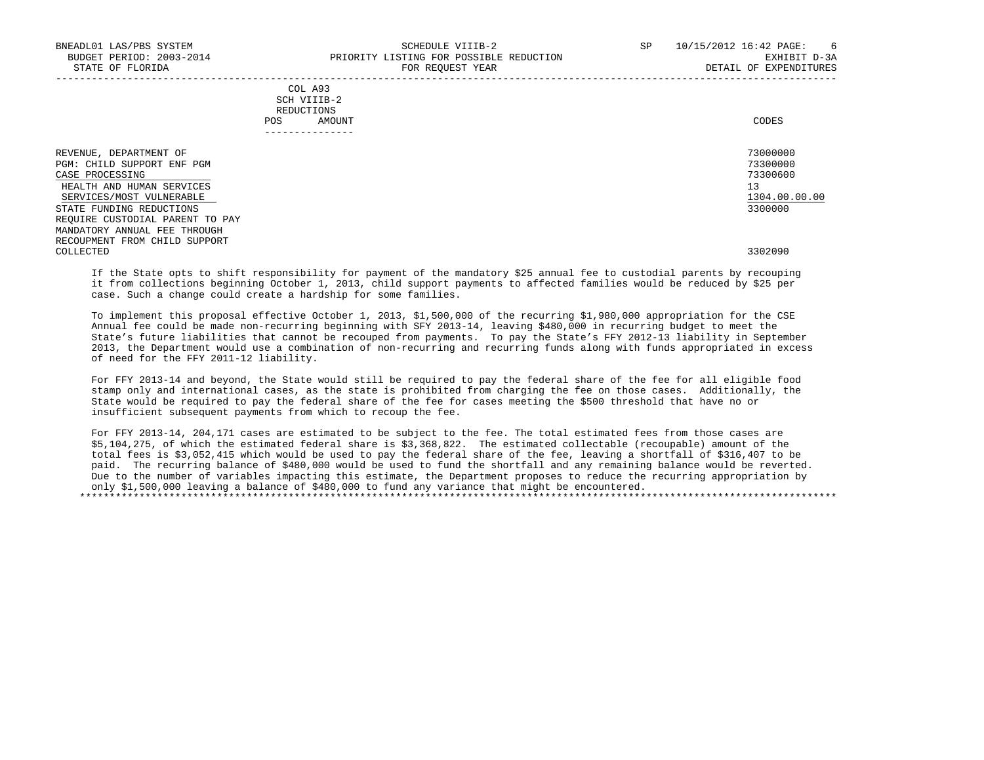|     | COL A93     |       |
|-----|-------------|-------|
|     | SCH VIIIB-2 |       |
|     | REDUCTIONS  |       |
| POS | AMOUNT      | CODES |

---------------

REVENUE, DEPARTMENT OF 73000000 PGM: CHILD SUPPORT ENF PGM<br>CASE PROCESSING 73300000 72300600  $\sqrt{2ASE\ \ \ \text{PROCESSING}}$  and the contract of the contract of the contract of the contract of the contract of the contract of the contract of the contract of the contract of the contract of the contract of the contract of the c HEALTH AND HUMAN SERVICES 1304.00.00.00 PHEALTH AND HUMAN SERVICES AND HUMAN SERVICES AND HUMAN SERVICES AND LOCAL AND SERVICES AND LOCAL AND SERVICES AND LOCAL AND LOCAL AND SERVICES AND LOCAL AND LOCAL AND LOCAL AND LOCA  $SERVICES/MOST$   $\tt ULINERABLE$   $\tt 1304.00$ <br>  $\tt 3300000$ STATE FUNDING REDUCTIONS REQUIRE CUSTODIAL PARENT TO PAY MANDATORY ANNUAL FEE THROUGH RECOUPMENT FROM CHILD SUPPORT<br>COLLECTED COLLECTED 3302090

 If the State opts to shift responsibility for payment of the mandatory \$25 annual fee to custodial parents by recouping it from collections beginning October 1, 2013, child support payments to affected families would be reduced by \$25 per case. Such a change could create a hardship for some families.

 To implement this proposal effective October 1, 2013, \$1,500,000 of the recurring \$1,980,000 appropriation for the CSE Annual fee could be made non-recurring beginning with SFY 2013-14, leaving \$480,000 in recurring budget to meet the State's future liabilities that cannot be recouped from payments. To pay the State's FFY 2012-13 liability in September 2013, the Department would use a combination of non-recurring and recurring funds along with funds appropriated in excess of need for the FFY 2011-12 liability.

 For FFY 2013-14 and beyond, the State would still be required to pay the federal share of the fee for all eligible food stamp only and international cases, as the state is prohibited from charging the fee on those cases. Additionally, the State would be required to pay the federal share of the fee for cases meeting the \$500 threshold that have no or insufficient subsequent payments from which to recoup the fee.

 For FFY 2013-14, 204,171 cases are estimated to be subject to the fee. The total estimated fees from those cases are \$5,104,275, of which the estimated federal share is \$3,368,822. The estimated collectable (recoupable) amount of the total fees is \$3,052,415 which would be used to pay the federal share of the fee, leaving a shortfall of \$316,407 to be paid. The recurring balance of \$480,000 would be used to fund the shortfall and any remaining balance would be reverted. Due to the number of variables impacting this estimate, the Department proposes to reduce the recurring appropriation by only \$1,500,000 leaving a balance of \$480,000 to fund any variance that might be encountered. \*\*\*\*\*\*\*\*\*\*\*\*\*\*\*\*\*\*\*\*\*\*\*\*\*\*\*\*\*\*\*\*\*\*\*\*\*\*\*\*\*\*\*\*\*\*\*\*\*\*\*\*\*\*\*\*\*\*\*\*\*\*\*\*\*\*\*\*\*\*\*\*\*\*\*\*\*\*\*\*\*\*\*\*\*\*\*\*\*\*\*\*\*\*\*\*\*\*\*\*\*\*\*\*\*\*\*\*\*\*\*\*\*\*\*\*\*\*\*\*\*\*\*\*\*\*\*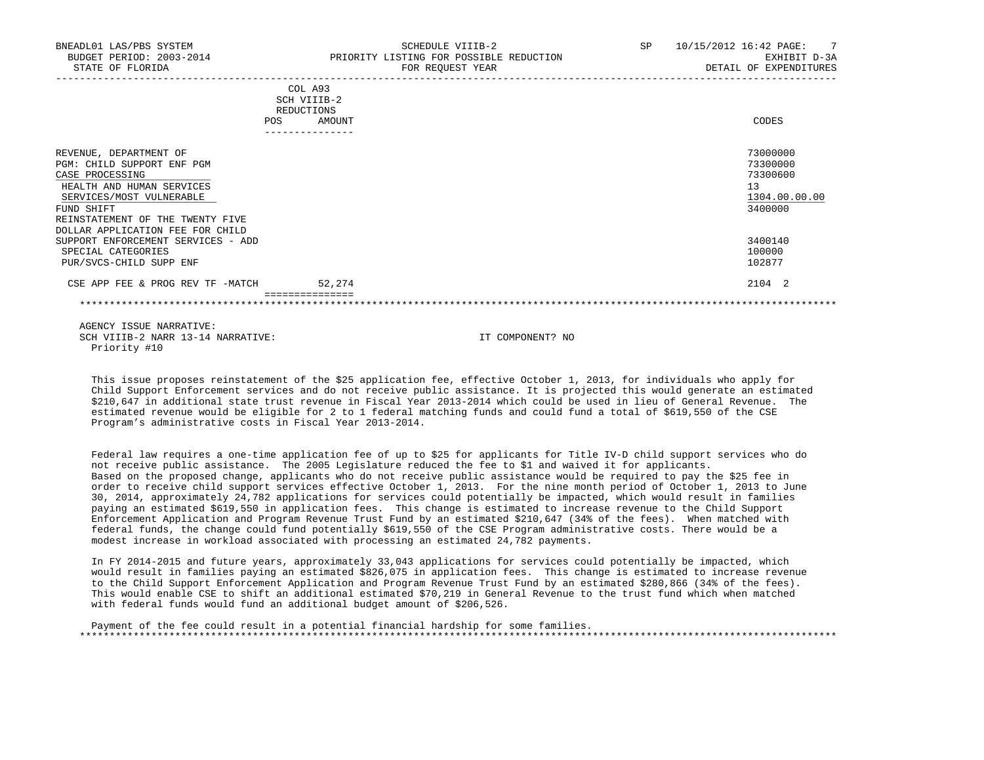| BNEADL01 LAS/PBS SYSTEM<br>BUDGET PERIOD: 2003-2014<br>STATE OF FLORIDA                                                                                                                                                | SCHEDULE VIIIB-2<br>PRIORITY LISTING FOR POSSIBLE REDUCTION<br>FOR REQUEST YEAR | 10/15/2012 16:42 PAGE:<br>$\overline{7}$<br>SP <sub>2</sub><br>EXHIBIT D-3A<br>DETAIL OF EXPENDITURES |
|------------------------------------------------------------------------------------------------------------------------------------------------------------------------------------------------------------------------|---------------------------------------------------------------------------------|-------------------------------------------------------------------------------------------------------|
|                                                                                                                                                                                                                        | COL A93<br>SCH VIIIB-2<br>REDUCTIONS<br>POS<br>AMOUNT                           | CODES                                                                                                 |
| REVENUE, DEPARTMENT OF<br>PGM: CHILD SUPPORT ENF PGM<br>CASE PROCESSING<br>HEALTH AND HUMAN SERVICES<br>SERVICES/MOST VULNERABLE<br>FUND SHIFT<br>REINSTATEMENT OF THE TWENTY FIVE<br>DOLLAR APPLICATION FEE FOR CHILD |                                                                                 | 73000000<br>73300000<br>73300600<br>13<br>1304.00.00.00<br>3400000                                    |
| SUPPORT ENFORCEMENT SERVICES - ADD<br>SPECIAL CATEGORIES<br>PUR/SVCS-CHILD SUPP ENF                                                                                                                                    |                                                                                 | 3400140<br>100000<br>102877                                                                           |
| CSE APP FEE & PROG REV TF -MATCH                                                                                                                                                                                       | 52,274                                                                          | 2104 2                                                                                                |
|                                                                                                                                                                                                                        |                                                                                 |                                                                                                       |

 This issue proposes reinstatement of the \$25 application fee, effective October 1, 2013, for individuals who apply for Child Support Enforcement services and do not receive public assistance. It is projected this would generate an estimated \$210,647 in additional state trust revenue in Fiscal Year 2013-2014 which could be used in lieu of General Revenue. The estimated revenue would be eligible for 2 to 1 federal matching funds and could fund a total of \$619,550 of the CSE Program's administrative costs in Fiscal Year 2013-2014.

 Federal law requires a one-time application fee of up to \$25 for applicants for Title IV-D child support services who do not receive public assistance. The 2005 Legislature reduced the fee to \$1 and waived it for applicants. Based on the proposed change, applicants who do not receive public assistance would be required to pay the \$25 fee in order to receive child support services effective October 1, 2013. For the nine month period of October 1, 2013 to June 30, 2014, approximately 24,782 applications for services could potentially be impacted, which would result in families paying an estimated \$619,550 in application fees. This change is estimated to increase revenue to the Child Support Enforcement Application and Program Revenue Trust Fund by an estimated \$210,647 (34% of the fees). When matched with federal funds, the change could fund potentially \$619,550 of the CSE Program administrative costs. There would be a modest increase in workload associated with processing an estimated 24,782 payments.

 In FY 2014-2015 and future years, approximately 33,043 applications for services could potentially be impacted, which would result in families paying an estimated \$826,075 in application fees. This change is estimated to increase revenue to the Child Support Enforcement Application and Program Revenue Trust Fund by an estimated \$280,866 (34% of the fees). This would enable CSE to shift an additional estimated \$70,219 in General Revenue to the trust fund which when matched with federal funds would fund an additional budget amount of \$206,526.

 Payment of the fee could result in a potential financial hardship for some families. \*\*\*\*\*\*\*\*\*\*\*\*\*\*\*\*\*\*\*\*\*\*\*\*\*\*\*\*\*\*\*\*\*\*\*\*\*\*\*\*\*\*\*\*\*\*\*\*\*\*\*\*\*\*\*\*\*\*\*\*\*\*\*\*\*\*\*\*\*\*\*\*\*\*\*\*\*\*\*\*\*\*\*\*\*\*\*\*\*\*\*\*\*\*\*\*\*\*\*\*\*\*\*\*\*\*\*\*\*\*\*\*\*\*\*\*\*\*\*\*\*\*\*\*\*\*\*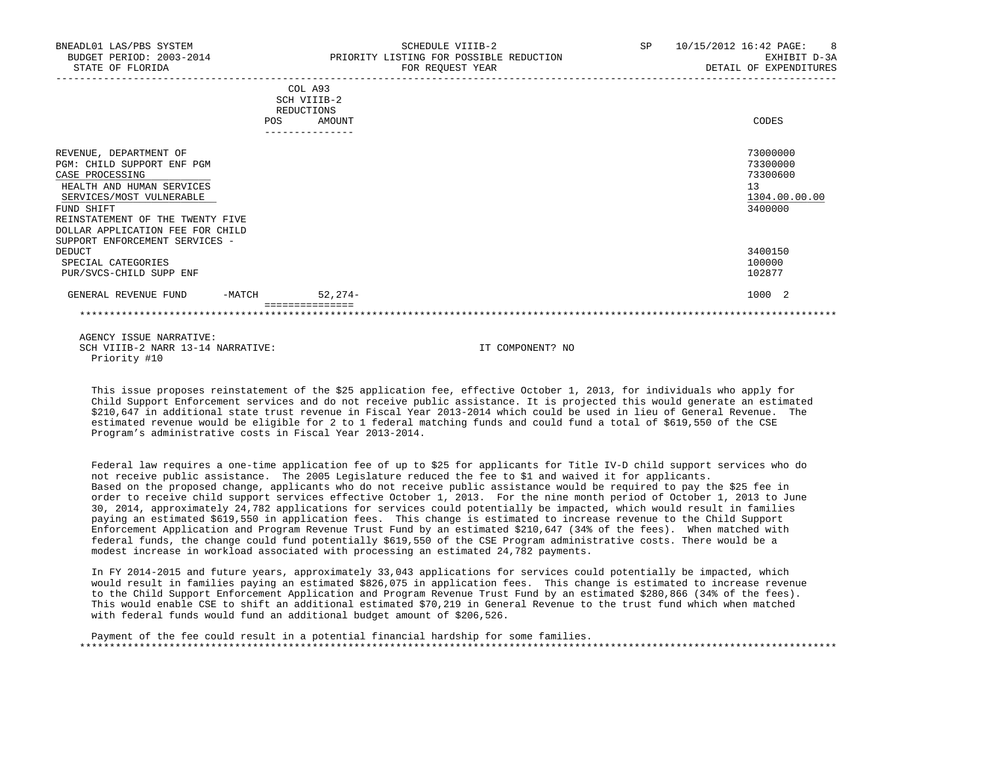| BNEADL01 LAS/PBS SYSTEM<br>BUDGET PERIOD: 2003-2014<br>STATE OF FLORIDA                                                                                                                                                                                  |            | PRIORITY LISTING FOR POSSIBLE REDUCTION                           | SCHEDULE VIIIB-2<br>FOR REQUEST YEAR | SP 10/15/2012 16:42 PAGE: 8<br>EXHIBIT D-3A<br>DETAIL OF EXPENDITURES |
|----------------------------------------------------------------------------------------------------------------------------------------------------------------------------------------------------------------------------------------------------------|------------|-------------------------------------------------------------------|--------------------------------------|-----------------------------------------------------------------------|
|                                                                                                                                                                                                                                                          | <b>POS</b> | COL A93<br>SCH VIIIB-2<br>REDUCTIONS<br>AMOUNT<br>--------------- |                                      | CODES                                                                 |
| REVENUE, DEPARTMENT OF<br>PGM: CHILD SUPPORT ENF PGM<br>CASE PROCESSING<br>HEALTH AND HUMAN SERVICES<br>SERVICES/MOST VULNERABLE<br>FUND SHIFT<br>REINSTATEMENT OF THE TWENTY FIVE<br>DOLLAR APPLICATION FEE FOR CHILD<br>SUPPORT ENFORCEMENT SERVICES - |            |                                                                   |                                      | 73000000<br>73300000<br>73300600<br>13<br>1304.00.00.00<br>3400000    |
| DEDUCT<br>SPECIAL CATEGORIES<br>PUR/SVCS-CHILD SUPP ENF                                                                                                                                                                                                  |            |                                                                   |                                      | 3400150<br>100000<br>102877                                           |
| GENERAL REVENUE FUND                                                                                                                                                                                                                                     | -MATCH     | $52.274-$                                                         |                                      | 1000 2                                                                |
|                                                                                                                                                                                                                                                          |            |                                                                   |                                      |                                                                       |
| AGENCY ISSUE NARRATIVE:<br>SCH VIIIB-2 NARR 13-14 NARRATIVE:                                                                                                                                                                                             |            |                                                                   | IT COMPONENT? NO                     |                                                                       |

 This issue proposes reinstatement of the \$25 application fee, effective October 1, 2013, for individuals who apply for Child Support Enforcement services and do not receive public assistance. It is projected this would generate an estimated \$210,647 in additional state trust revenue in Fiscal Year 2013-2014 which could be used in lieu of General Revenue. The estimated revenue would be eligible for 2 to 1 federal matching funds and could fund a total of \$619,550 of the CSE Program's administrative costs in Fiscal Year 2013-2014.

Priority #10

 Federal law requires a one-time application fee of up to \$25 for applicants for Title IV-D child support services who do not receive public assistance. The 2005 Legislature reduced the fee to \$1 and waived it for applicants. Based on the proposed change, applicants who do not receive public assistance would be required to pay the \$25 fee in order to receive child support services effective October 1, 2013. For the nine month period of October 1, 2013 to June 30, 2014, approximately 24,782 applications for services could potentially be impacted, which would result in families paying an estimated \$619,550 in application fees. This change is estimated to increase revenue to the Child Support Enforcement Application and Program Revenue Trust Fund by an estimated \$210,647 (34% of the fees). When matched with federal funds, the change could fund potentially \$619,550 of the CSE Program administrative costs. There would be a modest increase in workload associated with processing an estimated 24,782 payments.

 In FY 2014-2015 and future years, approximately 33,043 applications for services could potentially be impacted, which would result in families paying an estimated \$826,075 in application fees. This change is estimated to increase revenue to the Child Support Enforcement Application and Program Revenue Trust Fund by an estimated \$280,866 (34% of the fees). This would enable CSE to shift an additional estimated \$70,219 in General Revenue to the trust fund which when matched with federal funds would fund an additional budget amount of \$206,526.

 Payment of the fee could result in a potential financial hardship for some families. \*\*\*\*\*\*\*\*\*\*\*\*\*\*\*\*\*\*\*\*\*\*\*\*\*\*\*\*\*\*\*\*\*\*\*\*\*\*\*\*\*\*\*\*\*\*\*\*\*\*\*\*\*\*\*\*\*\*\*\*\*\*\*\*\*\*\*\*\*\*\*\*\*\*\*\*\*\*\*\*\*\*\*\*\*\*\*\*\*\*\*\*\*\*\*\*\*\*\*\*\*\*\*\*\*\*\*\*\*\*\*\*\*\*\*\*\*\*\*\*\*\*\*\*\*\*\*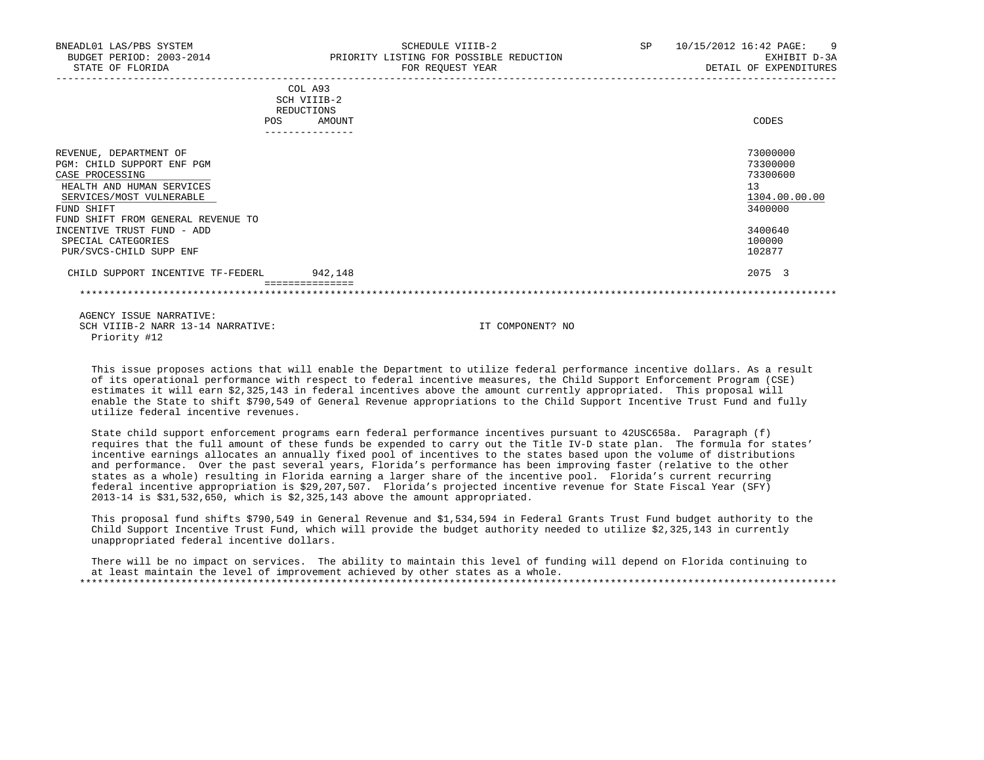| BNEADL01 LAS/PBS SYSTEM<br>BUDGET PERIOD: 2003-2014<br>STATE OF FLORIDA                                                                                                                                                                  | SCHEDULE VIIIB-2<br>PRIORITY LISTING FOR POSSIBLE REDUCTION<br>FOR REQUEST YEAR | <b>SP</b> | 10/15/2012 16:42 PAGE:<br>- 9<br>EXHIBIT D-3A<br>DETAIL OF EXPENDITURES                 |
|------------------------------------------------------------------------------------------------------------------------------------------------------------------------------------------------------------------------------------------|---------------------------------------------------------------------------------|-----------|-----------------------------------------------------------------------------------------|
|                                                                                                                                                                                                                                          | COL A93<br>SCH VIIIB-2<br>REDUCTIONS<br>AMOUNT<br><b>POS</b><br>_______________ |           | CODES                                                                                   |
| REVENUE, DEPARTMENT OF<br>PGM: CHILD SUPPORT ENF PGM<br>CASE PROCESSING<br>HEALTH AND HUMAN SERVICES<br>SERVICES/MOST VULNERABLE<br>FUND SHIFT<br>FUND SHIFT FROM GENERAL REVENUE TO<br>INCENTIVE TRUST FUND - ADD<br>SPECIAL CATEGORIES |                                                                                 |           | 73000000<br>73300000<br>73300600<br>13<br>1304.00.00.00<br>3400000<br>3400640<br>100000 |
| PUR/SVCS-CHILD SUPP ENF<br>CHILD SUPPORT INCENTIVE TF-FEDERL                                                                                                                                                                             | 942,148                                                                         |           | 102877<br>2075 3                                                                        |
|                                                                                                                                                                                                                                          |                                                                                 |           |                                                                                         |

 This issue proposes actions that will enable the Department to utilize federal performance incentive dollars. As a result of its operational performance with respect to federal incentive measures, the Child Support Enforcement Program (CSE) estimates it will earn \$2,325,143 in federal incentives above the amount currently appropriated. This proposal will enable the State to shift \$790,549 of General Revenue appropriations to the Child Support Incentive Trust Fund and fully utilize federal incentive revenues.

 State child support enforcement programs earn federal performance incentives pursuant to 42USC658a. Paragraph (f) requires that the full amount of these funds be expended to carry out the Title IV-D state plan. The formula for states' incentive earnings allocates an annually fixed pool of incentives to the states based upon the volume of distributions and performance. Over the past several years, Florida's performance has been improving faster (relative to the other states as a whole) resulting in Florida earning a larger share of the incentive pool. Florida's current recurring federal incentive appropriation is \$29,207,507. Florida's projected incentive revenue for State Fiscal Year (SFY) 2013-14 is \$31,532,650, which is \$2,325,143 above the amount appropriated.

 This proposal fund shifts \$790,549 in General Revenue and \$1,534,594 in Federal Grants Trust Fund budget authority to the Child Support Incentive Trust Fund, which will provide the budget authority needed to utilize \$2,325,143 in currently unappropriated federal incentive dollars.

 There will be no impact on services. The ability to maintain this level of funding will depend on Florida continuing to at least maintain the level of improvement achieved by other states as a whole. \*\*\*\*\*\*\*\*\*\*\*\*\*\*\*\*\*\*\*\*\*\*\*\*\*\*\*\*\*\*\*\*\*\*\*\*\*\*\*\*\*\*\*\*\*\*\*\*\*\*\*\*\*\*\*\*\*\*\*\*\*\*\*\*\*\*\*\*\*\*\*\*\*\*\*\*\*\*\*\*\*\*\*\*\*\*\*\*\*\*\*\*\*\*\*\*\*\*\*\*\*\*\*\*\*\*\*\*\*\*\*\*\*\*\*\*\*\*\*\*\*\*\*\*\*\*\*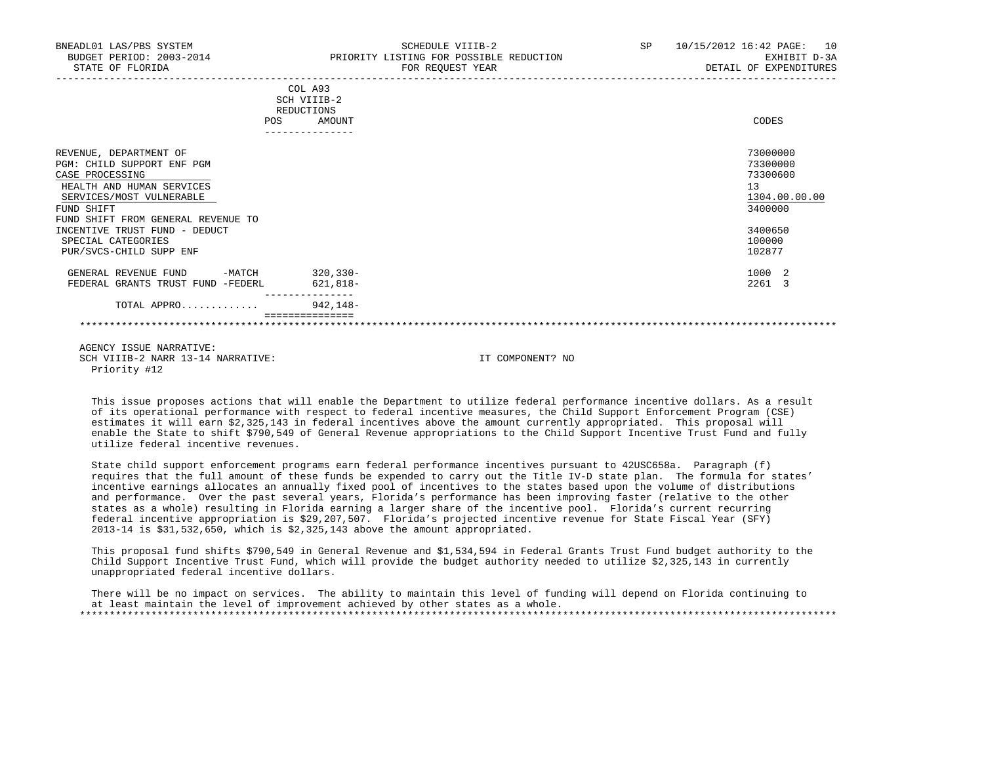| BNEADL01 LAS/PBS SYSTEM<br>BUDGET PERIOD: 2003-2014<br>STATE OF FLORIDA |      |                                      | SCHEDULE VIIIB-2<br>PRIORITY LISTING FOR POSSIBLE REDUCTION<br>FOR REQUEST YEAR | SP <sub>2</sub> | 10/15/2012 16:42 PAGE: 10<br>EXHIBIT D-3A<br>DETAIL OF EXPENDITURES |
|-------------------------------------------------------------------------|------|--------------------------------------|---------------------------------------------------------------------------------|-----------------|---------------------------------------------------------------------|
|                                                                         |      | COL A93<br>SCH VIIIB-2<br>REDUCTIONS |                                                                                 |                 |                                                                     |
|                                                                         | POS. | AMOUNT                               |                                                                                 |                 | CODES                                                               |
| REVENUE, DEPARTMENT OF                                                  |      |                                      |                                                                                 |                 | 73000000                                                            |
| PGM: CHILD SUPPORT ENF PGM                                              |      |                                      |                                                                                 |                 | 73300000                                                            |
| CASE PROCESSING                                                         |      |                                      |                                                                                 |                 | 73300600                                                            |
| HEALTH AND HUMAN SERVICES                                               |      |                                      |                                                                                 |                 | 13                                                                  |
| SERVICES/MOST VULNERABLE                                                |      |                                      |                                                                                 |                 | 1304.00.00.00                                                       |
| FUND SHIFT<br>FUND SHIFT FROM GENERAL REVENUE TO                        |      |                                      |                                                                                 |                 | 3400000                                                             |
| INCENTIVE TRUST FUND - DEDUCT                                           |      |                                      |                                                                                 |                 | 3400650                                                             |
| SPECIAL CATEGORIES                                                      |      |                                      |                                                                                 |                 | 100000                                                              |
| PUR/SVCS-CHILD SUPP ENF                                                 |      |                                      |                                                                                 |                 | 102877                                                              |
| -MATCH 320,330-<br>GENERAL REVENUE FUND                                 |      |                                      |                                                                                 |                 | 1000 2                                                              |
| FEDERAL GRANTS TRUST FUND -FEDERL                                       |      | 621,818-                             |                                                                                 |                 | 2261 3                                                              |
| TOTAL APPRO                                                             |      | $942,148-$                           |                                                                                 |                 |                                                                     |
|                                                                         |      |                                      |                                                                                 |                 |                                                                     |
|                                                                         |      |                                      |                                                                                 |                 |                                                                     |

 This issue proposes actions that will enable the Department to utilize federal performance incentive dollars. As a result of its operational performance with respect to federal incentive measures, the Child Support Enforcement Program (CSE) estimates it will earn \$2,325,143 in federal incentives above the amount currently appropriated. This proposal will enable the State to shift \$790,549 of General Revenue appropriations to the Child Support Incentive Trust Fund and fully utilize federal incentive revenues.

 State child support enforcement programs earn federal performance incentives pursuant to 42USC658a. Paragraph (f) requires that the full amount of these funds be expended to carry out the Title IV-D state plan. The formula for states' incentive earnings allocates an annually fixed pool of incentives to the states based upon the volume of distributions and performance. Over the past several years, Florida's performance has been improving faster (relative to the other states as a whole) resulting in Florida earning a larger share of the incentive pool. Florida's current recurring federal incentive appropriation is \$29,207,507. Florida's projected incentive revenue for State Fiscal Year (SFY) 2013-14 is \$31,532,650, which is \$2,325,143 above the amount appropriated.

 This proposal fund shifts \$790,549 in General Revenue and \$1,534,594 in Federal Grants Trust Fund budget authority to the Child Support Incentive Trust Fund, which will provide the budget authority needed to utilize \$2,325,143 in currently unappropriated federal incentive dollars.

 There will be no impact on services. The ability to maintain this level of funding will depend on Florida continuing to at least maintain the level of improvement achieved by other states as a whole. \*\*\*\*\*\*\*\*\*\*\*\*\*\*\*\*\*\*\*\*\*\*\*\*\*\*\*\*\*\*\*\*\*\*\*\*\*\*\*\*\*\*\*\*\*\*\*\*\*\*\*\*\*\*\*\*\*\*\*\*\*\*\*\*\*\*\*\*\*\*\*\*\*\*\*\*\*\*\*\*\*\*\*\*\*\*\*\*\*\*\*\*\*\*\*\*\*\*\*\*\*\*\*\*\*\*\*\*\*\*\*\*\*\*\*\*\*\*\*\*\*\*\*\*\*\*\*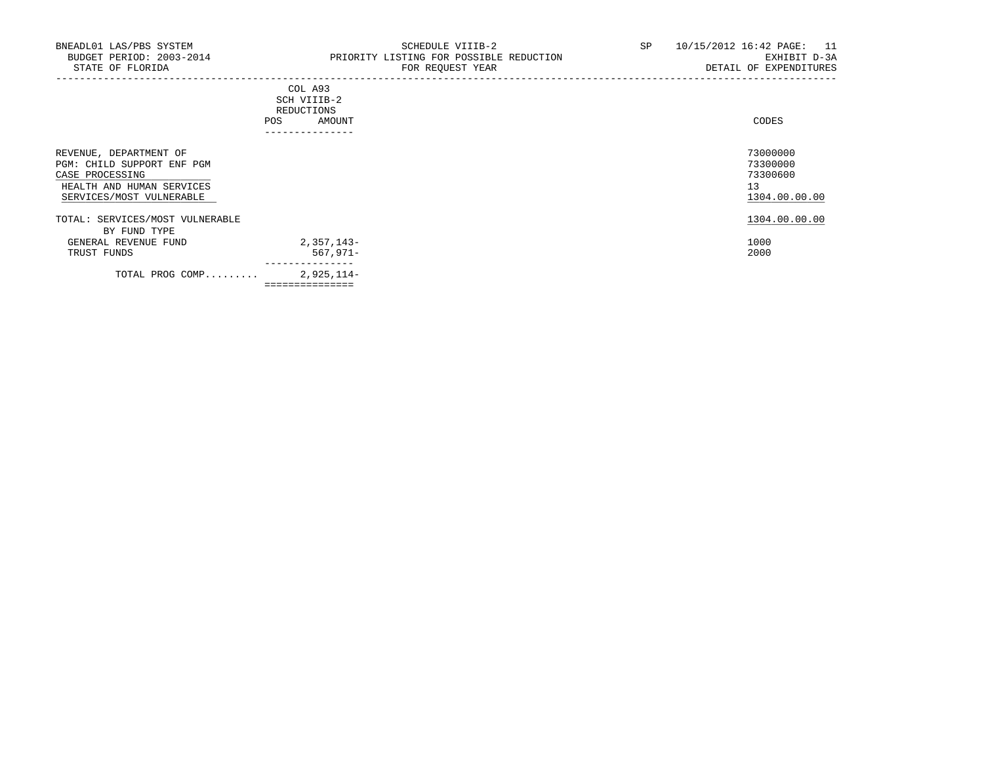-----------------------------------------------------------------------------------------------------------------------------------

## COL A93 SCH VIIIB-2 REDUCTIONS POS AMOUNT ---------------

| REVENUE, DEPARTMENT OF<br>PGM: CHILD SUPPORT ENF PGM<br>CASE PROCESSING<br>HEALTH AND HUMAN SERVICES<br>SERVICES/MOST VULNERABLE |                | 73000000<br>73300000<br>73300600<br>13<br>1304.00.00.00 |
|----------------------------------------------------------------------------------------------------------------------------------|----------------|---------------------------------------------------------|
| TOTAL: SERVICES/MOST VULNERABLE                                                                                                  |                | 1304.00.00.00                                           |
| BY FUND TYPE                                                                                                                     |                |                                                         |
| GENERAL REVENUE FUND                                                                                                             | 2,357,143-     | 1000                                                    |
| TRUST FUNDS                                                                                                                      | $567,971 -$    | 2000                                                    |
| TOTAL PROG COMP                                                                                                                  | 2,925,114-     |                                                         |
|                                                                                                                                  | ============== |                                                         |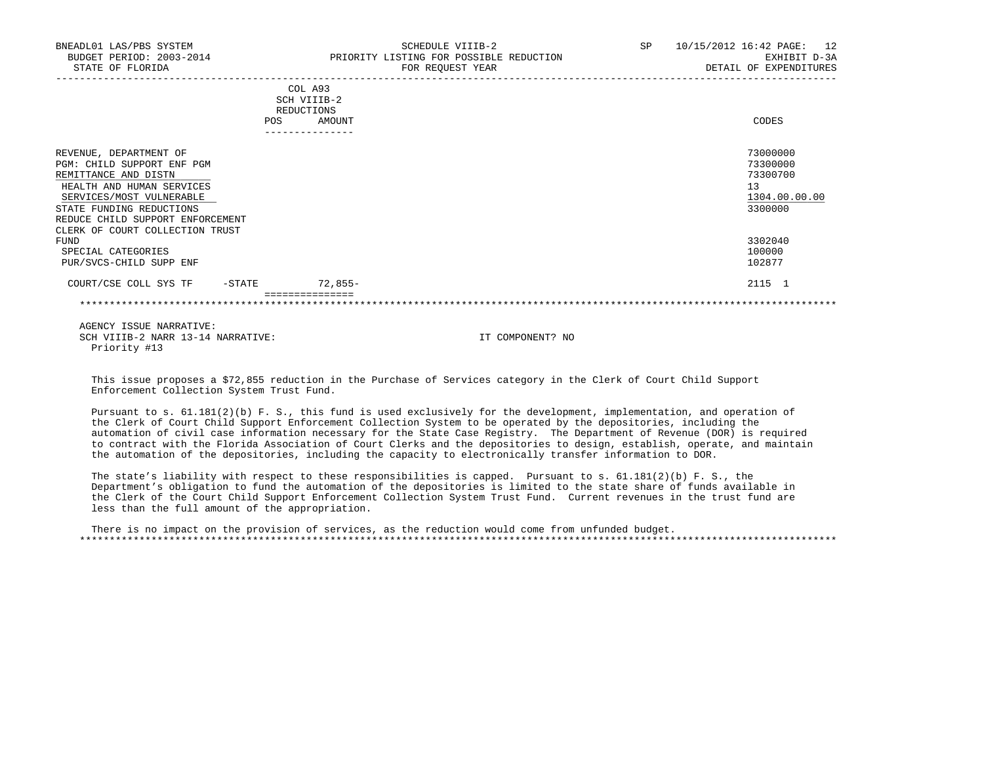| BNEADL01 LAS/PBS SYSTEM<br>BUDGET PERIOD: 2003-2014<br>STATE OF FLORIDA | SCHEDULE VIIIB-2<br>PRIORITY LISTING FOR POSSIBLE REDUCTION<br>FOR REQUEST YEAR | <b>SP</b> | 10/15/2012 16:42 PAGE: 12<br>EXHIBIT D-3A<br>DETAIL OF EXPENDITURES |
|-------------------------------------------------------------------------|---------------------------------------------------------------------------------|-----------|---------------------------------------------------------------------|
|                                                                         |                                                                                 |           |                                                                     |
|                                                                         | COL A93<br>SCH VIIIB-2                                                          |           |                                                                     |
|                                                                         | REDUCTIONS                                                                      |           |                                                                     |
|                                                                         | AMOUNT<br>POS                                                                   |           | CODES                                                               |
|                                                                         |                                                                                 |           |                                                                     |
| REVENUE, DEPARTMENT OF                                                  |                                                                                 |           | 73000000                                                            |
| PGM: CHILD SUPPORT ENF PGM                                              |                                                                                 |           | 73300000                                                            |
| REMITTANCE AND DISTN                                                    |                                                                                 |           | 73300700                                                            |
| HEALTH AND HUMAN SERVICES                                               |                                                                                 |           | 13                                                                  |
| SERVICES/MOST VULNERABLE                                                |                                                                                 |           | 1304.00.00.00                                                       |
| STATE FUNDING REDUCTIONS                                                |                                                                                 |           | 3300000                                                             |
| REDUCE CHILD SUPPORT ENFORCEMENT                                        |                                                                                 |           |                                                                     |
| CLERK OF COURT COLLECTION TRUST                                         |                                                                                 |           |                                                                     |
| FUND<br>SPECIAL CATEGORIES                                              |                                                                                 |           | 3302040<br>100000                                                   |
| PUR/SVCS-CHILD SUPP ENF                                                 |                                                                                 |           | 102877                                                              |
|                                                                         |                                                                                 |           |                                                                     |
| COURT/CSE COLL SYS TF<br>$-$ STATE                                      | $72,855-$                                                                       |           | 2115 1                                                              |
|                                                                         |                                                                                 |           |                                                                     |
|                                                                         |                                                                                 |           |                                                                     |

 This issue proposes a \$72,855 reduction in the Purchase of Services category in the Clerk of Court Child Support Enforcement Collection System Trust Fund.

 Pursuant to s. 61.181(2)(b) F. S., this fund is used exclusively for the development, implementation, and operation of the Clerk of Court Child Support Enforcement Collection System to be operated by the depositories, including the automation of civil case information necessary for the State Case Registry. The Department of Revenue (DOR) is required to contract with the Florida Association of Court Clerks and the depositories to design, establish, operate, and maintain the automation of the depositories, including the capacity to electronically transfer information to DOR.

 The state's liability with respect to these responsibilities is capped. Pursuant to s. 61.181(2)(b) F. S., the Department's obligation to fund the automation of the depositories is limited to the state share of funds available in the Clerk of the Court Child Support Enforcement Collection System Trust Fund. Current revenues in the trust fund are less than the full amount of the appropriation.

 There is no impact on the provision of services, as the reduction would come from unfunded budget. \*\*\*\*\*\*\*\*\*\*\*\*\*\*\*\*\*\*\*\*\*\*\*\*\*\*\*\*\*\*\*\*\*\*\*\*\*\*\*\*\*\*\*\*\*\*\*\*\*\*\*\*\*\*\*\*\*\*\*\*\*\*\*\*\*\*\*\*\*\*\*\*\*\*\*\*\*\*\*\*\*\*\*\*\*\*\*\*\*\*\*\*\*\*\*\*\*\*\*\*\*\*\*\*\*\*\*\*\*\*\*\*\*\*\*\*\*\*\*\*\*\*\*\*\*\*\*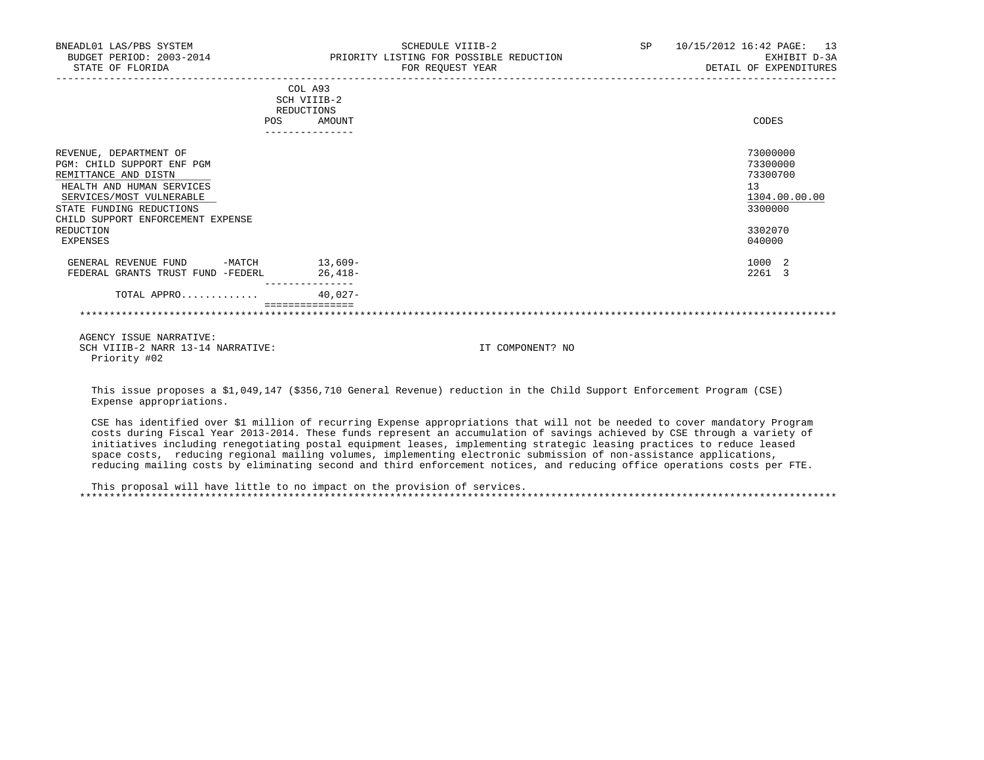| BNEADL01 LAS/PBS SYSTEM<br>STATE OF FLORIDA                                                                                                                                                                                     | SCHEDULE VIIIB-2<br>BUDGET PERIOD: 2003-2014 PRIORITY LISTING FOR POSSIBLE REDUCTION<br>FOR REOUEST YEAR               |  | SP 10/15/2012 16:42 PAGE: 13<br>EXHIBIT D-3A<br>DETAIL OF EXPENDITURES                  |
|---------------------------------------------------------------------------------------------------------------------------------------------------------------------------------------------------------------------------------|------------------------------------------------------------------------------------------------------------------------|--|-----------------------------------------------------------------------------------------|
|                                                                                                                                                                                                                                 | COL A93<br>SCH VIIIB-2<br>REDUCTIONS<br>AMOUNT<br>POS<br>---------------                                               |  | CODES                                                                                   |
| REVENUE, DEPARTMENT OF<br>PGM: CHILD SUPPORT ENF PGM<br>REMITTANCE AND DISTN<br>HEALTH AND HUMAN SERVICES<br>SERVICES/MOST VULNERABLE<br>STATE FUNDING REDUCTIONS<br>CHILD SUPPORT ENFORCEMENT EXPENSE<br>REDUCTION<br>EXPENSES |                                                                                                                        |  | 73000000<br>73300000<br>73300700<br>13<br>1304.00.00.00<br>3300000<br>3302070<br>040000 |
| GENERAL REVENUE FUND -MATCH 13,609-<br>FEDERAL GRANTS TRUST FUND -FEDERL                                                                                                                                                        | $26,418-$                                                                                                              |  | 1000 2<br>2261 3                                                                        |
| TOTAL APPRO                                                                                                                                                                                                                     | ---------------<br>$40.027 -$                                                                                          |  |                                                                                         |
|                                                                                                                                                                                                                                 | ===============                                                                                                        |  |                                                                                         |
| AGENCY ISSUE NARRATIVE:<br>SCH VIIIB-2 NARR 13-14 NARRATIVE:<br>Priority #02                                                                                                                                                    | IT COMPONENT? NO                                                                                                       |  |                                                                                         |
| Expense appropriations.                                                                                                                                                                                                         | This issue proposes a \$1,049,147 (\$356,710 General Revenue) reduction in the Child Support Enforcement Program (CSE) |  |                                                                                         |

 CSE has identified over \$1 million of recurring Expense appropriations that will not be needed to cover mandatory Program costs during Fiscal Year 2013-2014. These funds represent an accumulation of savings achieved by CSE through a variety of initiatives including renegotiating postal equipment leases, implementing strategic leasing practices to reduce leased space costs, reducing regional mailing volumes, implementing electronic submission of non-assistance applications, reducing mailing costs by eliminating second and third enforcement notices, and reducing office operations costs per FTE.

 This proposal will have little to no impact on the provision of services. \*\*\*\*\*\*\*\*\*\*\*\*\*\*\*\*\*\*\*\*\*\*\*\*\*\*\*\*\*\*\*\*\*\*\*\*\*\*\*\*\*\*\*\*\*\*\*\*\*\*\*\*\*\*\*\*\*\*\*\*\*\*\*\*\*\*\*\*\*\*\*\*\*\*\*\*\*\*\*\*\*\*\*\*\*\*\*\*\*\*\*\*\*\*\*\*\*\*\*\*\*\*\*\*\*\*\*\*\*\*\*\*\*\*\*\*\*\*\*\*\*\*\*\*\*\*\*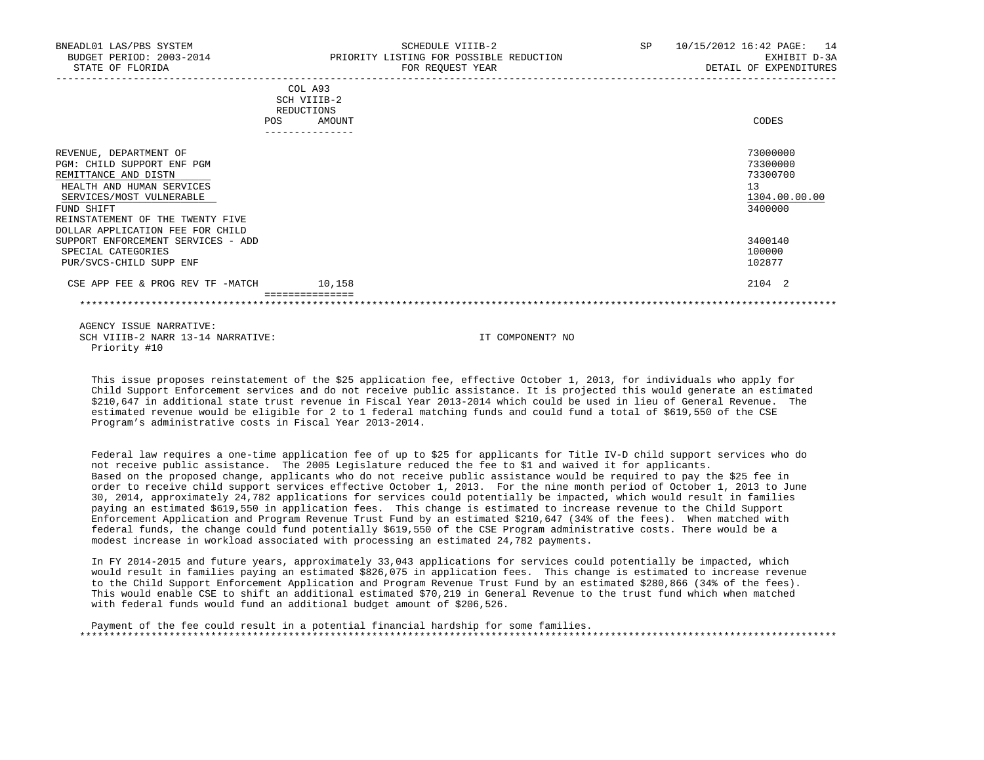| BNEADL01 LAS/PBS SYSTEM<br>BUDGET PERIOD: 2003-2014<br>STATE OF FLORIDA                                                                                                                                                     | SCHEDULE VIIIB-2<br>PRIORITY LISTING FOR POSSIBLE REDUCTION<br>FOR REQUEST YEAR | SP | 10/15/2012 16:42 PAGE: 14<br>EXHIBIT D-3A<br>DETAIL OF EXPENDITURES |
|-----------------------------------------------------------------------------------------------------------------------------------------------------------------------------------------------------------------------------|---------------------------------------------------------------------------------|----|---------------------------------------------------------------------|
|                                                                                                                                                                                                                             | COL A93<br>SCH VIIIB-2<br>REDUCTIONS<br><b>POS</b><br>AMOUNT                    |    | CODES                                                               |
| REVENUE, DEPARTMENT OF<br>PGM: CHILD SUPPORT ENF PGM<br>REMITTANCE AND DISTN<br>HEALTH AND HUMAN SERVICES<br>SERVICES/MOST VULNERABLE<br>FUND SHIFT<br>REINSTATEMENT OF THE TWENTY FIVE<br>DOLLAR APPLICATION FEE FOR CHILD |                                                                                 |    | 73000000<br>73300000<br>73300700<br>13<br>1304.00.00.00<br>3400000  |
| SUPPORT ENFORCEMENT SERVICES - ADD<br>SPECIAL CATEGORIES<br>PUR/SVCS-CHILD SUPP ENF                                                                                                                                         |                                                                                 |    | 3400140<br>100000<br>102877                                         |
| CSE APP FEE & PROG REV TF -MATCH                                                                                                                                                                                            | 10,158                                                                          |    | 2104 2                                                              |
|                                                                                                                                                                                                                             |                                                                                 |    |                                                                     |

 This issue proposes reinstatement of the \$25 application fee, effective October 1, 2013, for individuals who apply for Child Support Enforcement services and do not receive public assistance. It is projected this would generate an estimated \$210,647 in additional state trust revenue in Fiscal Year 2013-2014 which could be used in lieu of General Revenue. The estimated revenue would be eligible for 2 to 1 federal matching funds and could fund a total of \$619,550 of the CSE Program's administrative costs in Fiscal Year 2013-2014.

 Federal law requires a one-time application fee of up to \$25 for applicants for Title IV-D child support services who do not receive public assistance. The 2005 Legislature reduced the fee to \$1 and waived it for applicants. Based on the proposed change, applicants who do not receive public assistance would be required to pay the \$25 fee in order to receive child support services effective October 1, 2013. For the nine month period of October 1, 2013 to June 30, 2014, approximately 24,782 applications for services could potentially be impacted, which would result in families paying an estimated \$619,550 in application fees. This change is estimated to increase revenue to the Child Support Enforcement Application and Program Revenue Trust Fund by an estimated \$210,647 (34% of the fees). When matched with federal funds, the change could fund potentially \$619,550 of the CSE Program administrative costs. There would be a modest increase in workload associated with processing an estimated 24,782 payments.

 In FY 2014-2015 and future years, approximately 33,043 applications for services could potentially be impacted, which would result in families paying an estimated \$826,075 in application fees. This change is estimated to increase revenue to the Child Support Enforcement Application and Program Revenue Trust Fund by an estimated \$280,866 (34% of the fees). This would enable CSE to shift an additional estimated \$70,219 in General Revenue to the trust fund which when matched with federal funds would fund an additional budget amount of \$206,526.

 Payment of the fee could result in a potential financial hardship for some families. \*\*\*\*\*\*\*\*\*\*\*\*\*\*\*\*\*\*\*\*\*\*\*\*\*\*\*\*\*\*\*\*\*\*\*\*\*\*\*\*\*\*\*\*\*\*\*\*\*\*\*\*\*\*\*\*\*\*\*\*\*\*\*\*\*\*\*\*\*\*\*\*\*\*\*\*\*\*\*\*\*\*\*\*\*\*\*\*\*\*\*\*\*\*\*\*\*\*\*\*\*\*\*\*\*\*\*\*\*\*\*\*\*\*\*\*\*\*\*\*\*\*\*\*\*\*\*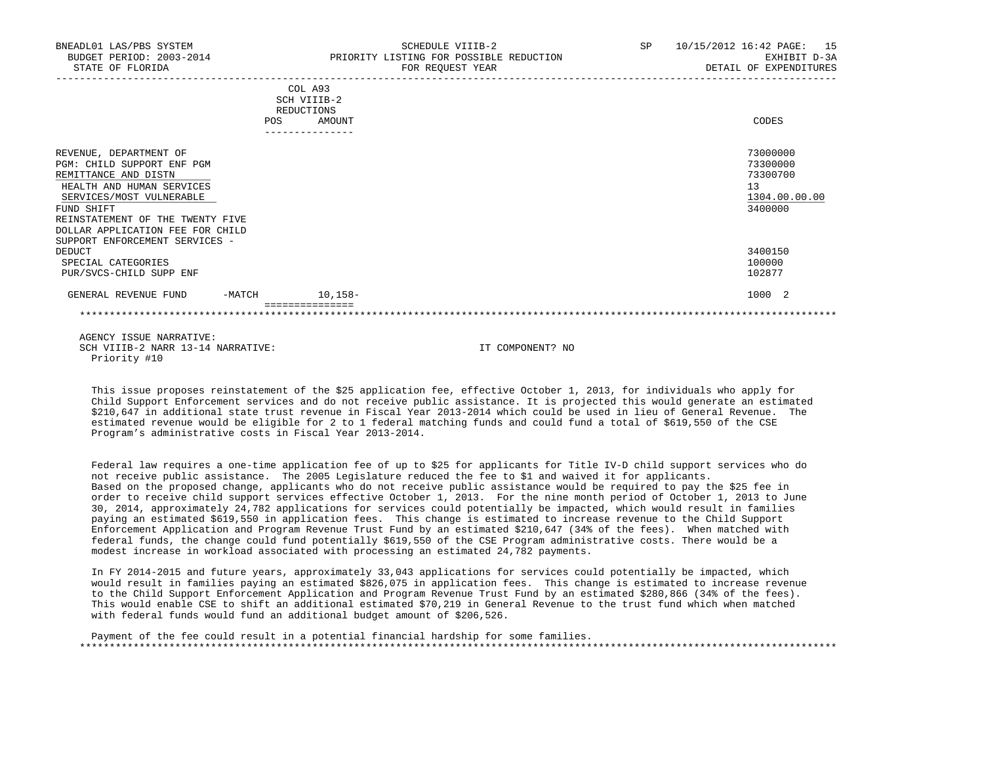| BNEADL01 LAS/PBS SYSTEM<br>STATE OF FLORIDA                                                                                                                                                                                                                   |            |                                                                   | SCHEDULE VIIIB-2<br>BUDGET PERIOD: 2003-2014 PRIORITY LISTING FOR POSSIBLE REDUCTION<br>FOR REOUEST YEAR | SP 10/15/2012 16:42 PAGE: 15<br>EXHIBIT D-3A<br>DETAIL OF EXPENDITURES |
|---------------------------------------------------------------------------------------------------------------------------------------------------------------------------------------------------------------------------------------------------------------|------------|-------------------------------------------------------------------|----------------------------------------------------------------------------------------------------------|------------------------------------------------------------------------|
|                                                                                                                                                                                                                                                               | <b>POS</b> | COL A93<br>SCH VIIIB-2<br>REDUCTIONS<br>AMOUNT<br>--------------- |                                                                                                          | CODES                                                                  |
| REVENUE, DEPARTMENT OF<br>PGM: CHILD SUPPORT ENF PGM<br>REMITTANCE AND DISTN<br>HEALTH AND HUMAN SERVICES<br>SERVICES/MOST VULNERABLE<br>FUND SHIFT<br>REINSTATEMENT OF THE TWENTY FIVE<br>DOLLAR APPLICATION FEE FOR CHILD<br>SUPPORT ENFORCEMENT SERVICES - |            |                                                                   |                                                                                                          | 73000000<br>73300000<br>73300700<br>13<br>1304.00.00.00<br>3400000     |
| DEDUCT<br>SPECIAL CATEGORIES<br>PUR/SVCS-CHILD SUPP ENF                                                                                                                                                                                                       |            |                                                                   |                                                                                                          | 3400150<br>100000<br>102877                                            |
| GENERAL REVENUE FUND                                                                                                                                                                                                                                          |            | -MATCH 10,158-                                                    |                                                                                                          | 1000 2                                                                 |
|                                                                                                                                                                                                                                                               |            |                                                                   |                                                                                                          |                                                                        |
| AGENCY ISSUE NARRATIVE:<br>SCH VIIIB-2 NARR 13-14 NARRATIVE:                                                                                                                                                                                                  |            |                                                                   | IT COMPONENT? NO                                                                                         |                                                                        |

 This issue proposes reinstatement of the \$25 application fee, effective October 1, 2013, for individuals who apply for Child Support Enforcement services and do not receive public assistance. It is projected this would generate an estimated \$210,647 in additional state trust revenue in Fiscal Year 2013-2014 which could be used in lieu of General Revenue. The estimated revenue would be eligible for 2 to 1 federal matching funds and could fund a total of \$619,550 of the CSE Program's administrative costs in Fiscal Year 2013-2014.

Priority #10

 Federal law requires a one-time application fee of up to \$25 for applicants for Title IV-D child support services who do not receive public assistance. The 2005 Legislature reduced the fee to \$1 and waived it for applicants. Based on the proposed change, applicants who do not receive public assistance would be required to pay the \$25 fee in order to receive child support services effective October 1, 2013. For the nine month period of October 1, 2013 to June 30, 2014, approximately 24,782 applications for services could potentially be impacted, which would result in families paying an estimated \$619,550 in application fees. This change is estimated to increase revenue to the Child Support Enforcement Application and Program Revenue Trust Fund by an estimated \$210,647 (34% of the fees). When matched with federal funds, the change could fund potentially \$619,550 of the CSE Program administrative costs. There would be a modest increase in workload associated with processing an estimated 24,782 payments.

 In FY 2014-2015 and future years, approximately 33,043 applications for services could potentially be impacted, which would result in families paying an estimated \$826,075 in application fees. This change is estimated to increase revenue to the Child Support Enforcement Application and Program Revenue Trust Fund by an estimated \$280,866 (34% of the fees). This would enable CSE to shift an additional estimated \$70,219 in General Revenue to the trust fund which when matched with federal funds would fund an additional budget amount of \$206,526.

 Payment of the fee could result in a potential financial hardship for some families. \*\*\*\*\*\*\*\*\*\*\*\*\*\*\*\*\*\*\*\*\*\*\*\*\*\*\*\*\*\*\*\*\*\*\*\*\*\*\*\*\*\*\*\*\*\*\*\*\*\*\*\*\*\*\*\*\*\*\*\*\*\*\*\*\*\*\*\*\*\*\*\*\*\*\*\*\*\*\*\*\*\*\*\*\*\*\*\*\*\*\*\*\*\*\*\*\*\*\*\*\*\*\*\*\*\*\*\*\*\*\*\*\*\*\*\*\*\*\*\*\*\*\*\*\*\*\*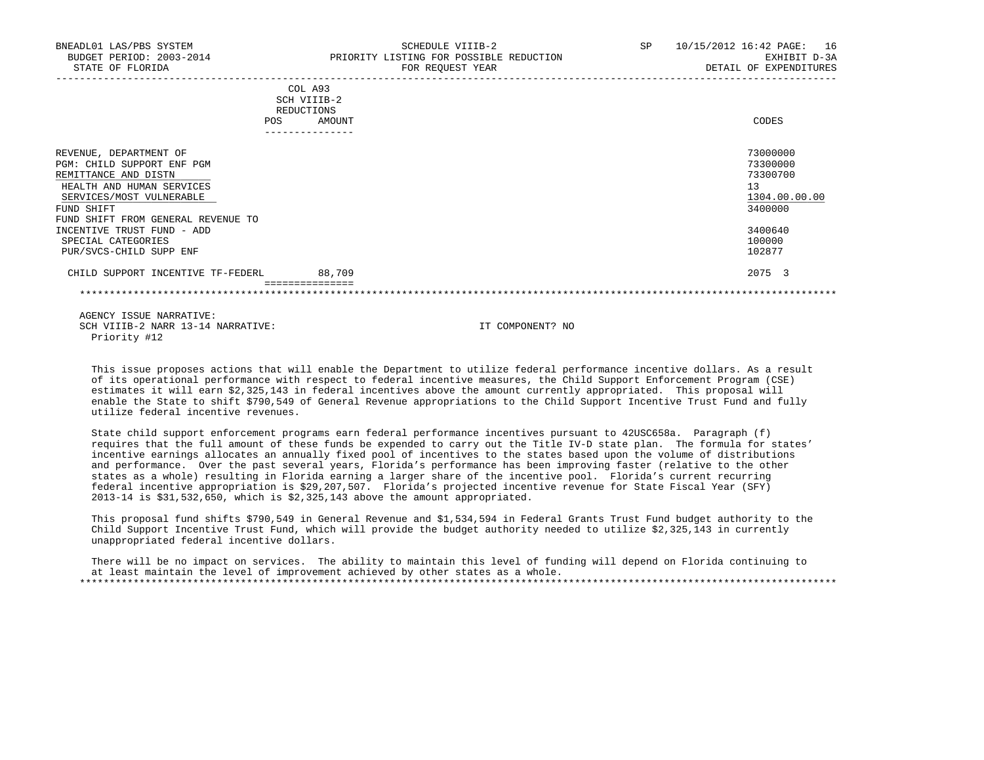| BNEADL01 LAS/PBS SYSTEM<br>BUDGET PERIOD: 2003-2014<br>STATE OF FLORIDA                                                                                                                   | SCHEDULE VIIIB-2<br>PRIORITY LISTING FOR POSSIBLE REDUCTION<br>FOR REQUEST YEAR | SP | 10/15/2012 16:42 PAGE: 16<br>EXHIBIT D-3A<br>DETAIL OF EXPENDITURES |
|-------------------------------------------------------------------------------------------------------------------------------------------------------------------------------------------|---------------------------------------------------------------------------------|----|---------------------------------------------------------------------|
|                                                                                                                                                                                           | COL A93<br>SCH VIIIB-2<br>REDUCTIONS<br>AMOUNT<br>POS<br>---------------        |    | CODES                                                               |
| REVENUE, DEPARTMENT OF<br>PGM: CHILD SUPPORT ENF PGM<br>REMITTANCE AND DISTN<br>HEALTH AND HUMAN SERVICES<br>SERVICES/MOST VULNERABLE<br>FUND SHIFT<br>FUND SHIFT FROM GENERAL REVENUE TO |                                                                                 |    | 73000000<br>73300000<br>73300700<br>13<br>1304.00.00.00<br>3400000  |
| INCENTIVE TRUST FUND - ADD<br>SPECIAL CATEGORIES<br>PUR/SVCS-CHILD SUPP ENF                                                                                                               |                                                                                 |    | 3400640<br>100000<br>102877                                         |
| CHILD SUPPORT INCENTIVE TF-FEDERL                                                                                                                                                         | 88,709                                                                          |    | 2075 3                                                              |

 This issue proposes actions that will enable the Department to utilize federal performance incentive dollars. As a result of its operational performance with respect to federal incentive measures, the Child Support Enforcement Program (CSE) estimates it will earn \$2,325,143 in federal incentives above the amount currently appropriated. This proposal will enable the State to shift \$790,549 of General Revenue appropriations to the Child Support Incentive Trust Fund and fully utilize federal incentive revenues.

 State child support enforcement programs earn federal performance incentives pursuant to 42USC658a. Paragraph (f) requires that the full amount of these funds be expended to carry out the Title IV-D state plan. The formula for states' incentive earnings allocates an annually fixed pool of incentives to the states based upon the volume of distributions and performance. Over the past several years, Florida's performance has been improving faster (relative to the other states as a whole) resulting in Florida earning a larger share of the incentive pool. Florida's current recurring federal incentive appropriation is \$29,207,507. Florida's projected incentive revenue for State Fiscal Year (SFY) 2013-14 is \$31,532,650, which is \$2,325,143 above the amount appropriated.

 This proposal fund shifts \$790,549 in General Revenue and \$1,534,594 in Federal Grants Trust Fund budget authority to the Child Support Incentive Trust Fund, which will provide the budget authority needed to utilize \$2,325,143 in currently unappropriated federal incentive dollars.

 There will be no impact on services. The ability to maintain this level of funding will depend on Florida continuing to at least maintain the level of improvement achieved by other states as a whole. \*\*\*\*\*\*\*\*\*\*\*\*\*\*\*\*\*\*\*\*\*\*\*\*\*\*\*\*\*\*\*\*\*\*\*\*\*\*\*\*\*\*\*\*\*\*\*\*\*\*\*\*\*\*\*\*\*\*\*\*\*\*\*\*\*\*\*\*\*\*\*\*\*\*\*\*\*\*\*\*\*\*\*\*\*\*\*\*\*\*\*\*\*\*\*\*\*\*\*\*\*\*\*\*\*\*\*\*\*\*\*\*\*\*\*\*\*\*\*\*\*\*\*\*\*\*\*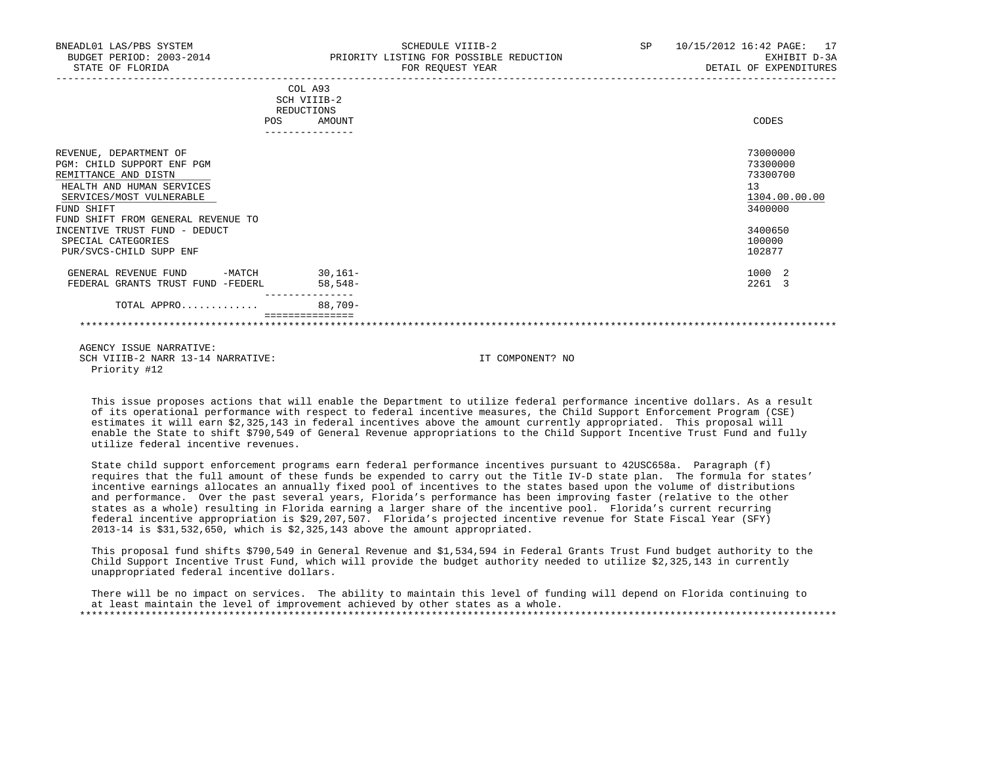| BNEADL01 LAS/PBS SYSTEM<br>BUDGET PERIOD: 2003-2014<br>STATE OF FLORIDA |     | SCHEDULE VIIIB-2<br>PRIORITY LISTING FOR POSSIBLE REDUCTION<br>FOR REQUEST YEAR | SP | 10/15/2012 16:42 PAGE: 17<br>EXHIBIT D-3A<br>DETAIL OF EXPENDITURES |
|-------------------------------------------------------------------------|-----|---------------------------------------------------------------------------------|----|---------------------------------------------------------------------|
|                                                                         |     | COL A93<br>SCH VIIIB-2<br>REDUCTIONS                                            |    |                                                                     |
|                                                                         | POS | AMOUNT                                                                          |    | CODES                                                               |
| REVENUE, DEPARTMENT OF                                                  |     |                                                                                 |    | 73000000                                                            |
| PGM: CHILD SUPPORT ENF PGM                                              |     |                                                                                 |    | 73300000                                                            |
| REMITTANCE AND DISTN                                                    |     |                                                                                 |    | 73300700                                                            |
| HEALTH AND HUMAN SERVICES                                               |     |                                                                                 |    | 13                                                                  |
| SERVICES/MOST VULNERABLE                                                |     |                                                                                 |    | 1304.00.00.00                                                       |
| FUND SHIFT                                                              |     |                                                                                 |    | 3400000                                                             |
| FUND SHIFT FROM GENERAL REVENUE TO                                      |     |                                                                                 |    |                                                                     |
| INCENTIVE TRUST FUND - DEDUCT                                           |     |                                                                                 |    | 3400650                                                             |
| SPECIAL CATEGORIES                                                      |     |                                                                                 |    | 100000                                                              |
| PUR/SVCS-CHILD SUPP ENF                                                 |     |                                                                                 |    | 102877                                                              |
| $-MATCH$<br>GENERAL REVENUE FUND                                        |     | $30,161-$                                                                       |    | 1000 2                                                              |
| FEDERAL GRANTS TRUST FUND -FEDERL                                       |     | $58,548-$                                                                       |    | 2261 3                                                              |
| TOTAL APPRO                                                             |     | $88.709 -$                                                                      |    |                                                                     |
|                                                                         |     |                                                                                 |    |                                                                     |
|                                                                         |     |                                                                                 |    |                                                                     |

 This issue proposes actions that will enable the Department to utilize federal performance incentive dollars. As a result of its operational performance with respect to federal incentive measures, the Child Support Enforcement Program (CSE) estimates it will earn \$2,325,143 in federal incentives above the amount currently appropriated. This proposal will enable the State to shift \$790,549 of General Revenue appropriations to the Child Support Incentive Trust Fund and fully utilize federal incentive revenues.

 State child support enforcement programs earn federal performance incentives pursuant to 42USC658a. Paragraph (f) requires that the full amount of these funds be expended to carry out the Title IV-D state plan. The formula for states' incentive earnings allocates an annually fixed pool of incentives to the states based upon the volume of distributions and performance. Over the past several years, Florida's performance has been improving faster (relative to the other states as a whole) resulting in Florida earning a larger share of the incentive pool. Florida's current recurring federal incentive appropriation is \$29,207,507. Florida's projected incentive revenue for State Fiscal Year (SFY) 2013-14 is \$31,532,650, which is \$2,325,143 above the amount appropriated.

 This proposal fund shifts \$790,549 in General Revenue and \$1,534,594 in Federal Grants Trust Fund budget authority to the Child Support Incentive Trust Fund, which will provide the budget authority needed to utilize \$2,325,143 in currently unappropriated federal incentive dollars.

 There will be no impact on services. The ability to maintain this level of funding will depend on Florida continuing to at least maintain the level of improvement achieved by other states as a whole. \*\*\*\*\*\*\*\*\*\*\*\*\*\*\*\*\*\*\*\*\*\*\*\*\*\*\*\*\*\*\*\*\*\*\*\*\*\*\*\*\*\*\*\*\*\*\*\*\*\*\*\*\*\*\*\*\*\*\*\*\*\*\*\*\*\*\*\*\*\*\*\*\*\*\*\*\*\*\*\*\*\*\*\*\*\*\*\*\*\*\*\*\*\*\*\*\*\*\*\*\*\*\*\*\*\*\*\*\*\*\*\*\*\*\*\*\*\*\*\*\*\*\*\*\*\*\*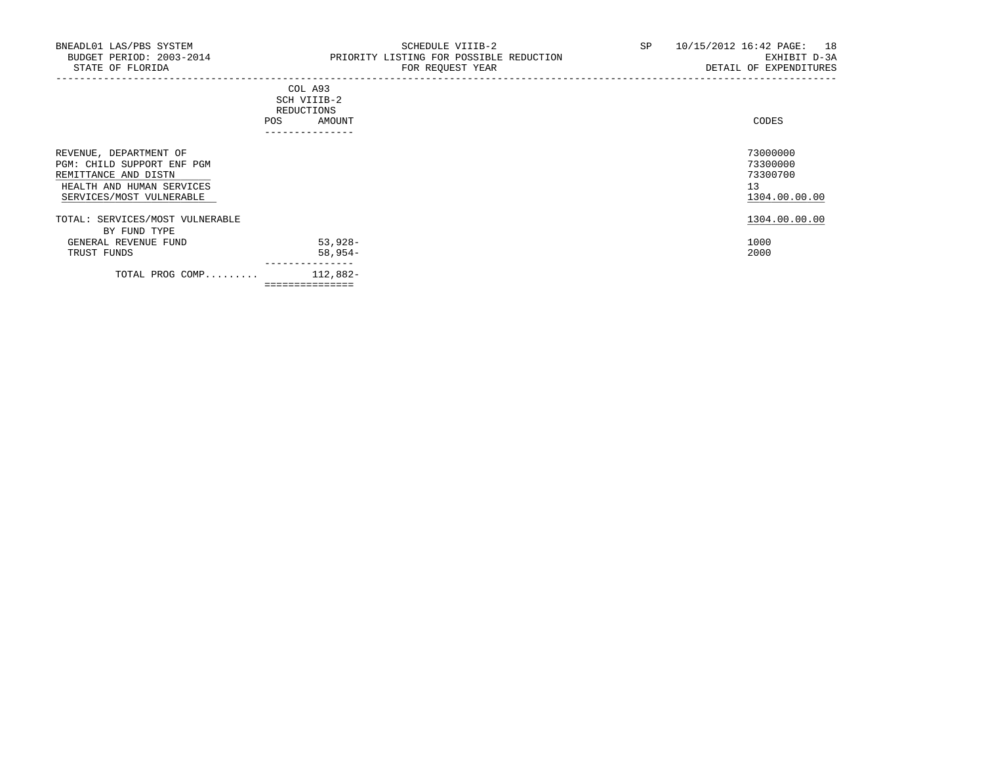-----------------------------------------------------------------------------------------------------------------------------------

|            | _______________ |       |
|------------|-----------------|-------|
| POS        | AMOUNT          | CODES |
| REDUCTIONS |                 |       |
|            | SCH VIIIB-2     |       |
|            | COL A93         |       |

| REVENUE, DEPARTMENT OF<br>PGM: CHILD SUPPORT ENF PGM<br>REMITTANCE AND DISTN<br>HEALTH AND HUMAN SERVICES<br>SERVICES/MOST VULNERABLE |                | 73000000<br>73300000<br>73300700<br>13<br>1304.00.00.00 |
|---------------------------------------------------------------------------------------------------------------------------------------|----------------|---------------------------------------------------------|
| TOTAL: SERVICES/MOST VULNERABLE<br>BY FUND TYPE                                                                                       |                | 1304.00.00.00                                           |
| GENERAL REVENUE FUND                                                                                                                  | $53,928-$      | 1000                                                    |
| TRUST FUNDS                                                                                                                           | $58,954-$      | 2000                                                    |
| TOTAL PROG COMP                                                                                                                       | 112,882-       |                                                         |
|                                                                                                                                       | ============== |                                                         |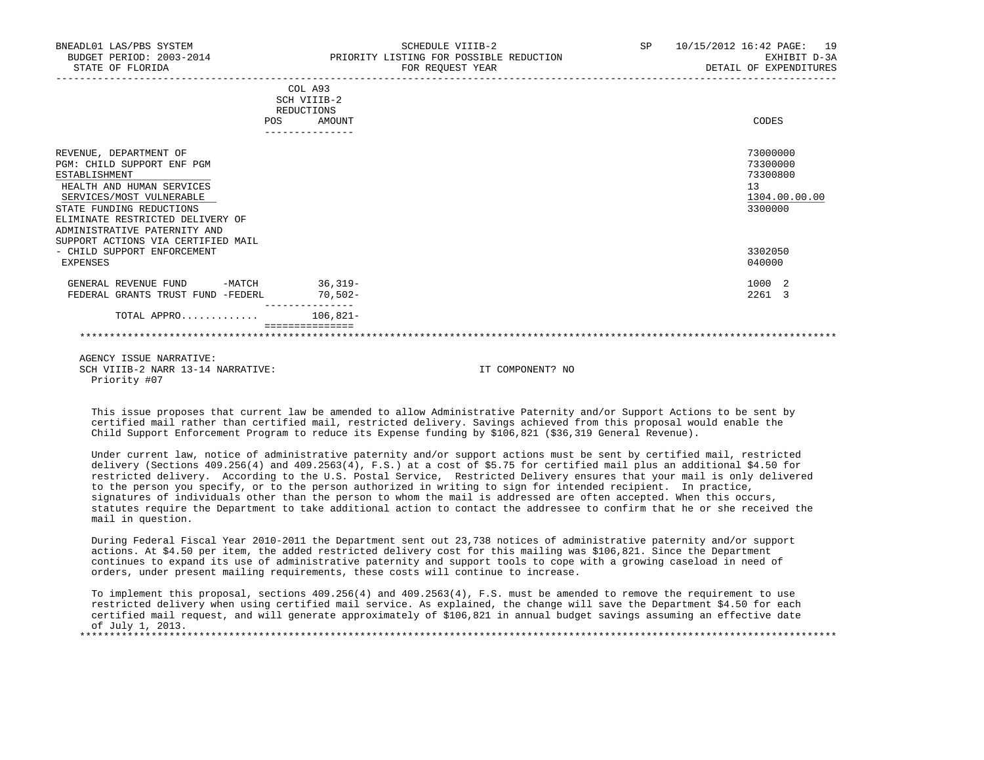| BNEADL01 LAS/PBS SYSTEM<br>BUDGET PERIOD: 2003-2014<br>STATE OF FLORIDA                                                                                                                                                                                              | SCHEDULE VIIIB-2<br>PRIORITY LISTING FOR POSSIBLE REDUCTION<br>FOR REOUEST YEAR | SP <sub>2</sub> | 10/15/2012 16:42 PAGE: 19<br>EXHIBIT D-3A<br>DETAIL OF EXPENDITURES |
|----------------------------------------------------------------------------------------------------------------------------------------------------------------------------------------------------------------------------------------------------------------------|---------------------------------------------------------------------------------|-----------------|---------------------------------------------------------------------|
|                                                                                                                                                                                                                                                                      | COL A93<br>SCH VIIIB-2<br>REDUCTIONS<br>POS<br>AMOUNT<br>---------------        |                 | CODES                                                               |
| REVENUE, DEPARTMENT OF<br>PGM: CHILD SUPPORT ENF PGM<br>ESTABLISHMENT<br>HEALTH AND HUMAN SERVICES<br>SERVICES/MOST VULNERABLE<br>STATE FUNDING REDUCTIONS<br>ELIMINATE RESTRICTED DELIVERY OF<br>ADMINISTRATIVE PATERNITY AND<br>SUPPORT ACTIONS VIA CERTIFIED MAIL |                                                                                 |                 | 73000000<br>73300000<br>73300800<br>13<br>1304.00.00.00<br>3300000  |
| - CHILD SUPPORT ENFORCEMENT<br>EXPENSES                                                                                                                                                                                                                              |                                                                                 |                 | 3302050<br>040000                                                   |
| GENERAL REVENUE FUND -MATCH 36,319-<br>FEDERAL GRANTS TRUST FUND -FEDERL                                                                                                                                                                                             | 70,502-                                                                         |                 | 1000 2<br>2261 3                                                    |
| TOTAL APPRO $106.821 -$                                                                                                                                                                                                                                              |                                                                                 |                 |                                                                     |
|                                                                                                                                                                                                                                                                      |                                                                                 |                 |                                                                     |
|                                                                                                                                                                                                                                                                      |                                                                                 |                 |                                                                     |

 This issue proposes that current law be amended to allow Administrative Paternity and/or Support Actions to be sent by certified mail rather than certified mail, restricted delivery. Savings achieved from this proposal would enable the Child Support Enforcement Program to reduce its Expense funding by \$106,821 (\$36,319 General Revenue).

 Under current law, notice of administrative paternity and/or support actions must be sent by certified mail, restricted delivery (Sections 409.256(4) and 409.2563(4), F.S.) at a cost of \$5.75 for certified mail plus an additional \$4.50 for restricted delivery. According to the U.S. Postal Service, Restricted Delivery ensures that your mail is only delivered to the person you specify, or to the person authorized in writing to sign for intended recipient. In practice, signatures of individuals other than the person to whom the mail is addressed are often accepted. When this occurs, statutes require the Department to take additional action to contact the addressee to confirm that he or she received the mail in question.

 During Federal Fiscal Year 2010-2011 the Department sent out 23,738 notices of administrative paternity and/or support actions. At \$4.50 per item, the added restricted delivery cost for this mailing was \$106,821. Since the Department continues to expand its use of administrative paternity and support tools to cope with a growing caseload in need of orders, under present mailing requirements, these costs will continue to increase.

 To implement this proposal, sections 409.256(4) and 409.2563(4), F.S. must be amended to remove the requirement to use restricted delivery when using certified mail service. As explained, the change will save the Department \$4.50 for each certified mail request, and will generate approximately of \$106,821 in annual budget savings assuming an effective date of July 1, 2013.<br>\*\*\*\*\*\*\*\*\*\*\*\*\*\*\*\*\*\*\*\* \*\*\*\*\*\*\*\*\*\*\*\*\*\*\*\*\*\*\*\*\*\*\*\*\*\*\*\*\*\*\*\*\*\*\*\*\*\*\*\*\*\*\*\*\*\*\*\*\*\*\*\*\*\*\*\*\*\*\*\*\*\*\*\*\*\*\*\*\*\*\*\*\*\*\*\*\*\*\*\*\*\*\*\*\*\*\*\*\*\*\*\*\*\*\*\*\*\*\*\*\*\*\*\*\*\*\*\*\*\*\*\*\*\*\*\*\*\*\*\*\*\*\*\*\*\*\*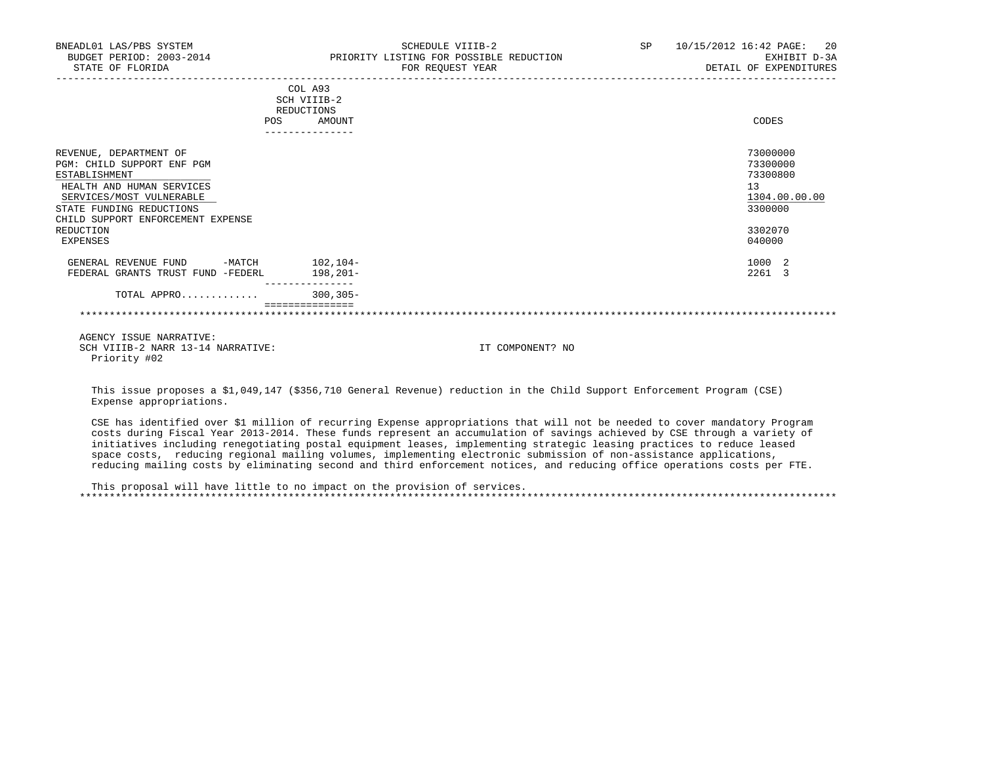| BNEADL01 LAS/PBS SYSTEM<br>BUDGET PERIOD: 2003-2014 PRIORITY LISTING FOR POSSIBLE REDUCTION<br>STATE OF FLORIDA                                                                                              |                                   |                          | SCHEDULE VIIIB-2<br>FOR REQUEST YEAR | SP 10/15/2012 16:42 PAGE: 20<br>EXHIBIT D-3A<br>DETAIL OF EXPENDITURES        |
|--------------------------------------------------------------------------------------------------------------------------------------------------------------------------------------------------------------|-----------------------------------|--------------------------|--------------------------------------|-------------------------------------------------------------------------------|
|                                                                                                                                                                                                              |                                   | COL A93<br>SCH VIIIB-2   |                                      |                                                                               |
|                                                                                                                                                                                                              |                                   | REDUCTIONS<br>POS AMOUNT |                                      | CODES                                                                         |
|                                                                                                                                                                                                              |                                   | ---------------          |                                      |                                                                               |
| REVENUE, DEPARTMENT OF<br>PGM: CHILD SUPPORT ENF PGM<br>ESTABLISHMENT<br>HEALTH AND HUMAN SERVICES<br>SERVICES/MOST VULNERABLE<br>STATE FUNDING REDUCTIONS<br>CHILD SUPPORT ENFORCEMENT EXPENSE<br>REDUCTION |                                   |                          |                                      | 73000000<br>73300000<br>73300800<br>13<br>1304.00.00.00<br>3300000<br>3302070 |
| EXPENSES                                                                                                                                                                                                     |                                   |                          |                                      | 040000                                                                        |
| GENERAL REVENUE FUND -MATCH 102,104-<br>FEDERAL GRANTS TRUST FUND -FEDERL 198,201-                                                                                                                           |                                   |                          |                                      | 1000 2<br>2261 3                                                              |
| TOTAL APPRO 300,305-                                                                                                                                                                                         |                                   | ---------------          |                                      |                                                                               |
|                                                                                                                                                                                                              |                                   | ================         |                                      |                                                                               |
| AGENCY ISSUE NARRATIVE:                                                                                                                                                                                      | SCH VIIIB-2 NARR 13-14 NARRATIVE: |                          | IT COMPONENT? NO                     |                                                                               |

 This issue proposes a \$1,049,147 (\$356,710 General Revenue) reduction in the Child Support Enforcement Program (CSE) Expense appropriations.

 CSE has identified over \$1 million of recurring Expense appropriations that will not be needed to cover mandatory Program costs during Fiscal Year 2013-2014. These funds represent an accumulation of savings achieved by CSE through a variety of initiatives including renegotiating postal equipment leases, implementing strategic leasing practices to reduce leased space costs, reducing regional mailing volumes, implementing electronic submission of non-assistance applications, reducing mailing costs by eliminating second and third enforcement notices, and reducing office operations costs per FTE.

 This proposal will have little to no impact on the provision of services. \*\*\*\*\*\*\*\*\*\*\*\*\*\*\*\*\*\*\*\*\*\*\*\*\*\*\*\*\*\*\*\*\*\*\*\*\*\*\*\*\*\*\*\*\*\*\*\*\*\*\*\*\*\*\*\*\*\*\*\*\*\*\*\*\*\*\*\*\*\*\*\*\*\*\*\*\*\*\*\*\*\*\*\*\*\*\*\*\*\*\*\*\*\*\*\*\*\*\*\*\*\*\*\*\*\*\*\*\*\*\*\*\*\*\*\*\*\*\*\*\*\*\*\*\*\*\*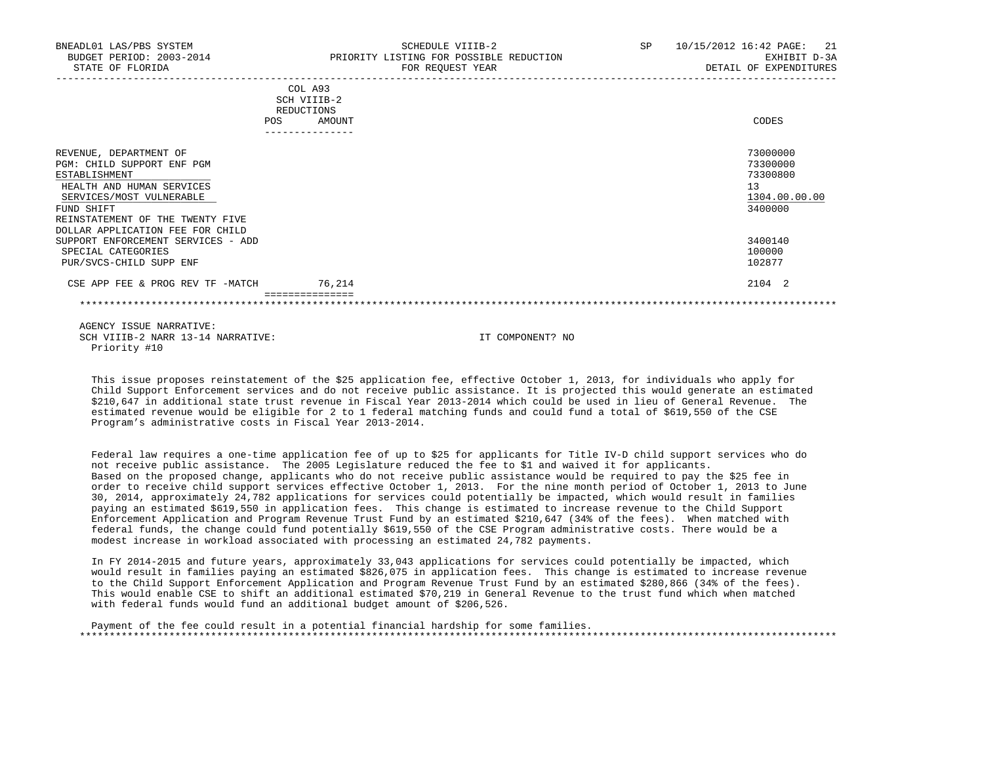| BNEADL01 LAS/PBS SYSTEM<br>BUDGET PERIOD: 2003-2014<br>STATE OF FLORIDA                                                                                                                                              | SCHEDULE VIIIB-2<br>PRIORITY LISTING FOR POSSIBLE REDUCTION<br>FOR REQUEST YEAR | 10/15/2012 16:42 PAGE: 21<br>SP<br>EXHIBIT D-3A<br>DETAIL OF EXPENDITURES |
|----------------------------------------------------------------------------------------------------------------------------------------------------------------------------------------------------------------------|---------------------------------------------------------------------------------|---------------------------------------------------------------------------|
|                                                                                                                                                                                                                      | COL A93<br>SCH VIIIB-2<br>REDUCTIONS<br>POS<br>AMOUNT                           | CODES                                                                     |
| REVENUE, DEPARTMENT OF<br>PGM: CHILD SUPPORT ENF PGM<br>ESTABLISHMENT<br>HEALTH AND HUMAN SERVICES<br>SERVICES/MOST VULNERABLE<br>FUND SHIFT<br>REINSTATEMENT OF THE TWENTY FIVE<br>DOLLAR APPLICATION FEE FOR CHILD |                                                                                 | 73000000<br>73300000<br>73300800<br>13<br>1304.00.00.00<br>3400000        |
| SUPPORT ENFORCEMENT SERVICES - ADD<br>SPECIAL CATEGORIES<br>PUR/SVCS-CHILD SUPP ENF                                                                                                                                  |                                                                                 | 3400140<br>100000<br>102877                                               |
| CSE APP FEE & PROG REV TF -MATCH                                                                                                                                                                                     | 76,214                                                                          | 2104 2                                                                    |

 This issue proposes reinstatement of the \$25 application fee, effective October 1, 2013, for individuals who apply for Child Support Enforcement services and do not receive public assistance. It is projected this would generate an estimated \$210,647 in additional state trust revenue in Fiscal Year 2013-2014 which could be used in lieu of General Revenue. The estimated revenue would be eligible for 2 to 1 federal matching funds and could fund a total of \$619,550 of the CSE Program's administrative costs in Fiscal Year 2013-2014.

 Federal law requires a one-time application fee of up to \$25 for applicants for Title IV-D child support services who do not receive public assistance. The 2005 Legislature reduced the fee to \$1 and waived it for applicants. Based on the proposed change, applicants who do not receive public assistance would be required to pay the \$25 fee in order to receive child support services effective October 1, 2013. For the nine month period of October 1, 2013 to June 30, 2014, approximately 24,782 applications for services could potentially be impacted, which would result in families paying an estimated \$619,550 in application fees. This change is estimated to increase revenue to the Child Support Enforcement Application and Program Revenue Trust Fund by an estimated \$210,647 (34% of the fees). When matched with federal funds, the change could fund potentially \$619,550 of the CSE Program administrative costs. There would be a modest increase in workload associated with processing an estimated 24,782 payments.

 In FY 2014-2015 and future years, approximately 33,043 applications for services could potentially be impacted, which would result in families paying an estimated \$826,075 in application fees. This change is estimated to increase revenue to the Child Support Enforcement Application and Program Revenue Trust Fund by an estimated \$280,866 (34% of the fees). This would enable CSE to shift an additional estimated \$70,219 in General Revenue to the trust fund which when matched with federal funds would fund an additional budget amount of \$206,526.

 Payment of the fee could result in a potential financial hardship for some families. \*\*\*\*\*\*\*\*\*\*\*\*\*\*\*\*\*\*\*\*\*\*\*\*\*\*\*\*\*\*\*\*\*\*\*\*\*\*\*\*\*\*\*\*\*\*\*\*\*\*\*\*\*\*\*\*\*\*\*\*\*\*\*\*\*\*\*\*\*\*\*\*\*\*\*\*\*\*\*\*\*\*\*\*\*\*\*\*\*\*\*\*\*\*\*\*\*\*\*\*\*\*\*\*\*\*\*\*\*\*\*\*\*\*\*\*\*\*\*\*\*\*\*\*\*\*\*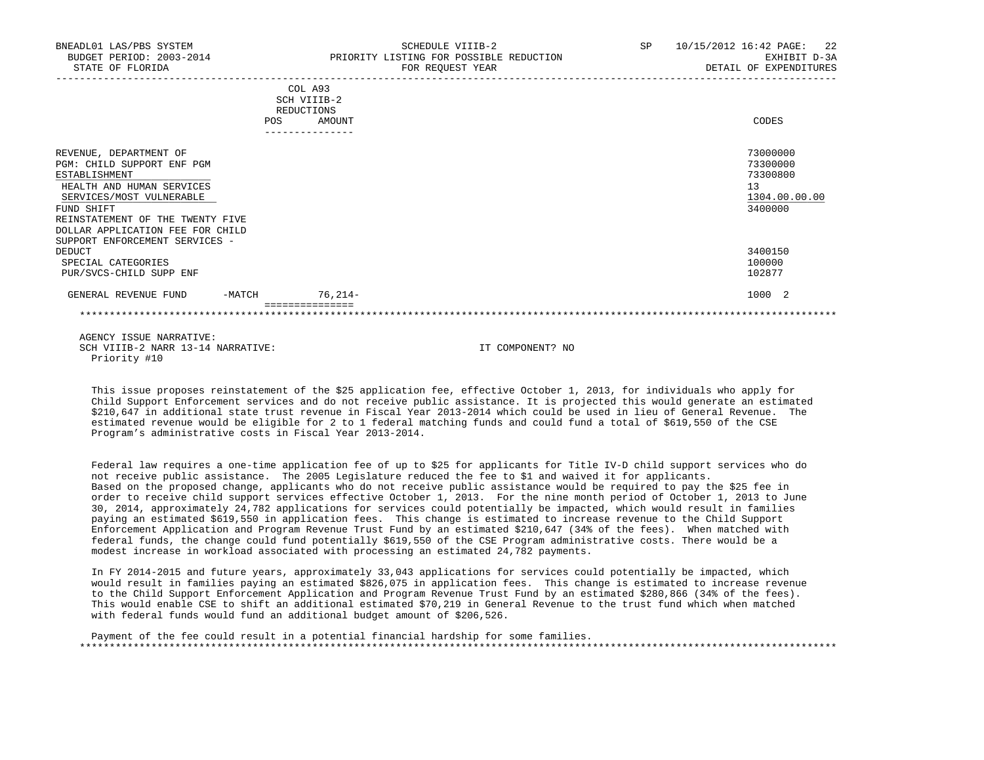| BNEADL01 LAS/PBS SYSTEM<br>BUDGET PERIOD: 2003-2014<br>STATE OF FLORIDA                                                                                                                                                                                |        |                                                                   | SCHEDULE VIIIB-2<br>PRIORITY LISTING FOR POSSIBLE REDUCTION<br>FOR REQUEST YEAR<br>-------------------------------------- | SP 10/15/2012 16:42 PAGE: 22<br>EXHIBIT D-3A<br>DETAIL OF EXPENDITURES |
|--------------------------------------------------------------------------------------------------------------------------------------------------------------------------------------------------------------------------------------------------------|--------|-------------------------------------------------------------------|---------------------------------------------------------------------------------------------------------------------------|------------------------------------------------------------------------|
|                                                                                                                                                                                                                                                        | POS    | COL A93<br>SCH VIIIB-2<br>REDUCTIONS<br>AMOUNT<br>--------------- |                                                                                                                           | CODES                                                                  |
| REVENUE, DEPARTMENT OF<br>PGM: CHILD SUPPORT ENF PGM<br>ESTABLISHMENT<br>HEALTH AND HUMAN SERVICES<br>SERVICES/MOST VULNERABLE<br>FUND SHIFT<br>REINSTATEMENT OF THE TWENTY FIVE<br>DOLLAR APPLICATION FEE FOR CHILD<br>SUPPORT ENFORCEMENT SERVICES - |        |                                                                   |                                                                                                                           | 73000000<br>73300000<br>73300800<br>13<br>1304.00.00.00<br>3400000     |
| DEDUCT<br>SPECIAL CATEGORIES<br>PUR/SVCS-CHILD SUPP ENF                                                                                                                                                                                                |        |                                                                   |                                                                                                                           | 3400150<br>100000<br>102877                                            |
| GENERAL REVENUE FUND                                                                                                                                                                                                                                   | -MATCH | $76.214-$                                                         |                                                                                                                           | 1000 2                                                                 |
|                                                                                                                                                                                                                                                        |        |                                                                   |                                                                                                                           |                                                                        |
| AGENCY ISSUE NARRATIVE:<br>SCH VIIIB-2 NARR 13-14 NARRATIVE:                                                                                                                                                                                           |        |                                                                   | IT COMPONENT? NO                                                                                                          |                                                                        |

 This issue proposes reinstatement of the \$25 application fee, effective October 1, 2013, for individuals who apply for Child Support Enforcement services and do not receive public assistance. It is projected this would generate an estimated \$210,647 in additional state trust revenue in Fiscal Year 2013-2014 which could be used in lieu of General Revenue. The estimated revenue would be eligible for 2 to 1 federal matching funds and could fund a total of \$619,550 of the CSE Program's administrative costs in Fiscal Year 2013-2014.

Priority #10

 Federal law requires a one-time application fee of up to \$25 for applicants for Title IV-D child support services who do not receive public assistance. The 2005 Legislature reduced the fee to \$1 and waived it for applicants. Based on the proposed change, applicants who do not receive public assistance would be required to pay the \$25 fee in order to receive child support services effective October 1, 2013. For the nine month period of October 1, 2013 to June 30, 2014, approximately 24,782 applications for services could potentially be impacted, which would result in families paying an estimated \$619,550 in application fees. This change is estimated to increase revenue to the Child Support Enforcement Application and Program Revenue Trust Fund by an estimated \$210,647 (34% of the fees). When matched with federal funds, the change could fund potentially \$619,550 of the CSE Program administrative costs. There would be a modest increase in workload associated with processing an estimated 24,782 payments.

 In FY 2014-2015 and future years, approximately 33,043 applications for services could potentially be impacted, which would result in families paying an estimated \$826,075 in application fees. This change is estimated to increase revenue to the Child Support Enforcement Application and Program Revenue Trust Fund by an estimated \$280,866 (34% of the fees). This would enable CSE to shift an additional estimated \$70,219 in General Revenue to the trust fund which when matched with federal funds would fund an additional budget amount of \$206,526.

 Payment of the fee could result in a potential financial hardship for some families. \*\*\*\*\*\*\*\*\*\*\*\*\*\*\*\*\*\*\*\*\*\*\*\*\*\*\*\*\*\*\*\*\*\*\*\*\*\*\*\*\*\*\*\*\*\*\*\*\*\*\*\*\*\*\*\*\*\*\*\*\*\*\*\*\*\*\*\*\*\*\*\*\*\*\*\*\*\*\*\*\*\*\*\*\*\*\*\*\*\*\*\*\*\*\*\*\*\*\*\*\*\*\*\*\*\*\*\*\*\*\*\*\*\*\*\*\*\*\*\*\*\*\*\*\*\*\*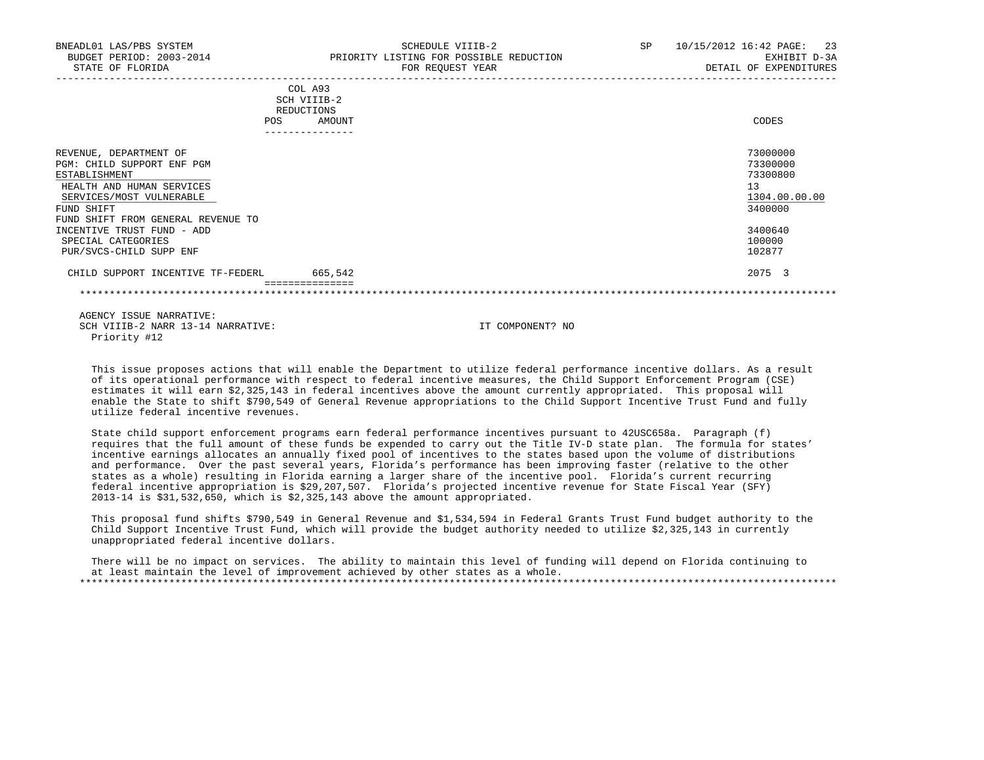| BNEADL01 LAS/PBS SYSTEM<br>BUDGET PERIOD: 2003-2014<br>STATE OF FLORIDA                                                                                                                                          | SCHEDULE VIIIB-2<br>PRIORITY LISTING FOR POSSIBLE REDUCTION<br>FOR REQUEST YEAR        | SP<br>10/15/2012 16:42 PAGE:<br>23<br>EXHIBIT D-3A<br>DETAIL OF EXPENDITURES  |
|------------------------------------------------------------------------------------------------------------------------------------------------------------------------------------------------------------------|----------------------------------------------------------------------------------------|-------------------------------------------------------------------------------|
|                                                                                                                                                                                                                  | COL A93<br>SCH VIIIB-2<br>REDUCTIONS<br>POS<br>AMOUNT<br>. _ _ _ _ _ _ _ _ _ _ _ _ _ _ | CODES                                                                         |
| REVENUE, DEPARTMENT OF<br>PGM: CHILD SUPPORT ENF PGM<br>ESTABLISHMENT<br>HEALTH AND HUMAN SERVICES<br>SERVICES/MOST VULNERABLE<br>FUND SHIFT<br>FUND SHIFT FROM GENERAL REVENUE TO<br>INCENTIVE TRUST FUND - ADD |                                                                                        | 73000000<br>73300000<br>73300800<br>13<br>1304.00.00.00<br>3400000<br>3400640 |
| SPECIAL CATEGORIES<br>PUR/SVCS-CHILD SUPP ENF                                                                                                                                                                    |                                                                                        | 100000<br>102877                                                              |
| CHILD SUPPORT INCENTIVE TF-FEDERL                                                                                                                                                                                | 665,542                                                                                | 2075 3                                                                        |

 This issue proposes actions that will enable the Department to utilize federal performance incentive dollars. As a result of its operational performance with respect to federal incentive measures, the Child Support Enforcement Program (CSE) estimates it will earn \$2,325,143 in federal incentives above the amount currently appropriated. This proposal will enable the State to shift \$790,549 of General Revenue appropriations to the Child Support Incentive Trust Fund and fully utilize federal incentive revenues.

 State child support enforcement programs earn federal performance incentives pursuant to 42USC658a. Paragraph (f) requires that the full amount of these funds be expended to carry out the Title IV-D state plan. The formula for states' incentive earnings allocates an annually fixed pool of incentives to the states based upon the volume of distributions and performance. Over the past several years, Florida's performance has been improving faster (relative to the other states as a whole) resulting in Florida earning a larger share of the incentive pool. Florida's current recurring federal incentive appropriation is \$29,207,507. Florida's projected incentive revenue for State Fiscal Year (SFY) 2013-14 is \$31,532,650, which is \$2,325,143 above the amount appropriated.

 This proposal fund shifts \$790,549 in General Revenue and \$1,534,594 in Federal Grants Trust Fund budget authority to the Child Support Incentive Trust Fund, which will provide the budget authority needed to utilize \$2,325,143 in currently unappropriated federal incentive dollars.

 There will be no impact on services. The ability to maintain this level of funding will depend on Florida continuing to at least maintain the level of improvement achieved by other states as a whole. \*\*\*\*\*\*\*\*\*\*\*\*\*\*\*\*\*\*\*\*\*\*\*\*\*\*\*\*\*\*\*\*\*\*\*\*\*\*\*\*\*\*\*\*\*\*\*\*\*\*\*\*\*\*\*\*\*\*\*\*\*\*\*\*\*\*\*\*\*\*\*\*\*\*\*\*\*\*\*\*\*\*\*\*\*\*\*\*\*\*\*\*\*\*\*\*\*\*\*\*\*\*\*\*\*\*\*\*\*\*\*\*\*\*\*\*\*\*\*\*\*\*\*\*\*\*\*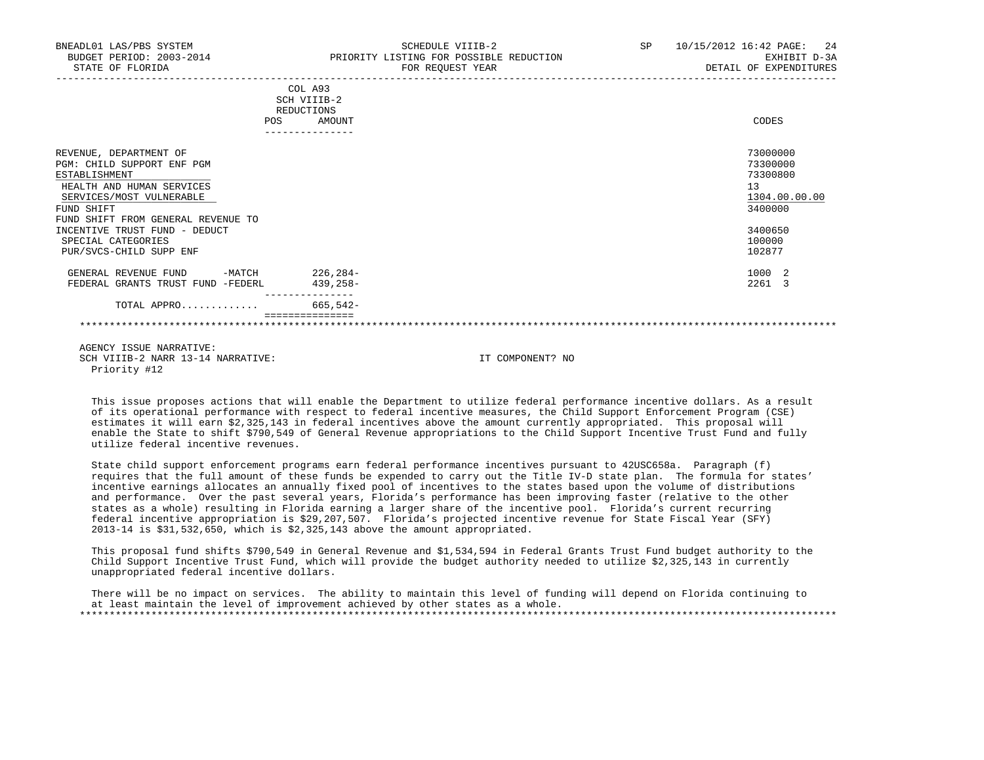| BNEADL01 LAS/PBS SYSTEM<br>BUDGET PERIOD: 2003-2014<br>STATE OF FLORIDA                                                                                                                                                                                              |     |                                                | SCHEDULE VIIIB-2<br>PRIORITY LISTING FOR POSSIBLE REDUCTION<br>FOR REQUEST YEAR | SP 10/15/2012 16:42 PAGE: 24<br>EXHIBIT D-3A<br>DETAIL OF EXPENDITURES                            |
|----------------------------------------------------------------------------------------------------------------------------------------------------------------------------------------------------------------------------------------------------------------------|-----|------------------------------------------------|---------------------------------------------------------------------------------|---------------------------------------------------------------------------------------------------|
|                                                                                                                                                                                                                                                                      | POS | COL A93<br>SCH VIIIB-2<br>REDUCTIONS<br>AMOUNT |                                                                                 | CODES                                                                                             |
| REVENUE, DEPARTMENT OF<br>PGM: CHILD SUPPORT ENF PGM<br>ESTABLISHMENT<br>HEALTH AND HUMAN SERVICES<br>SERVICES/MOST VULNERABLE<br>FUND SHIFT<br>FUND SHIFT FROM GENERAL REVENUE TO<br>INCENTIVE TRUST FUND - DEDUCT<br>SPECIAL CATEGORIES<br>PUR/SVCS-CHILD SUPP ENF |     |                                                |                                                                                 | 73000000<br>73300000<br>73300800<br>13<br>1304.00.00.00<br>3400000<br>3400650<br>100000<br>102877 |
| GENERAL REVENUE FUND -MATCH 226,284-<br>FEDERAL GRANTS TRUST FUND -FEDERL<br>TOTAL APPRO                                                                                                                                                                             |     | 439,258-<br>665,542-                           |                                                                                 | 1000 2<br>2261 3                                                                                  |
|                                                                                                                                                                                                                                                                      |     | ===============                                |                                                                                 |                                                                                                   |

 This issue proposes actions that will enable the Department to utilize federal performance incentive dollars. As a result of its operational performance with respect to federal incentive measures, the Child Support Enforcement Program (CSE) estimates it will earn \$2,325,143 in federal incentives above the amount currently appropriated. This proposal will enable the State to shift \$790,549 of General Revenue appropriations to the Child Support Incentive Trust Fund and fully utilize federal incentive revenues.

 State child support enforcement programs earn federal performance incentives pursuant to 42USC658a. Paragraph (f) requires that the full amount of these funds be expended to carry out the Title IV-D state plan. The formula for states' incentive earnings allocates an annually fixed pool of incentives to the states based upon the volume of distributions and performance. Over the past several years, Florida's performance has been improving faster (relative to the other states as a whole) resulting in Florida earning a larger share of the incentive pool. Florida's current recurring federal incentive appropriation is \$29,207,507. Florida's projected incentive revenue for State Fiscal Year (SFY) 2013-14 is \$31,532,650, which is \$2,325,143 above the amount appropriated.

 This proposal fund shifts \$790,549 in General Revenue and \$1,534,594 in Federal Grants Trust Fund budget authority to the Child Support Incentive Trust Fund, which will provide the budget authority needed to utilize \$2,325,143 in currently unappropriated federal incentive dollars.

 There will be no impact on services. The ability to maintain this level of funding will depend on Florida continuing to at least maintain the level of improvement achieved by other states as a whole. \*\*\*\*\*\*\*\*\*\*\*\*\*\*\*\*\*\*\*\*\*\*\*\*\*\*\*\*\*\*\*\*\*\*\*\*\*\*\*\*\*\*\*\*\*\*\*\*\*\*\*\*\*\*\*\*\*\*\*\*\*\*\*\*\*\*\*\*\*\*\*\*\*\*\*\*\*\*\*\*\*\*\*\*\*\*\*\*\*\*\*\*\*\*\*\*\*\*\*\*\*\*\*\*\*\*\*\*\*\*\*\*\*\*\*\*\*\*\*\*\*\*\*\*\*\*\*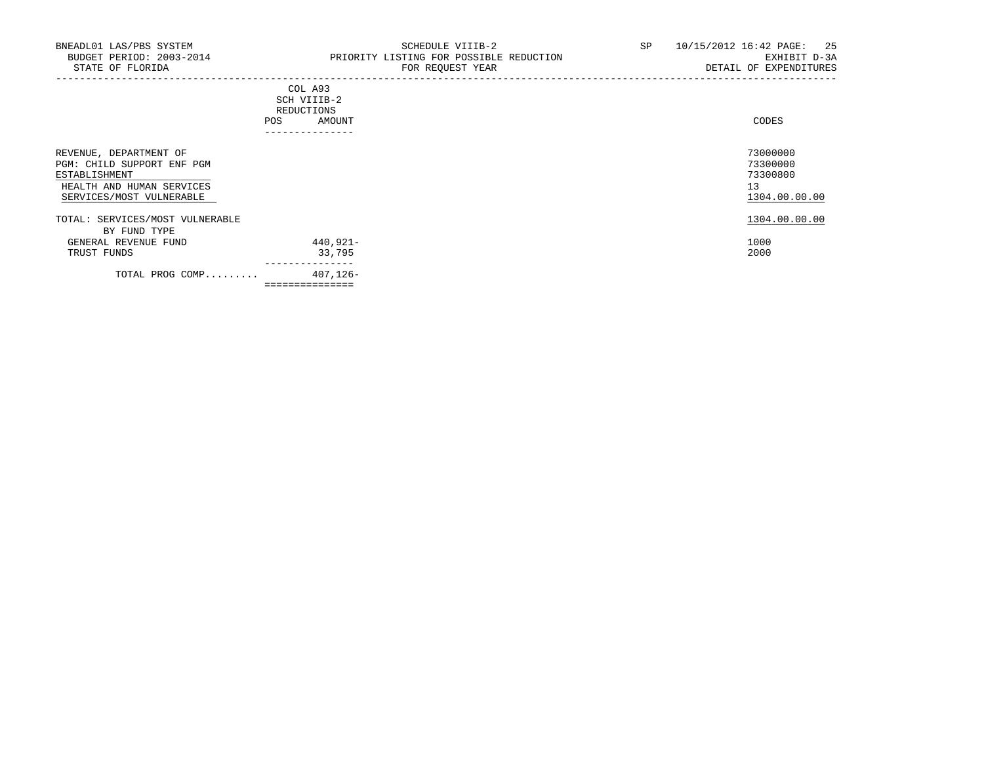-----------------------------------------------------------------------------------------------------------------------------------

|            | _______________ |       |
|------------|-----------------|-------|
| POS        | AMOUNT          | CODES |
| REDUCTIONS |                 |       |
|            | SCH VIIIB-2     |       |
|            | COL A93         |       |

| REVENUE, DEPARTMENT OF<br>PGM: CHILD SUPPORT ENF PGM<br>ESTABLISHMENT<br>HEALTH AND HUMAN SERVICES<br>SERVICES/MOST VULNERABLE |                | 73000000<br>73300000<br>73300800<br>13<br>1304.00.00.00 |
|--------------------------------------------------------------------------------------------------------------------------------|----------------|---------------------------------------------------------|
| TOTAL: SERVICES/MOST VULNERABLE<br>BY FUND TYPE                                                                                |                | 1304.00.00.00                                           |
| GENERAL REVENUE FUND                                                                                                           | 440,921-       | 1000                                                    |
| TRUST FUNDS                                                                                                                    | 33,795         | 2000                                                    |
| TOTAL PROG COMP                                                                                                                | 407,126-       |                                                         |
|                                                                                                                                | ============== |                                                         |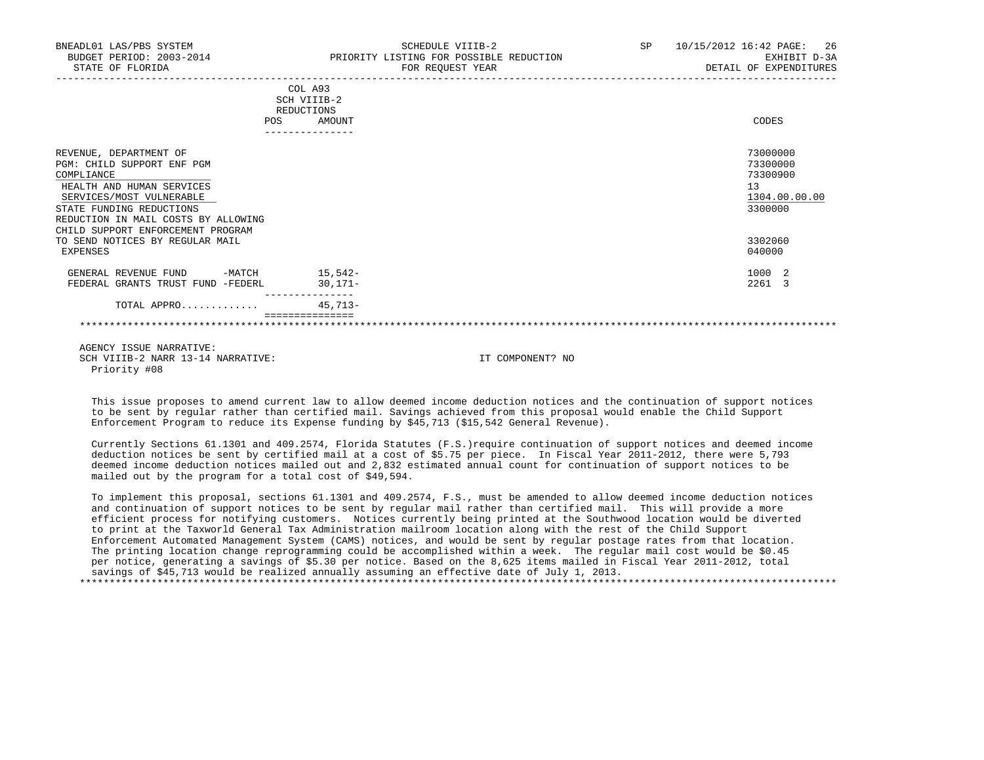| BNEADL01 LAS/PBS SYSTEM<br>BUDGET PERIOD: 2003-2014<br>STATE OF FLORIDA                                                                                                                                                             |     | SCHEDULE VIIIB-2<br>PRIORITY LISTING FOR POSSIBLE REDUCTION<br>FOR REQUEST YEAR |  | SP 10/15/2012 16:42 PAGE: 26<br>EXHIBIT D-3A<br>DETAIL OF EXPENDITURES |
|-------------------------------------------------------------------------------------------------------------------------------------------------------------------------------------------------------------------------------------|-----|---------------------------------------------------------------------------------|--|------------------------------------------------------------------------|
|                                                                                                                                                                                                                                     | POS | COL A93<br>SCH VIIIB-2<br>REDUCTIONS<br>AMOUNT                                  |  | CODES                                                                  |
| REVENUE, DEPARTMENT OF<br>PGM: CHILD SUPPORT ENF PGM<br>COMPLIANCE<br>HEALTH AND HUMAN SERVICES<br>SERVICES/MOST VULNERABLE<br>STATE FUNDING REDUCTIONS<br>REDUCTION IN MAIL COSTS BY ALLOWING<br>CHILD SUPPORT ENFORCEMENT PROGRAM |     |                                                                                 |  | 73000000<br>73300000<br>73300900<br>13<br>1304.00.00.00<br>3300000     |
| TO SEND NOTICES BY REGULAR MAIL<br>EXPENSES                                                                                                                                                                                         |     |                                                                                 |  | 3302060<br>040000                                                      |
| GENERAL REVENUE FUND -MATCH 15,542-<br>FEDERAL GRANTS TRUST FUND -FEDERL                                                                                                                                                            |     | $30.171 -$                                                                      |  | 1000 2<br>2261 3                                                       |
| TOTAL APPRO                                                                                                                                                                                                                         |     | $45.713-$                                                                       |  |                                                                        |
| 1.07117011 7.01117 111.011777                                                                                                                                                                                                       |     |                                                                                 |  |                                                                        |

 This issue proposes to amend current law to allow deemed income deduction notices and the continuation of support notices to be sent by regular rather than certified mail. Savings achieved from this proposal would enable the Child Support Enforcement Program to reduce its Expense funding by \$45,713 (\$15,542 General Revenue).

 Currently Sections 61.1301 and 409.2574, Florida Statutes (F.S.)require continuation of support notices and deemed income deduction notices be sent by certified mail at a cost of \$5.75 per piece. In Fiscal Year 2011-2012, there were 5,793 deemed income deduction notices mailed out and 2,832 estimated annual count for continuation of support notices to be mailed out by the program for a total cost of \$49,594.

 To implement this proposal, sections 61.1301 and 409.2574, F.S., must be amended to allow deemed income deduction notices and continuation of support notices to be sent by regular mail rather than certified mail. This will provide a more efficient process for notifying customers. Notices currently being printed at the Southwood location would be diverted to print at the Taxworld General Tax Administration mailroom location along with the rest of the Child Support Enforcement Automated Management System (CAMS) notices, and would be sent by regular postage rates from that location. The printing location change reprogramming could be accomplished within a week. The regular mail cost would be \$0.45 per notice, generating a savings of \$5.30 per notice. Based on the 8,625 items mailed in Fiscal Year 2011-2012, total savings of \$45,713 would be realized annually assuming an effective date of July 1, 2013.

\*\*\*\*\*\*\*\*\*\*\*\*\*\*\*\*\*\*\*\*\*\*\*\*\*\*\*\*\*\*\*\*\*\*\*\*\*\*\*\*\*\*\*\*\*\*\*\*\*\*\*\*\*\*\*\*\*\*\*\*\*\*\*\*\*\*\*\*\*\*\*\*\*\*\*\*\*\*\*\*\*\*\*\*\*\*\*\*\*\*\*\*\*\*\*\*\*\*\*\*\*\*\*\*\*\*\*\*\*\*\*\*\*\*\*\*\*\*\*\*\*\*\*\*\*\*\*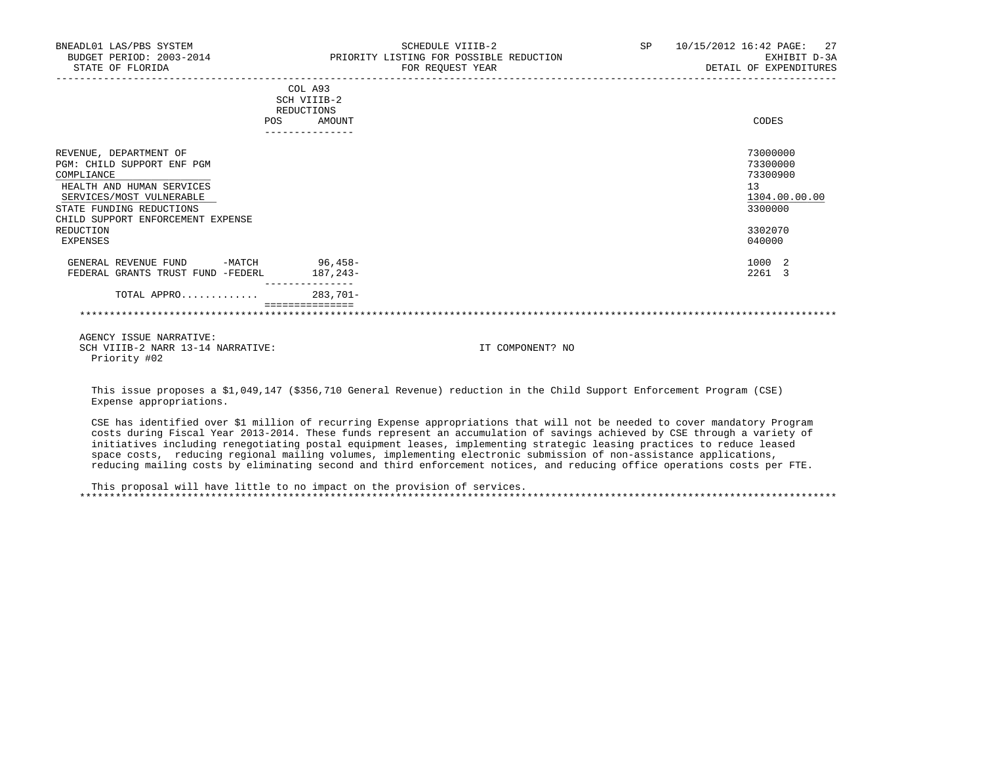| BNEADL01 LAS/PBS SYSTEM<br>BUDGET PERIOD: 2003-2014 PRIORITY LISTING FOR POSSIBLE REDUCTION<br>STATE OF FLORIDA                                                                                                       |                                | SCHEDULE VIIIB-2<br>FOR REQUEST YEAR                                                                                   |  | SP 10/15/2012 16:42 PAGE: 27<br>EXHIBIT D-3A<br>DETAIL OF EXPENDITURES                  |
|-----------------------------------------------------------------------------------------------------------------------------------------------------------------------------------------------------------------------|--------------------------------|------------------------------------------------------------------------------------------------------------------------|--|-----------------------------------------------------------------------------------------|
|                                                                                                                                                                                                                       | COL A93<br>SCH VIIIB-2         |                                                                                                                        |  |                                                                                         |
|                                                                                                                                                                                                                       | REDUCTIONS                     |                                                                                                                        |  |                                                                                         |
| POS                                                                                                                                                                                                                   | AMOUNT<br>---------------      |                                                                                                                        |  | CODES                                                                                   |
| REVENUE, DEPARTMENT OF<br>PGM: CHILD SUPPORT ENF PGM<br>COMPLIANCE<br>HEALTH AND HUMAN SERVICES<br>SERVICES/MOST VULNERABLE<br>STATE FUNDING REDUCTIONS<br>CHILD SUPPORT ENFORCEMENT EXPENSE<br>REDUCTION<br>EXPENSES |                                |                                                                                                                        |  | 73000000<br>73300000<br>73300900<br>13<br>1304.00.00.00<br>3300000<br>3302070<br>040000 |
| GENERAL REVENUE FUND -MATCH 96,458-                                                                                                                                                                                   |                                |                                                                                                                        |  | 1000 2                                                                                  |
| FEDERAL GRANTS TRUST FUND -FEDERL                                                                                                                                                                                     | 187,243-                       |                                                                                                                        |  | 2261 3                                                                                  |
| TOTAL APPRO                                                                                                                                                                                                           | ---------------<br>$283.701 -$ |                                                                                                                        |  |                                                                                         |
|                                                                                                                                                                                                                       |                                |                                                                                                                        |  |                                                                                         |
| AGENCY ISSUE NARRATIVE:<br>SCH VIIIB-2 NARR 13-14 NARRATIVE:<br>Priority #02                                                                                                                                          |                                | IT COMPONENT? NO                                                                                                       |  |                                                                                         |
|                                                                                                                                                                                                                       |                                | This issue proposes a \$1,049,147 (\$356,710 General Revenue) reduction in the Child Support Enforcement Program (CSE) |  |                                                                                         |

Expense appropriations.

 CSE has identified over \$1 million of recurring Expense appropriations that will not be needed to cover mandatory Program costs during Fiscal Year 2013-2014. These funds represent an accumulation of savings achieved by CSE through a variety of initiatives including renegotiating postal equipment leases, implementing strategic leasing practices to reduce leased space costs, reducing regional mailing volumes, implementing electronic submission of non-assistance applications, reducing mailing costs by eliminating second and third enforcement notices, and reducing office operations costs per FTE.

 This proposal will have little to no impact on the provision of services. \*\*\*\*\*\*\*\*\*\*\*\*\*\*\*\*\*\*\*\*\*\*\*\*\*\*\*\*\*\*\*\*\*\*\*\*\*\*\*\*\*\*\*\*\*\*\*\*\*\*\*\*\*\*\*\*\*\*\*\*\*\*\*\*\*\*\*\*\*\*\*\*\*\*\*\*\*\*\*\*\*\*\*\*\*\*\*\*\*\*\*\*\*\*\*\*\*\*\*\*\*\*\*\*\*\*\*\*\*\*\*\*\*\*\*\*\*\*\*\*\*\*\*\*\*\*\*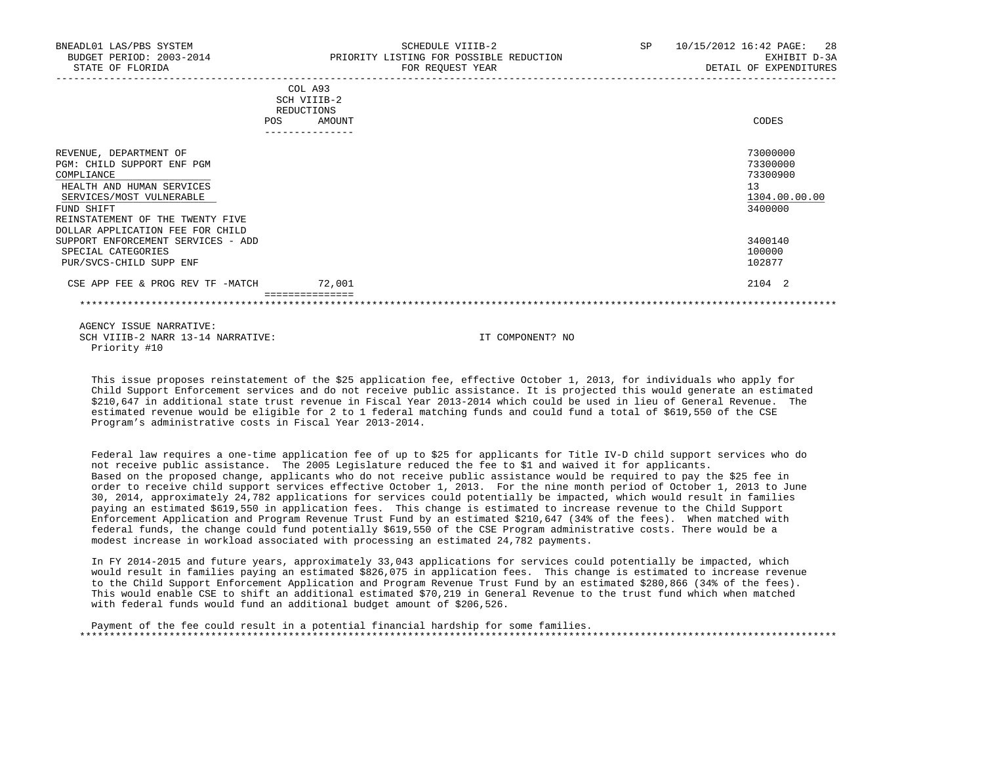| BNEADL01 LAS/PBS SYSTEM<br>BUDGET PERIOD: 2003-2014<br>STATE OF FLORIDA                                                                                                                                                                                 | SCHEDULE VIIIB-2<br>PRIORITY LISTING FOR POSSIBLE REDUCTION<br>FOR REQUEST YEAR | SP | 28<br>10/15/2012 16:42 PAGE:<br>EXHIBIT D-3A<br>DETAIL OF EXPENDITURES        |
|---------------------------------------------------------------------------------------------------------------------------------------------------------------------------------------------------------------------------------------------------------|---------------------------------------------------------------------------------|----|-------------------------------------------------------------------------------|
|                                                                                                                                                                                                                                                         | COL A93<br>SCH VIIIB-2<br>REDUCTIONS<br><b>POS</b><br>AMOUNT                    |    | CODES                                                                         |
| REVENUE, DEPARTMENT OF<br>PGM: CHILD SUPPORT ENF PGM<br>COMPLIANCE<br>HEALTH AND HUMAN SERVICES<br>SERVICES/MOST VULNERABLE<br>FUND SHIFT<br>REINSTATEMENT OF THE TWENTY FIVE<br>DOLLAR APPLICATION FEE FOR CHILD<br>SUPPORT ENFORCEMENT SERVICES - ADD |                                                                                 |    | 73000000<br>73300000<br>73300900<br>13<br>1304.00.00.00<br>3400000<br>3400140 |
| SPECIAL CATEGORIES<br>PUR/SVCS-CHILD SUPP ENF                                                                                                                                                                                                           |                                                                                 |    | 100000<br>102877                                                              |
| CSE APP FEE & PROG REV TF -MATCH                                                                                                                                                                                                                        | 72,001                                                                          |    | 2104 2                                                                        |

 This issue proposes reinstatement of the \$25 application fee, effective October 1, 2013, for individuals who apply for Child Support Enforcement services and do not receive public assistance. It is projected this would generate an estimated \$210,647 in additional state trust revenue in Fiscal Year 2013-2014 which could be used in lieu of General Revenue. The estimated revenue would be eligible for 2 to 1 federal matching funds and could fund a total of \$619,550 of the CSE Program's administrative costs in Fiscal Year 2013-2014.

 Federal law requires a one-time application fee of up to \$25 for applicants for Title IV-D child support services who do not receive public assistance. The 2005 Legislature reduced the fee to \$1 and waived it for applicants. Based on the proposed change, applicants who do not receive public assistance would be required to pay the \$25 fee in order to receive child support services effective October 1, 2013. For the nine month period of October 1, 2013 to June 30, 2014, approximately 24,782 applications for services could potentially be impacted, which would result in families paying an estimated \$619,550 in application fees. This change is estimated to increase revenue to the Child Support Enforcement Application and Program Revenue Trust Fund by an estimated \$210,647 (34% of the fees). When matched with federal funds, the change could fund potentially \$619,550 of the CSE Program administrative costs. There would be a modest increase in workload associated with processing an estimated 24,782 payments.

 In FY 2014-2015 and future years, approximately 33,043 applications for services could potentially be impacted, which would result in families paying an estimated \$826,075 in application fees. This change is estimated to increase revenue to the Child Support Enforcement Application and Program Revenue Trust Fund by an estimated \$280,866 (34% of the fees). This would enable CSE to shift an additional estimated \$70,219 in General Revenue to the trust fund which when matched with federal funds would fund an additional budget amount of \$206,526.

 Payment of the fee could result in a potential financial hardship for some families. \*\*\*\*\*\*\*\*\*\*\*\*\*\*\*\*\*\*\*\*\*\*\*\*\*\*\*\*\*\*\*\*\*\*\*\*\*\*\*\*\*\*\*\*\*\*\*\*\*\*\*\*\*\*\*\*\*\*\*\*\*\*\*\*\*\*\*\*\*\*\*\*\*\*\*\*\*\*\*\*\*\*\*\*\*\*\*\*\*\*\*\*\*\*\*\*\*\*\*\*\*\*\*\*\*\*\*\*\*\*\*\*\*\*\*\*\*\*\*\*\*\*\*\*\*\*\*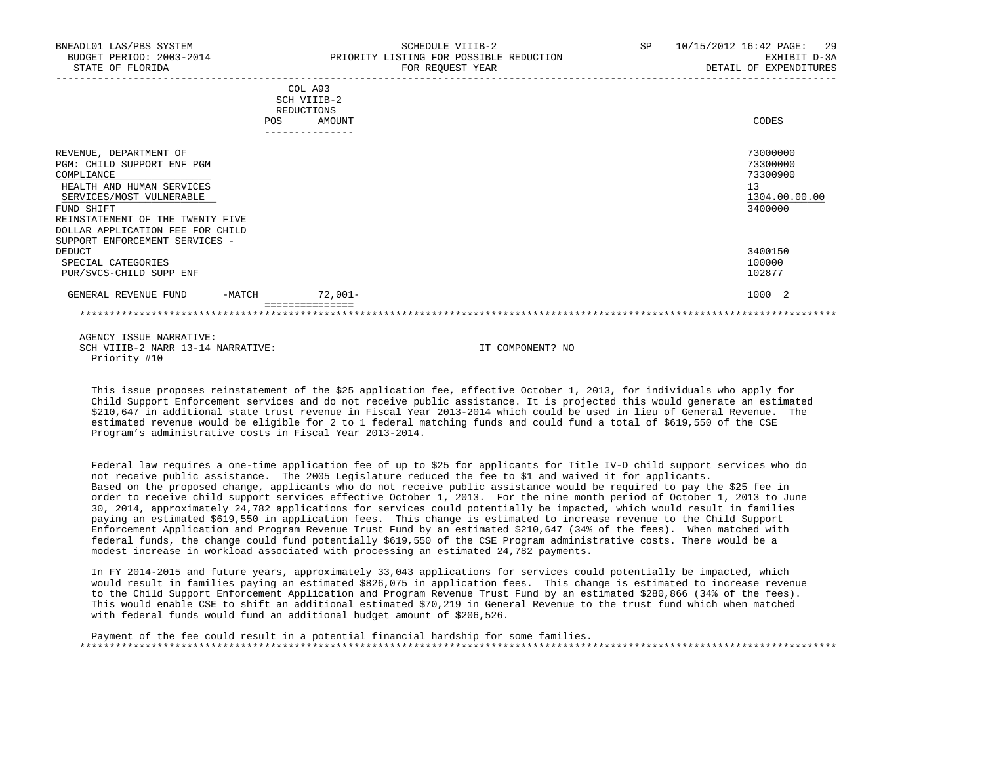| BNEADL01 LAS/PBS SYSTEM<br>BUDGET PERIOD: 2003-2014<br>STATE OF FLORIDA                                                                                                                                                                             |        |                                                                   | SCHEDULE VIIIB-2<br>PRIORITY LISTING FOR POSSIBLE REDUCTION<br>FOR REQUEST YEAR | SP 10/15/2012 16:42 PAGE: 29<br>EXHIBIT D-3A<br>DETAIL OF EXPENDITURES |
|-----------------------------------------------------------------------------------------------------------------------------------------------------------------------------------------------------------------------------------------------------|--------|-------------------------------------------------------------------|---------------------------------------------------------------------------------|------------------------------------------------------------------------|
|                                                                                                                                                                                                                                                     | POS    | COL A93<br>SCH VIIIB-2<br>REDUCTIONS<br>AMOUNT<br>--------------- |                                                                                 | CODES                                                                  |
| REVENUE, DEPARTMENT OF<br>PGM: CHILD SUPPORT ENF PGM<br>COMPLIANCE<br>HEALTH AND HUMAN SERVICES<br>SERVICES/MOST VULNERABLE<br>FUND SHIFT<br>REINSTATEMENT OF THE TWENTY FIVE<br>DOLLAR APPLICATION FEE FOR CHILD<br>SUPPORT ENFORCEMENT SERVICES - |        |                                                                   |                                                                                 | 73000000<br>73300000<br>73300900<br>13<br>1304.00.00.00<br>3400000     |
| DEDUCT<br>SPECIAL CATEGORIES<br>PUR/SVCS-CHILD SUPP ENF                                                                                                                                                                                             |        |                                                                   |                                                                                 | 3400150<br>100000<br>102877                                            |
| GENERAL REVENUE FUND                                                                                                                                                                                                                                | -MATCH | 72,001-                                                           |                                                                                 | 1000 2                                                                 |
|                                                                                                                                                                                                                                                     |        |                                                                   |                                                                                 |                                                                        |
| AGENCY ISSUE NARRATIVE:<br>SCH VIIIB-2 NARR 13-14 NARRATIVE:                                                                                                                                                                                        |        |                                                                   | IT COMPONENT? NO                                                                |                                                                        |

 This issue proposes reinstatement of the \$25 application fee, effective October 1, 2013, for individuals who apply for Child Support Enforcement services and do not receive public assistance. It is projected this would generate an estimated \$210,647 in additional state trust revenue in Fiscal Year 2013-2014 which could be used in lieu of General Revenue. The estimated revenue would be eligible for 2 to 1 federal matching funds and could fund a total of \$619,550 of the CSE Program's administrative costs in Fiscal Year 2013-2014.

Priority #10

 Federal law requires a one-time application fee of up to \$25 for applicants for Title IV-D child support services who do not receive public assistance. The 2005 Legislature reduced the fee to \$1 and waived it for applicants. Based on the proposed change, applicants who do not receive public assistance would be required to pay the \$25 fee in order to receive child support services effective October 1, 2013. For the nine month period of October 1, 2013 to June 30, 2014, approximately 24,782 applications for services could potentially be impacted, which would result in families paying an estimated \$619,550 in application fees. This change is estimated to increase revenue to the Child Support Enforcement Application and Program Revenue Trust Fund by an estimated \$210,647 (34% of the fees). When matched with federal funds, the change could fund potentially \$619,550 of the CSE Program administrative costs. There would be a modest increase in workload associated with processing an estimated 24,782 payments.

 In FY 2014-2015 and future years, approximately 33,043 applications for services could potentially be impacted, which would result in families paying an estimated \$826,075 in application fees. This change is estimated to increase revenue to the Child Support Enforcement Application and Program Revenue Trust Fund by an estimated \$280,866 (34% of the fees). This would enable CSE to shift an additional estimated \$70,219 in General Revenue to the trust fund which when matched with federal funds would fund an additional budget amount of \$206,526.

 Payment of the fee could result in a potential financial hardship for some families. \*\*\*\*\*\*\*\*\*\*\*\*\*\*\*\*\*\*\*\*\*\*\*\*\*\*\*\*\*\*\*\*\*\*\*\*\*\*\*\*\*\*\*\*\*\*\*\*\*\*\*\*\*\*\*\*\*\*\*\*\*\*\*\*\*\*\*\*\*\*\*\*\*\*\*\*\*\*\*\*\*\*\*\*\*\*\*\*\*\*\*\*\*\*\*\*\*\*\*\*\*\*\*\*\*\*\*\*\*\*\*\*\*\*\*\*\*\*\*\*\*\*\*\*\*\*\*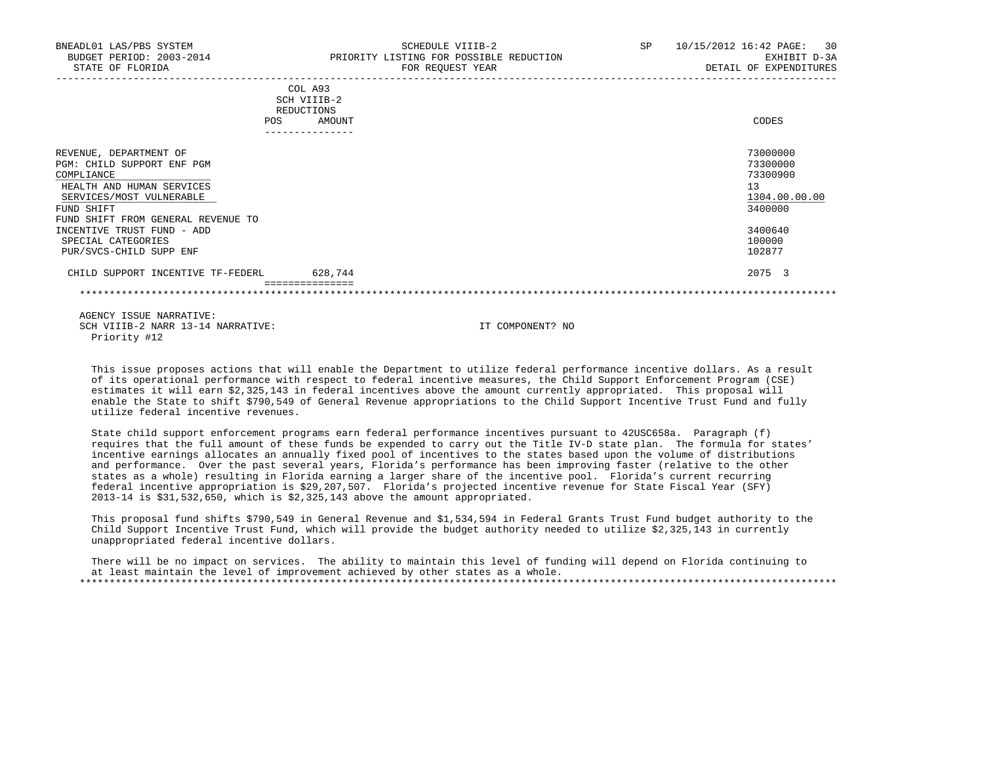| BNEADL01 LAS/PBS SYSTEM<br>BUDGET PERIOD: 2003-2014<br>STATE OF FLORIDA                                                                                                                                                                                        | SCHEDULE VIIIB-2<br>PRIORITY LISTING FOR POSSIBLE REDUCTION<br>FOR REQUEST YEAR | SP | 10/15/2012 16:42 PAGE:<br>30<br>EXHIBIT D-3A<br>DETAIL OF EXPENDITURES                            |
|----------------------------------------------------------------------------------------------------------------------------------------------------------------------------------------------------------------------------------------------------------------|---------------------------------------------------------------------------------|----|---------------------------------------------------------------------------------------------------|
| POS.                                                                                                                                                                                                                                                           | COL A93<br>SCH VIIIB-2<br>REDUCTIONS<br>AMOUNT                                  |    | CODES                                                                                             |
| REVENUE, DEPARTMENT OF<br>PGM: CHILD SUPPORT ENF PGM<br>COMPLIANCE<br>HEALTH AND HUMAN SERVICES<br>SERVICES/MOST VULNERABLE<br>FUND SHIFT<br>FUND SHIFT FROM GENERAL REVENUE TO<br>INCENTIVE TRUST FUND - ADD<br>SPECIAL CATEGORIES<br>PUR/SVCS-CHILD SUPP ENF |                                                                                 |    | 73000000<br>73300000<br>73300900<br>13<br>1304.00.00.00<br>3400000<br>3400640<br>100000<br>102877 |
| CHILD SUPPORT INCENTIVE TF-FEDERL                                                                                                                                                                                                                              | 628,744                                                                         |    | 2075 3                                                                                            |

 This issue proposes actions that will enable the Department to utilize federal performance incentive dollars. As a result of its operational performance with respect to federal incentive measures, the Child Support Enforcement Program (CSE) estimates it will earn \$2,325,143 in federal incentives above the amount currently appropriated. This proposal will enable the State to shift \$790,549 of General Revenue appropriations to the Child Support Incentive Trust Fund and fully utilize federal incentive revenues.

 State child support enforcement programs earn federal performance incentives pursuant to 42USC658a. Paragraph (f) requires that the full amount of these funds be expended to carry out the Title IV-D state plan. The formula for states' incentive earnings allocates an annually fixed pool of incentives to the states based upon the volume of distributions and performance. Over the past several years, Florida's performance has been improving faster (relative to the other states as a whole) resulting in Florida earning a larger share of the incentive pool. Florida's current recurring federal incentive appropriation is \$29,207,507. Florida's projected incentive revenue for State Fiscal Year (SFY) 2013-14 is \$31,532,650, which is \$2,325,143 above the amount appropriated.

 This proposal fund shifts \$790,549 in General Revenue and \$1,534,594 in Federal Grants Trust Fund budget authority to the Child Support Incentive Trust Fund, which will provide the budget authority needed to utilize \$2,325,143 in currently unappropriated federal incentive dollars.

 There will be no impact on services. The ability to maintain this level of funding will depend on Florida continuing to at least maintain the level of improvement achieved by other states as a whole. \*\*\*\*\*\*\*\*\*\*\*\*\*\*\*\*\*\*\*\*\*\*\*\*\*\*\*\*\*\*\*\*\*\*\*\*\*\*\*\*\*\*\*\*\*\*\*\*\*\*\*\*\*\*\*\*\*\*\*\*\*\*\*\*\*\*\*\*\*\*\*\*\*\*\*\*\*\*\*\*\*\*\*\*\*\*\*\*\*\*\*\*\*\*\*\*\*\*\*\*\*\*\*\*\*\*\*\*\*\*\*\*\*\*\*\*\*\*\*\*\*\*\*\*\*\*\*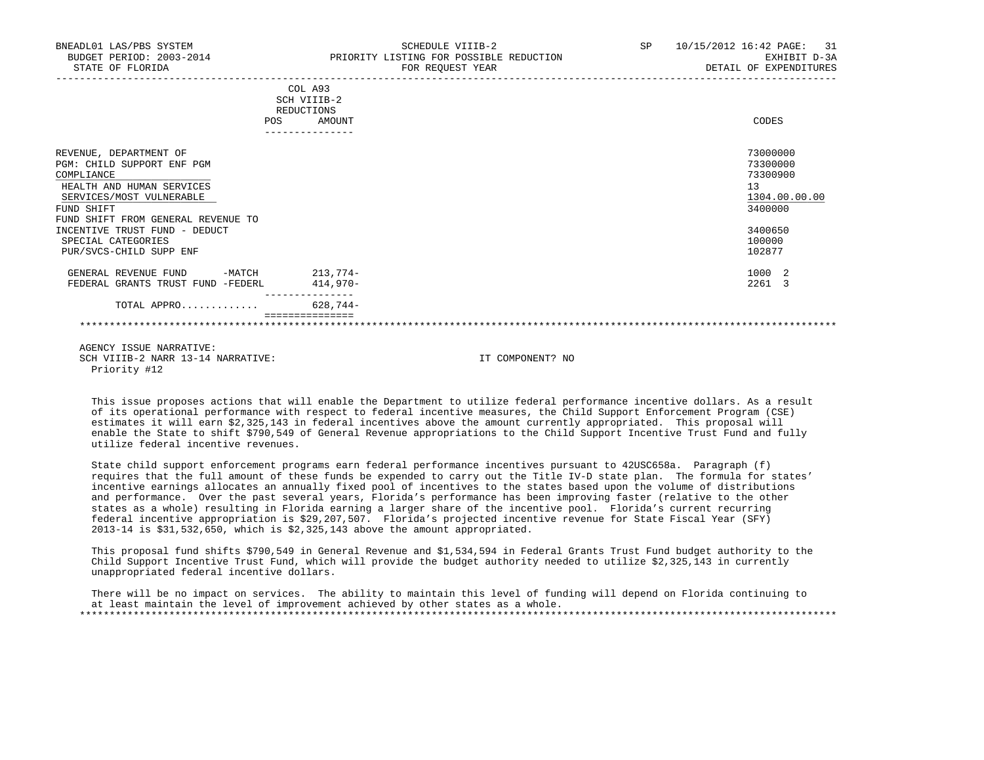| BNEADL01 LAS/PBS SYSTEM<br>BUDGET PERIOD: 2003-2014<br>STATE OF FLORIDA                                                                                                         |     |                                                | SCHEDULE VIIIB-2<br>PRIORITY LISTING FOR POSSIBLE REDUCTION<br>FOR REQUEST YEAR | SP | 10/15/2012 16:42 PAGE:<br>31<br>EXHIBIT D-3A<br>DETAIL OF EXPENDITURES |
|---------------------------------------------------------------------------------------------------------------------------------------------------------------------------------|-----|------------------------------------------------|---------------------------------------------------------------------------------|----|------------------------------------------------------------------------|
|                                                                                                                                                                                 | POS | COL A93<br>SCH VIIIB-2<br>REDUCTIONS<br>AMOUNT |                                                                                 |    | CODES                                                                  |
| REVENUE, DEPARTMENT OF<br>PGM: CHILD SUPPORT ENF PGM<br>COMPLIANCE<br>HEALTH AND HUMAN SERVICES<br>SERVICES/MOST VULNERABLE<br>FUND SHIFT<br>FUND SHIFT FROM GENERAL REVENUE TO |     |                                                |                                                                                 |    | 73000000<br>73300000<br>73300900<br>13<br>1304.00.00.00<br>3400000     |
| INCENTIVE TRUST FUND - DEDUCT<br>SPECIAL CATEGORIES<br>PUR/SVCS-CHILD SUPP ENF                                                                                                  |     |                                                |                                                                                 |    | 3400650<br>100000<br>102877                                            |
| GENERAL REVENUE FUND<br>$-MATCH$<br>FEDERAL GRANTS TRUST FUND -FEDERL                                                                                                           |     | $213,774-$<br>414,970-                         |                                                                                 |    | 1000 2<br>2261 3                                                       |
| TOTAL APPRO                                                                                                                                                                     |     | 628,744-                                       |                                                                                 |    |                                                                        |
|                                                                                                                                                                                 |     |                                                |                                                                                 |    |                                                                        |

 This issue proposes actions that will enable the Department to utilize federal performance incentive dollars. As a result of its operational performance with respect to federal incentive measures, the Child Support Enforcement Program (CSE) estimates it will earn \$2,325,143 in federal incentives above the amount currently appropriated. This proposal will enable the State to shift \$790,549 of General Revenue appropriations to the Child Support Incentive Trust Fund and fully utilize federal incentive revenues.

 State child support enforcement programs earn federal performance incentives pursuant to 42USC658a. Paragraph (f) requires that the full amount of these funds be expended to carry out the Title IV-D state plan. The formula for states' incentive earnings allocates an annually fixed pool of incentives to the states based upon the volume of distributions and performance. Over the past several years, Florida's performance has been improving faster (relative to the other states as a whole) resulting in Florida earning a larger share of the incentive pool. Florida's current recurring federal incentive appropriation is \$29,207,507. Florida's projected incentive revenue for State Fiscal Year (SFY) 2013-14 is \$31,532,650, which is \$2,325,143 above the amount appropriated.

 This proposal fund shifts \$790,549 in General Revenue and \$1,534,594 in Federal Grants Trust Fund budget authority to the Child Support Incentive Trust Fund, which will provide the budget authority needed to utilize \$2,325,143 in currently unappropriated federal incentive dollars.

 There will be no impact on services. The ability to maintain this level of funding will depend on Florida continuing to at least maintain the level of improvement achieved by other states as a whole. \*\*\*\*\*\*\*\*\*\*\*\*\*\*\*\*\*\*\*\*\*\*\*\*\*\*\*\*\*\*\*\*\*\*\*\*\*\*\*\*\*\*\*\*\*\*\*\*\*\*\*\*\*\*\*\*\*\*\*\*\*\*\*\*\*\*\*\*\*\*\*\*\*\*\*\*\*\*\*\*\*\*\*\*\*\*\*\*\*\*\*\*\*\*\*\*\*\*\*\*\*\*\*\*\*\*\*\*\*\*\*\*\*\*\*\*\*\*\*\*\*\*\*\*\*\*\*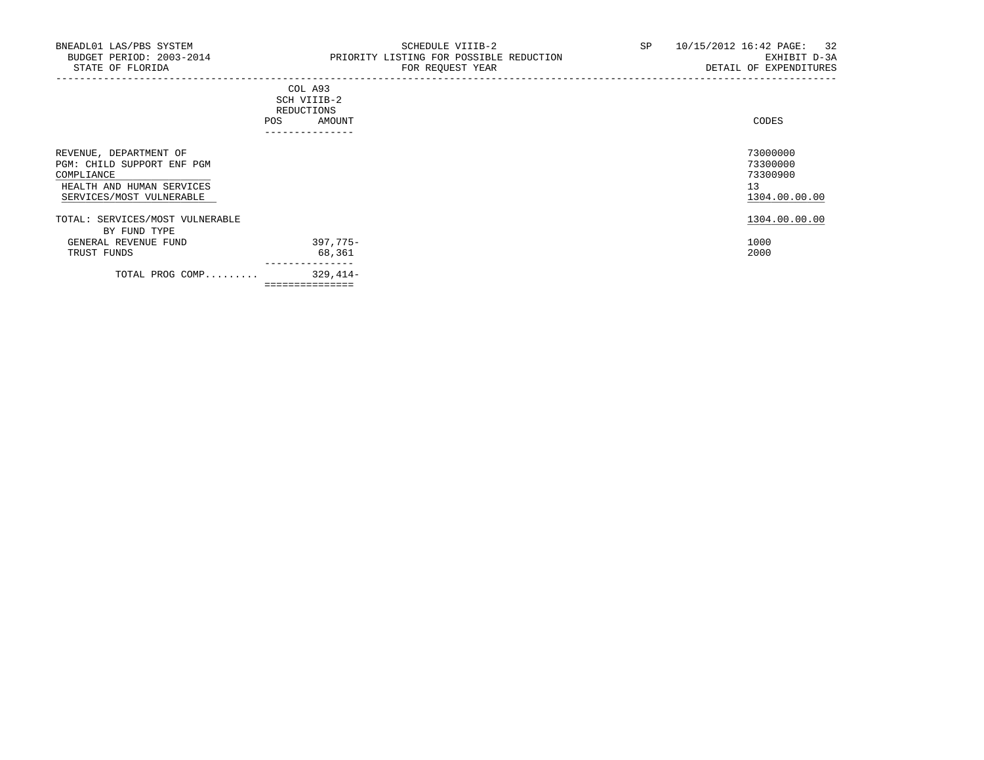-----------------------------------------------------------------------------------------------------------------------------------

|     | ---------------- |       |
|-----|------------------|-------|
| POS | AMOUNT           | CODES |
|     | REDUCTIONS       |       |
|     | SCH VIIIB-2      |       |
|     | COL A93          |       |

| REVENUE, DEPARTMENT OF<br>PGM: CHILD SUPPORT ENF PGM<br>COMPLIANCE<br>HEALTH AND HUMAN SERVICES<br>SERVICES/MOST VULNERABLE |                    | 73000000<br>73300000<br>73300900<br>13<br>1304.00.00.00 |
|-----------------------------------------------------------------------------------------------------------------------------|--------------------|---------------------------------------------------------|
| TOTAL: SERVICES/MOST VULNERABLE                                                                                             |                    | 1304.00.00.00                                           |
| BY FUND TYPE                                                                                                                |                    | 1000                                                    |
| GENERAL REVENUE FUND<br>TRUST FUNDS                                                                                         | 397,775–<br>68,361 | 2000                                                    |
| TOTAL PROG COMP                                                                                                             | 329,414-           |                                                         |
|                                                                                                                             | ==============     |                                                         |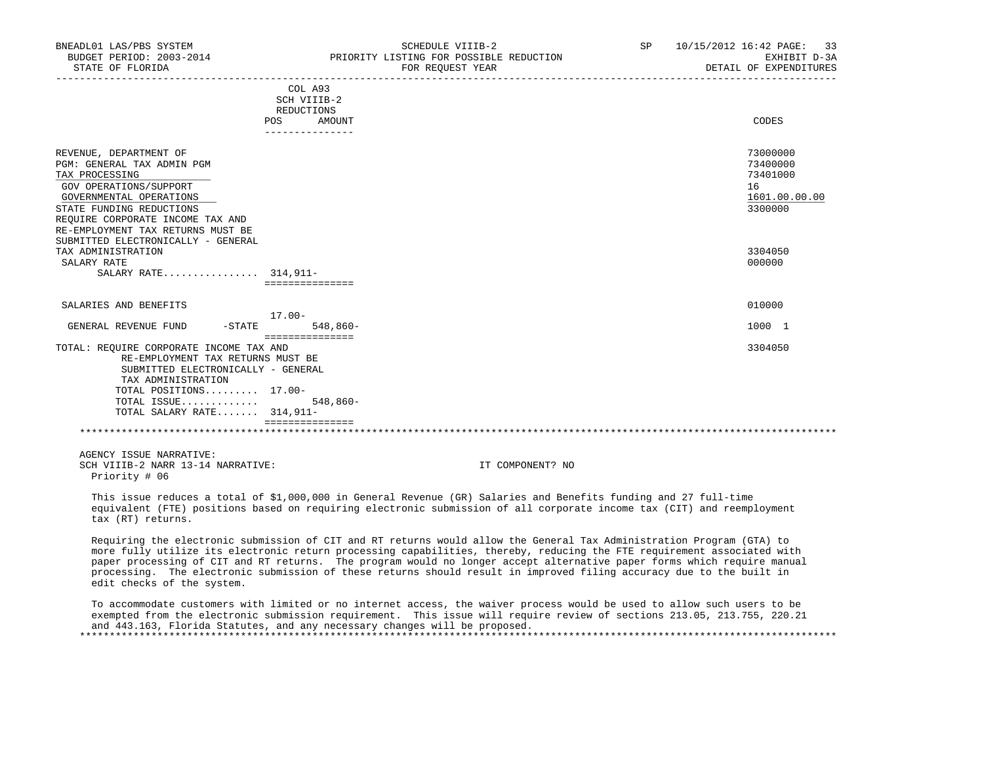| BNEADL01 LAS/PBS SYSTEM<br>BUDGET PERIOD: 2003-2014 | PRIORITY LISTING FOR POSSIBLE REDUCTION                                                                         | SCHEDULE VIIIB-2                                                                                                                                                                                                                           | SP | 10/15/2012 16:42 PAGE: 33<br>EXHIBIT D-3A |
|-----------------------------------------------------|-----------------------------------------------------------------------------------------------------------------|--------------------------------------------------------------------------------------------------------------------------------------------------------------------------------------------------------------------------------------------|----|-------------------------------------------|
| STATE OF FLORIDA                                    |                                                                                                                 | FOR REOUEST YEAR                                                                                                                                                                                                                           |    | DETAIL OF EXPENDITURES                    |
|                                                     | COL A93                                                                                                         |                                                                                                                                                                                                                                            |    |                                           |
|                                                     | SCH VIIIB-2                                                                                                     |                                                                                                                                                                                                                                            |    |                                           |
|                                                     | REDUCTIONS                                                                                                      |                                                                                                                                                                                                                                            |    |                                           |
|                                                     | POS<br>AMOUNT<br>_______________                                                                                |                                                                                                                                                                                                                                            |    | CODES                                     |
| REVENUE, DEPARTMENT OF                              |                                                                                                                 |                                                                                                                                                                                                                                            |    | 73000000                                  |
| PGM: GENERAL TAX ADMIN PGM                          |                                                                                                                 |                                                                                                                                                                                                                                            |    | 73400000                                  |
| TAX PROCESSING                                      |                                                                                                                 |                                                                                                                                                                                                                                            |    | 73401000                                  |
| GOV OPERATIONS/SUPPORT                              |                                                                                                                 |                                                                                                                                                                                                                                            |    | 16                                        |
| GOVERNMENTAL OPERATIONS                             |                                                                                                                 |                                                                                                                                                                                                                                            |    | 1601.00.00.00                             |
| STATE FUNDING REDUCTIONS                            |                                                                                                                 |                                                                                                                                                                                                                                            |    | 3300000                                   |
| REOUIRE CORPORATE INCOME TAX AND                    |                                                                                                                 |                                                                                                                                                                                                                                            |    |                                           |
| RE-EMPLOYMENT TAX RETURNS MUST BE                   |                                                                                                                 |                                                                                                                                                                                                                                            |    |                                           |
| SUBMITTED ELECTRONICALLY - GENERAL                  |                                                                                                                 |                                                                                                                                                                                                                                            |    |                                           |
| TAX ADMINISTRATION                                  |                                                                                                                 |                                                                                                                                                                                                                                            |    | 3304050                                   |
| SALARY RATE                                         |                                                                                                                 |                                                                                                                                                                                                                                            |    | 000000                                    |
| SALARY RATE 314,911-                                |                                                                                                                 |                                                                                                                                                                                                                                            |    |                                           |
|                                                     | ===============                                                                                                 |                                                                                                                                                                                                                                            |    |                                           |
| SALARIES AND BENEFITS                               |                                                                                                                 |                                                                                                                                                                                                                                            |    | 010000                                    |
|                                                     | 17.00-                                                                                                          |                                                                                                                                                                                                                                            |    |                                           |
| GENERAL REVENUE FUND -STATE                         | 548,860-                                                                                                        |                                                                                                                                                                                                                                            |    | 1000 1                                    |
| TOTAL: REQUIRE CORPORATE INCOME TAX AND             | ===============                                                                                                 |                                                                                                                                                                                                                                            |    | 3304050                                   |
| RE-EMPLOYMENT TAX RETURNS MUST BE                   |                                                                                                                 |                                                                                                                                                                                                                                            |    |                                           |
| SUBMITTED ELECTRONICALLY - GENERAL                  |                                                                                                                 |                                                                                                                                                                                                                                            |    |                                           |
| TAX ADMINISTRATION                                  |                                                                                                                 |                                                                                                                                                                                                                                            |    |                                           |
| TOTAL POSITIONS 17.00-                              |                                                                                                                 |                                                                                                                                                                                                                                            |    |                                           |
| TOTAL ISSUE                                         | 548,860-                                                                                                        |                                                                                                                                                                                                                                            |    |                                           |
| TOTAL SALARY RATE 314,911-                          |                                                                                                                 |                                                                                                                                                                                                                                            |    |                                           |
|                                                     | ===============                                                                                                 |                                                                                                                                                                                                                                            |    |                                           |
|                                                     |                                                                                                                 |                                                                                                                                                                                                                                            |    |                                           |
| AGENCY ISSUE NARRATIVE:                             |                                                                                                                 |                                                                                                                                                                                                                                            |    |                                           |
| SCH VIIIB-2 NARR 13-14 NARRATIVE:                   |                                                                                                                 | IT COMPONENT? NO                                                                                                                                                                                                                           |    |                                           |
| Priority # 06                                       |                                                                                                                 |                                                                                                                                                                                                                                            |    |                                           |
| tax (RT) returns.                                   |                                                                                                                 | This issue reduces a total of \$1,000,000 in General Revenue (GR) Salaries and Benefits funding and 27 full-time<br>equivalent (FTE) positions based on requiring electronic submission of all corporate income tax (CIT) and reemployment |    |                                           |
|                                                     | the contract of the contract of the contract of the contract of the contract of the contract of the contract of |                                                                                                                                                                                                                                            |    |                                           |

 Requiring the electronic submission of CIT and RT returns would allow the General Tax Administration Program (GTA) to more fully utilize its electronic return processing capabilities, thereby, reducing the FTE requirement associated with paper processing of CIT and RT returns. The program would no longer accept alternative paper forms which require manual processing. The electronic submission of these returns should result in improved filing accuracy due to the built in edit checks of the system.

 To accommodate customers with limited or no internet access, the waiver process would be used to allow such users to be exempted from the electronic submission requirement. This issue will require review of sections 213.05, 213.755, 220.21 and 443.163, Florida Statutes, and any necessary changes will be proposed. \*\*\*\*\*\*\*\*\*\*\*\*\*\*\*\*\*\*\*\*\*\*\*\*\*\*\*\*\*\*\*\*\*\*\*\*\*\*\*\*\*\*\*\*\*\*\*\*\*\*\*\*\*\*\*\*\*\*\*\*\*\*\*\*\*\*\*\*\*\*\*\*\*\*\*\*\*\*\*\*\*\*\*\*\*\*\*\*\*\*\*\*\*\*\*\*\*\*\*\*\*\*\*\*\*\*\*\*\*\*\*\*\*\*\*\*\*\*\*\*\*\*\*\*\*\*\*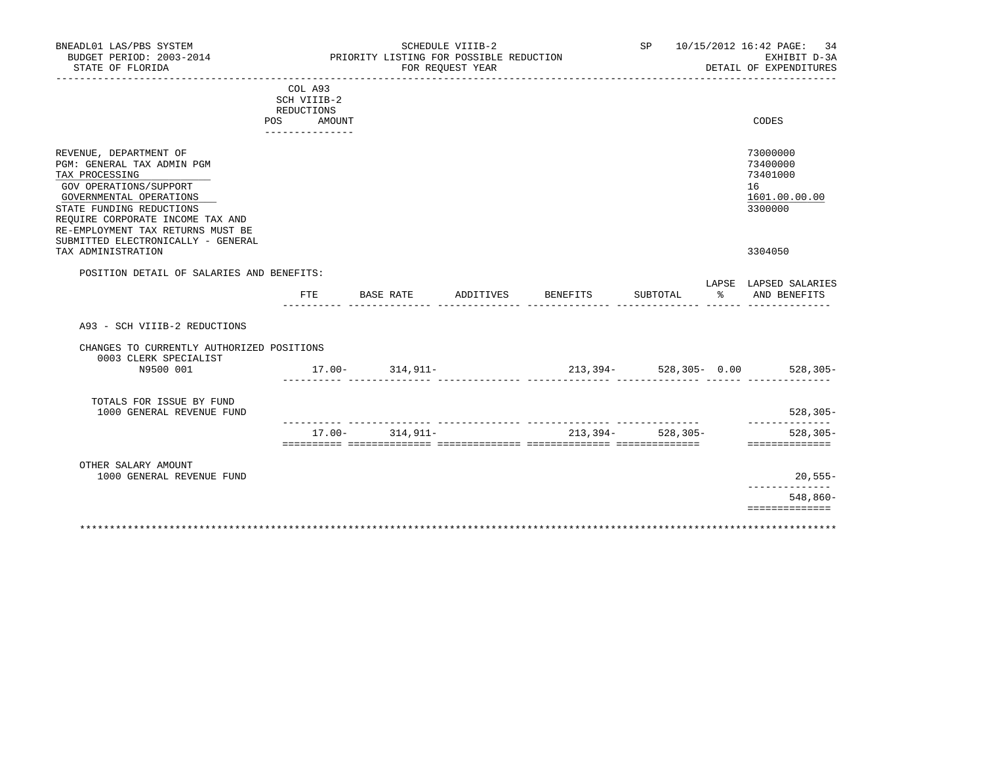| BNEADL01 LAS/PBS SYSTEM<br>BUDGET PERIOD: 2003-2014<br>STATE OF FLORIDA                                                                                                                                                                                                                      |                                                                          | PRIORITY LISTING FOR POSSIBLE REDUCTION | SCHEDULE VIIIB-2<br>FOR REQUEST YEAR |          |                       | SP 10/15/2012 16:42 PAGE:<br>34<br>EXHIBIT D-3A<br>DETAIL OF EXPENDITURES     |
|----------------------------------------------------------------------------------------------------------------------------------------------------------------------------------------------------------------------------------------------------------------------------------------------|--------------------------------------------------------------------------|-----------------------------------------|--------------------------------------|----------|-----------------------|-------------------------------------------------------------------------------|
| _________________________________<br>. _ _ _ _ _ _ _ _ _ _ _ _ _ _ _ _                                                                                                                                                                                                                       | COL A93<br>SCH VIIIB-2<br>REDUCTIONS<br>POS<br>AMOUNT<br>_______________ |                                         |                                      |          |                       | CODES                                                                         |
| REVENUE, DEPARTMENT OF<br>PGM: GENERAL TAX ADMIN PGM<br>TAX PROCESSING<br>GOV OPERATIONS/SUPPORT<br>GOVERNMENTAL OPERATIONS<br>STATE FUNDING REDUCTIONS<br>REQUIRE CORPORATE INCOME TAX AND<br>RE-EMPLOYMENT TAX RETURNS MUST BE<br>SUBMITTED ELECTRONICALLY - GENERAL<br>TAX ADMINISTRATION |                                                                          |                                         |                                      |          |                       | 73000000<br>73400000<br>73401000<br>16<br>1601.00.00.00<br>3300000<br>3304050 |
| POSITION DETAIL OF SALARIES AND BENEFITS:                                                                                                                                                                                                                                                    |                                                                          |                                         |                                      |          |                       | LAPSE LAPSED SALARIES                                                         |
|                                                                                                                                                                                                                                                                                              | FTE                                                                      | BASE RATE                               | ADDITIVES                            | BENEFITS | SUBTOTAL              | % AND BENEFITS                                                                |
| A93 - SCH VIIIB-2 REDUCTIONS                                                                                                                                                                                                                                                                 |                                                                          |                                         |                                      |          |                       |                                                                               |
| CHANGES TO CURRENTLY AUTHORIZED POSITIONS<br>0003 CLERK SPECIALIST                                                                                                                                                                                                                           |                                                                          |                                         |                                      |          |                       |                                                                               |
| N9500 001                                                                                                                                                                                                                                                                                    |                                                                          | $17.00 - 314,911 -$                     |                                      |          |                       |                                                                               |
| TOTALS FOR ISSUE BY FUND<br>1000 GENERAL REVENUE FUND                                                                                                                                                                                                                                        |                                                                          |                                         |                                      |          |                       | $528, 305 -$<br>--------------                                                |
|                                                                                                                                                                                                                                                                                              | $17.00 -$                                                                | $314.911-$                              |                                      |          | $213,394 - 528,305 -$ | $528.305 -$<br>==============                                                 |
| OTHER SALARY AMOUNT<br>1000 GENERAL REVENUE FUND                                                                                                                                                                                                                                             |                                                                          |                                         |                                      |          |                       | 20,555-<br>-------------                                                      |
|                                                                                                                                                                                                                                                                                              |                                                                          |                                         |                                      |          |                       | 548,860-<br>==============                                                    |
|                                                                                                                                                                                                                                                                                              |                                                                          |                                         |                                      |          |                       |                                                                               |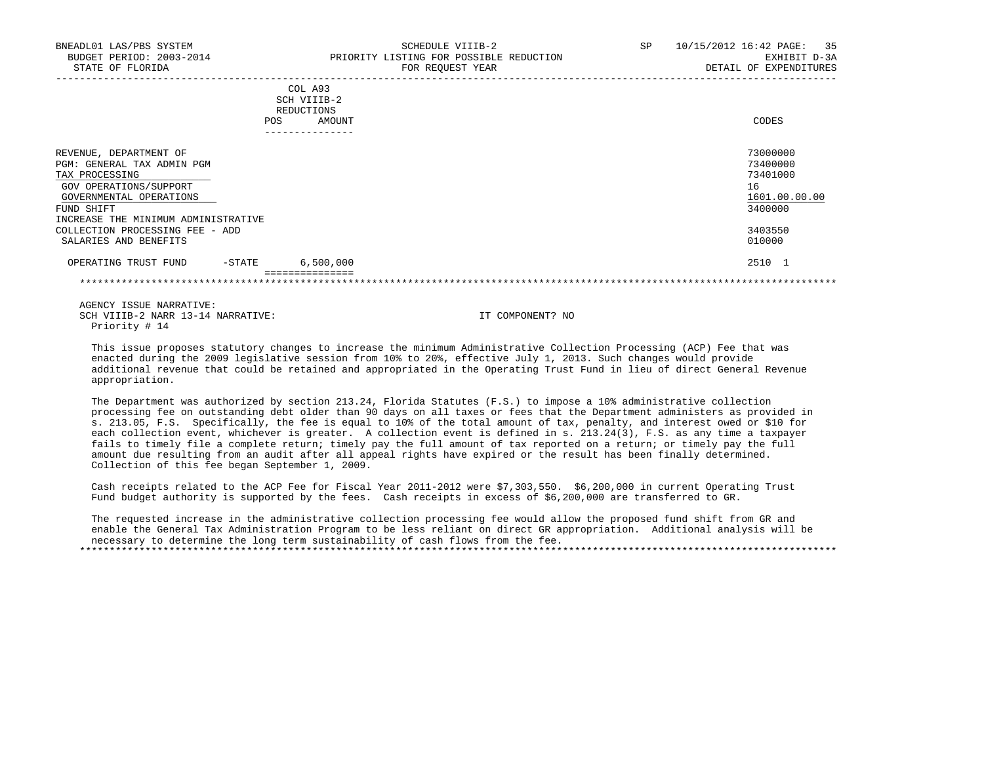| BNEADL01 LAS/PBS SYSTEM<br>BUDGET PERIOD: 2003-2014<br>STATE OF FLORIDA | SCHEDULE VIIIB-2<br>PRIORITY LISTING FOR POSSIBLE REDUCTION<br>FOR REOUEST YEAR | SP | 10/15/2012 16:42 PAGE: 35<br>EXHIBIT D-3A<br>DETAIL OF EXPENDITURES |
|-------------------------------------------------------------------------|---------------------------------------------------------------------------------|----|---------------------------------------------------------------------|
|                                                                         | COL A93<br>SCH VIIIB-2<br>REDUCTIONS                                            |    |                                                                     |
|                                                                         | AMOUNT<br>POS.                                                                  |    | CODES                                                               |
| REVENUE DEPARTMENT OF                                                   |                                                                                 |    | 73000000                                                            |

| PGM: GENERAL TAX ADMIN PGM          |          |           | 73400000 |               |
|-------------------------------------|----------|-----------|----------|---------------|
| TAX PROCESSING                      |          |           | 73401000 |               |
| GOV OPERATIONS/SUPPORT              |          |           | 16       |               |
| GOVERNMENTAL OPERATIONS             |          |           |          | 1601.00.00.00 |
| FUND SHIFT                          |          |           | 3400000  |               |
| INCREASE THE MINIMUM ADMINISTRATIVE |          |           |          |               |
| COLLECTION PROCESSING FEE - ADD     |          |           | 3403550  |               |
| SALARIES AND BENEFITS               |          |           | 010000   |               |
| OPERATING TRUST FUND                | $-STATE$ | 6,500,000 | 2510 1   |               |
|                                     |          |           |          |               |

\*\*\*\*\*\*\*\*\*\*\*\*\*\*\*\*\*\*\*\*\*\*\*\*\*\*\*\*\*\*\*\*\*\*\*\*\*\*\*\*\*\*\*\*\*\*\*\*\*\*\*\*\*\*\*\*\*\*\*\*\*\*\*\*\*\*\*\*\*\*\*\*\*\*\*\*\*\*\*\*\*\*\*\*\*\*\*\*\*\*\*\*\*\*\*\*\*\*\*\*\*\*\*\*\*\*\*\*\*\*\*\*\*\*\*\*\*\*\*\*\*\*\*\*\*\*\*

 AGENCY ISSUE NARRATIVE: SCH VIIIB-2 NARR 13-14 NARRATIVE: IT COMPONENT? NO Priority # 14

 This issue proposes statutory changes to increase the minimum Administrative Collection Processing (ACP) Fee that was enacted during the 2009 legislative session from 10% to 20%, effective July 1, 2013. Such changes would provide additional revenue that could be retained and appropriated in the Operating Trust Fund in lieu of direct General Revenue appropriation.

 The Department was authorized by section 213.24, Florida Statutes (F.S.) to impose a 10% administrative collection processing fee on outstanding debt older than 90 days on all taxes or fees that the Department administers as provided in s. 213.05, F.S. Specifically, the fee is equal to 10% of the total amount of tax, penalty, and interest owed or \$10 for each collection event, whichever is greater. A collection event is defined in s. 213.24(3), F.S. as any time a taxpayer fails to timely file a complete return; timely pay the full amount of tax reported on a return; or timely pay the full amount due resulting from an audit after all appeal rights have expired or the result has been finally determined. Collection of this fee began September 1, 2009.

 Cash receipts related to the ACP Fee for Fiscal Year 2011-2012 were \$7,303,550. \$6,200,000 in current Operating Trust Fund budget authority is supported by the fees. Cash receipts in excess of \$6,200,000 are transferred to GR.

 The requested increase in the administrative collection processing fee would allow the proposed fund shift from GR and enable the General Tax Administration Program to be less reliant on direct GR appropriation. Additional analysis will be necessary to determine the long term sustainability of cash flows from the fee.

\*\*\*\*\*\*\*\*\*\*\*\*\*\*\*\*\*\*\*\*\*\*\*\*\*\*\*\*\*\*\*\*\*\*\*\*\*\*\*\*\*\*\*\*\*\*\*\*\*\*\*\*\*\*\*\*\*\*\*\*\*\*\*\*\*\*\*\*\*\*\*\*\*\*\*\*\*\*\*\*\*\*\*\*\*\*\*\*\*\*\*\*\*\*\*\*\*\*\*\*\*\*\*\*\*\*\*\*\*\*\*\*\*\*\*\*\*\*\*\*\*\*\*\*\*\*\*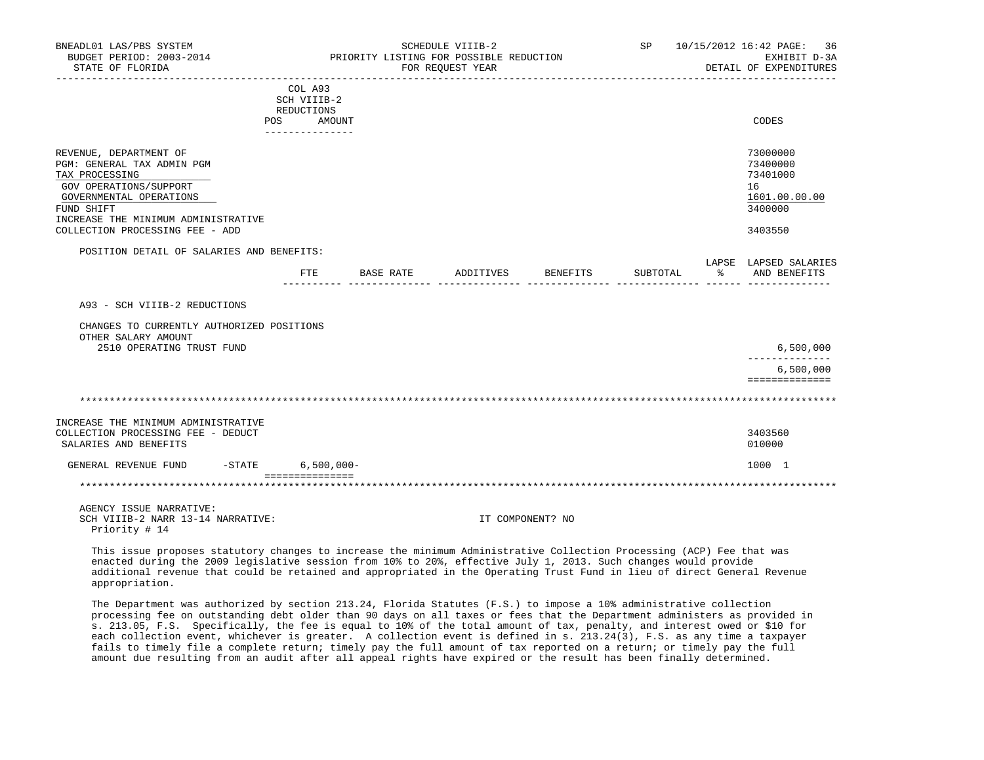| BNEADL01 LAS/PBS SYSTEM<br>BUDGET PERIOD: 2003-2014<br>STATE OF FLORIDA                                                                                                                                             |                                                    |                 |           | SCHEDULE VIIIB-2<br>PRIORITY LISTING FOR POSSIBLE REDUCTION<br>FOR REQUEST YEAR |                  |          | SP 10/15/2012 16:42 PAGE: 36<br>EXHIBIT D-3A<br>DETAIL OF EXPENDITURES        |
|---------------------------------------------------------------------------------------------------------------------------------------------------------------------------------------------------------------------|----------------------------------------------------|-----------------|-----------|---------------------------------------------------------------------------------|------------------|----------|-------------------------------------------------------------------------------|
|                                                                                                                                                                                                                     | COL A93<br>SCH VIIIB-2<br>REDUCTIONS<br>POS AMOUNT | _______________ |           |                                                                                 |                  |          | CODES                                                                         |
| REVENUE, DEPARTMENT OF<br>PGM: GENERAL TAX ADMIN PGM<br>TAX PROCESSING<br>GOV OPERATIONS/SUPPORT<br>GOVERNMENTAL OPERATIONS<br>FUND SHIFT<br>INCREASE THE MINIMUM ADMINISTRATIVE<br>COLLECTION PROCESSING FEE - ADD |                                                    |                 |           |                                                                                 |                  |          | 73000000<br>73400000<br>73401000<br>16<br>1601.00.00.00<br>3400000<br>3403550 |
| POSITION DETAIL OF SALARIES AND BENEFITS:                                                                                                                                                                           |                                                    | FTE             | BASE RATE | ADDITIVES                                                                       | BENEFITS         | SUBTOTAL | LAPSE LAPSED SALARIES<br>% AND BENEFITS                                       |
| A93 - SCH VIIIB-2 REDUCTIONS                                                                                                                                                                                        |                                                    |                 |           |                                                                                 |                  |          |                                                                               |
| CHANGES TO CURRENTLY AUTHORIZED POSITIONS<br>OTHER SALARY AMOUNT<br>2510 OPERATING TRUST FUND                                                                                                                       |                                                    |                 |           |                                                                                 |                  |          | 6,500,000                                                                     |
|                                                                                                                                                                                                                     |                                                    |                 |           |                                                                                 |                  |          | --------------<br>6,500,000<br>==============                                 |
|                                                                                                                                                                                                                     |                                                    |                 |           |                                                                                 |                  |          |                                                                               |
| INCREASE THE MINIMUM ADMINISTRATIVE<br>COLLECTION PROCESSING FEE - DEDUCT<br>SALARIES AND BENEFITS                                                                                                                  |                                                    |                 |           |                                                                                 |                  |          | 3403560<br>010000                                                             |
| GENERAL REVENUE FUND -STATE                                                                                                                                                                                         |                                                    | $6,500,000 -$   |           |                                                                                 |                  |          | 1000 1                                                                        |
|                                                                                                                                                                                                                     | ===============                                    |                 |           |                                                                                 |                  |          |                                                                               |
| AGENCY ISSUE NARRATIVE:<br>SCH VIIIB-2 NARR 13-14 NARRATIVE:<br>Priority # 14                                                                                                                                       |                                                    |                 |           |                                                                                 | IT COMPONENT? NO |          |                                                                               |
| This issue proposes statutory changes to increase the minimum Administrative Collection Processing (ACP) Fee that was                                                                                               |                                                    |                 |           |                                                                                 |                  |          |                                                                               |

 enacted during the 2009 legislative session from 10% to 20%, effective July 1, 2013. Such changes would provide additional revenue that could be retained and appropriated in the Operating Trust Fund in lieu of direct General Revenue appropriation.

 The Department was authorized by section 213.24, Florida Statutes (F.S.) to impose a 10% administrative collection processing fee on outstanding debt older than 90 days on all taxes or fees that the Department administers as provided in s. 213.05, F.S. Specifically, the fee is equal to 10% of the total amount of tax, penalty, and interest owed or \$10 for each collection event, whichever is greater. A collection event is defined in s. 213.24(3), F.S. as any time a taxpayer fails to timely file a complete return; timely pay the full amount of tax reported on a return; or timely pay the full amount due resulting from an audit after all appeal rights have expired or the result has been finally determined.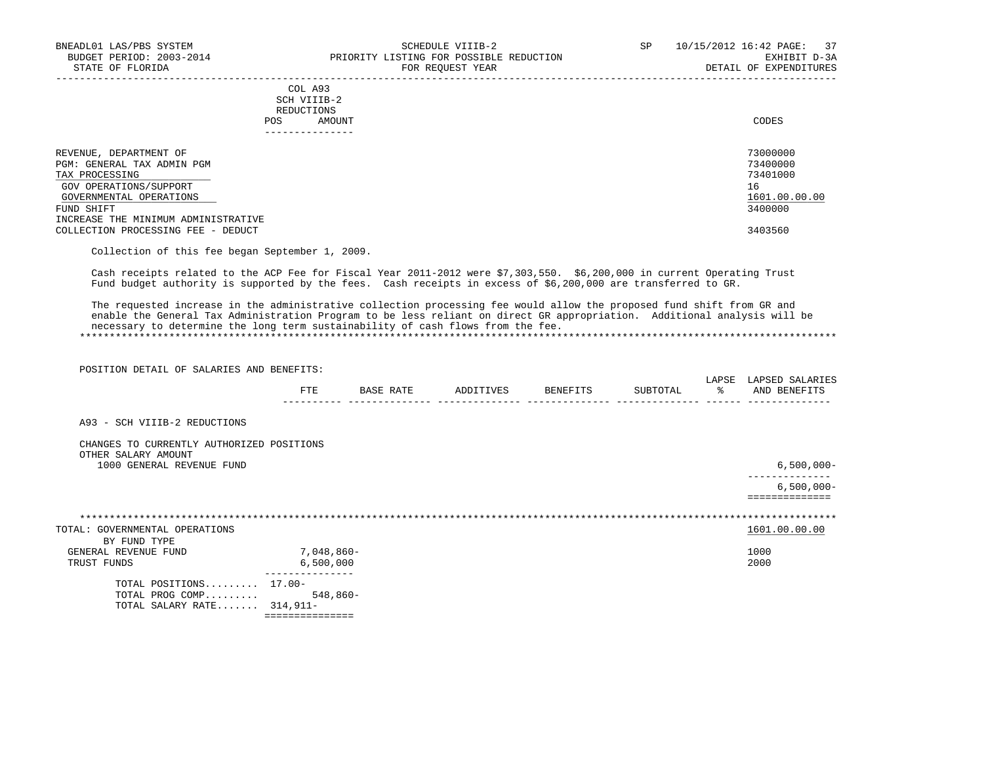|     | --------------- |       |
|-----|-----------------|-------|
| POS | AMOUNT          | CODES |
|     | REDUCTIONS      |       |
|     | SCH VIIIB-2     |       |
|     | COL A93         |       |

| REVENUE, DEPARTMENT OF              | 73000000      |
|-------------------------------------|---------------|
| PGM: GENERAL TAX ADMIN PGM          | 73400000      |
| TAX PROCESSING                      | 73401000      |
| GOV OPERATIONS/SUPPORT              | 16            |
| GOVERNMENTAL OPERATIONS             | 1601.00.00.00 |
| FUND SHIFT                          | 3400000       |
| INCREASE THE MINIMUM ADMINISTRATIVE |               |
| COLLECTION PROCESSING FEE - DEDUCT  | 3403560       |

-----------------------------------------------------------------------------------------------------------------------------------

Collection of this fee began September 1, 2009.

 Cash receipts related to the ACP Fee for Fiscal Year 2011-2012 were \$7,303,550. \$6,200,000 in current Operating Trust Fund budget authority is supported by the fees. Cash receipts in excess of \$6,200,000 are transferred to GR.

 The requested increase in the administrative collection processing fee would allow the proposed fund shift from GR and enable the General Tax Administration Program to be less reliant on direct GR appropriation. Additional analysis will be necessary to determine the long term sustainability of cash flows from the fee. \*\*\*\*\*\*\*\*\*\*\*\*\*\*\*\*\*\*\*\*\*\*\*\*\*\*\*\*\*\*\*\*\*\*\*\*\*\*\*\*\*\*\*\*\*\*\*\*\*\*\*\*\*\*\*\*\*\*\*\*\*\*\*\*\*\*\*\*\*\*\*\*\*\*\*\*\*\*\*\*\*\*\*\*\*\*\*\*\*\*\*\*\*\*\*\*\*\*\*\*\*\*\*\*\*\*\*\*\*\*\*\*\*\*\*\*\*\*\*\*\*\*\*\*\*\*\*

POSITION DETAIL OF SALARIES AND BENEFITS:

|                                                                  | FTE        | BASE RATE | ADDITIVES | BENEFITS | SUBTOTAL | LAPSE<br>ႜ |      | LAPSED SALARIES<br>AND BENEFITS |
|------------------------------------------------------------------|------------|-----------|-----------|----------|----------|------------|------|---------------------------------|
| A93 - SCH VIIIB-2 REDUCTIONS                                     |            |           |           |          |          |            |      |                                 |
| CHANGES TO CURRENTLY AUTHORIZED POSITIONS<br>OTHER SALARY AMOUNT |            |           |           |          |          |            |      |                                 |
| 1000 GENERAL REVENUE FUND                                        |            |           |           |          |          |            |      | $6,500,000 -$                   |
|                                                                  |            |           |           |          |          |            |      | $6,500,000 -$<br>============== |
|                                                                  |            |           |           |          |          |            |      |                                 |
| TOTAL: GOVERNMENTAL OPERATIONS                                   |            |           |           |          |          |            |      | 1601.00.00.00                   |
| BY FUND TYPE                                                     |            |           |           |          |          |            |      |                                 |
| GENERAL REVENUE FUND                                             | 7,048,860- |           |           |          |          |            | 1000 |                                 |
| TRUST FUNDS                                                      | 6,500,000  |           |           |          |          |            | 2000 |                                 |
| TOTAL POSITIONS 17.00-                                           |            |           |           |          |          |            |      |                                 |
| TOTAL PROG COMP                                                  | 548,860-   |           |           |          |          |            |      |                                 |
| TOTAL SALARY RATE $314,911-$                                     |            |           |           |          |          |            |      |                                 |
|                                                                  |            |           |           |          |          |            |      |                                 |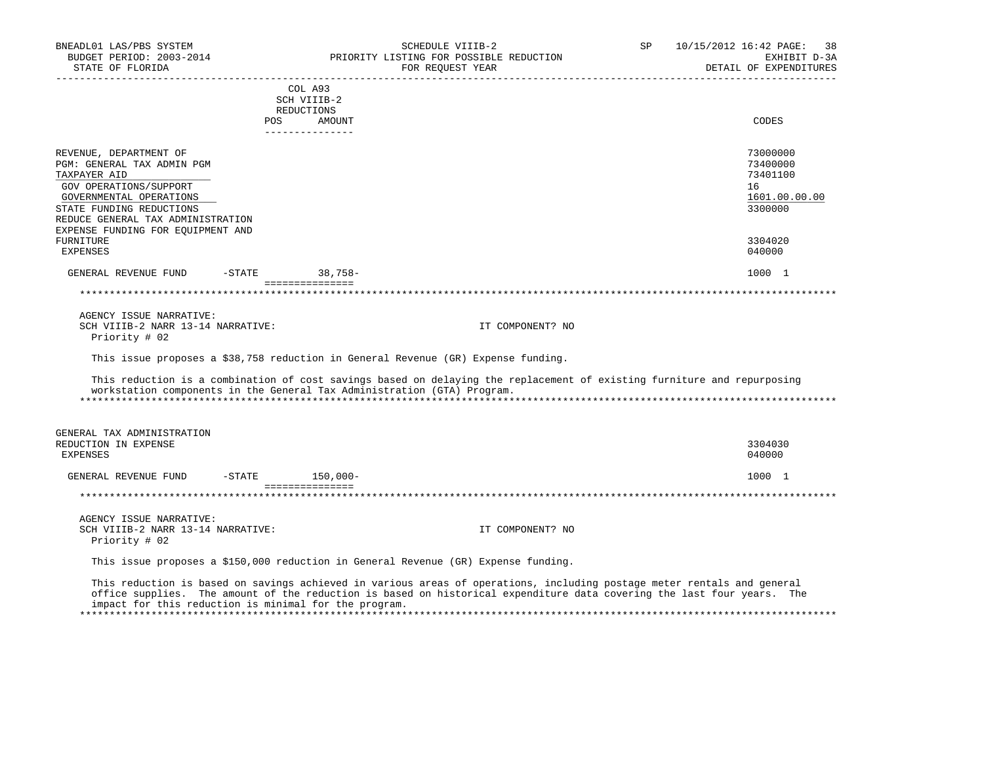| BNEADL01 LAS/PBS SYSTEM<br>BUDGET PERIOD: 2003-2014<br>STATE OF FLORIDA                                                                                                                    |            | SCHEDULE VIIIB-2<br>PRIORITY LISTING FOR POSSIBLE REDUCTION<br>FOR REQUEST YEAR                                                                                                                                                                                                                            | SP               | 10/15/2012 16:42 PAGE:<br>38<br>EXHIBIT D-3A<br>DETAIL OF EXPENDITURES |
|--------------------------------------------------------------------------------------------------------------------------------------------------------------------------------------------|------------|------------------------------------------------------------------------------------------------------------------------------------------------------------------------------------------------------------------------------------------------------------------------------------------------------------|------------------|------------------------------------------------------------------------|
| __________________                                                                                                                                                                         |            | COL A93<br>SCH VIIIB-2<br>REDUCTIONS                                                                                                                                                                                                                                                                       |                  |                                                                        |
|                                                                                                                                                                                            | <b>POS</b> | AMOUNT<br>---------------                                                                                                                                                                                                                                                                                  |                  | CODES                                                                  |
| REVENUE, DEPARTMENT OF<br>PGM: GENERAL TAX ADMIN PGM<br>TAXPAYER AID<br>GOV OPERATIONS/SUPPORT<br>GOVERNMENTAL OPERATIONS<br>STATE FUNDING REDUCTIONS<br>REDUCE GENERAL TAX ADMINISTRATION |            |                                                                                                                                                                                                                                                                                                            |                  | 73000000<br>73400000<br>73401100<br>16<br>1601.00.00.00<br>3300000     |
| EXPENSE FUNDING FOR EQUIPMENT AND<br>FURNITURE<br><b>EXPENSES</b>                                                                                                                          |            |                                                                                                                                                                                                                                                                                                            |                  | 3304020<br>040000                                                      |
| GENERAL REVENUE FUND                                                                                                                                                                       | $-STATE$   | $38,758-$                                                                                                                                                                                                                                                                                                  |                  | 1000 1                                                                 |
|                                                                                                                                                                                            |            | ===============                                                                                                                                                                                                                                                                                            |                  |                                                                        |
| AGENCY ISSUE NARRATIVE:<br>SCH VIIIB-2 NARR 13-14 NARRATIVE:<br>Priority # 02                                                                                                              |            |                                                                                                                                                                                                                                                                                                            | IT COMPONENT? NO |                                                                        |
|                                                                                                                                                                                            |            | This issue proposes a \$38,758 reduction in General Revenue (GR) Expense funding.                                                                                                                                                                                                                          |                  |                                                                        |
|                                                                                                                                                                                            |            | This reduction is a combination of cost savings based on delaying the replacement of existing furniture and repurposing<br>workstation components in the General Tax Administration (GTA) Program.                                                                                                         |                  |                                                                        |
| GENERAL TAX ADMINISTRATION<br>REDUCTION IN EXPENSE<br><b>EXPENSES</b>                                                                                                                      |            |                                                                                                                                                                                                                                                                                                            |                  | 3304030<br>040000                                                      |
| GENERAL REVENUE FUND                                                                                                                                                                       | $-$ STATE  | 150,000-                                                                                                                                                                                                                                                                                                   |                  | 1000 1                                                                 |
|                                                                                                                                                                                            |            | ===============                                                                                                                                                                                                                                                                                            |                  |                                                                        |
| AGENCY ISSUE NARRATIVE:<br>SCH VIIIB-2 NARR 13-14 NARRATIVE:<br>Priority # 02                                                                                                              |            |                                                                                                                                                                                                                                                                                                            | IT COMPONENT? NO |                                                                        |
|                                                                                                                                                                                            |            | This issue proposes a \$150,000 reduction in General Revenue (GR) Expense funding.                                                                                                                                                                                                                         |                  |                                                                        |
|                                                                                                                                                                                            |            | This reduction is based on savings achieved in various areas of operations, including postage meter rentals and general<br>office supplies. The amount of the reduction is based on historical expenditure data covering the last four years. The<br>impact for this reduction is minimal for the program. |                  |                                                                        |

\*\*\*\*\*\*\*\*\*\*\*\*\*\*\*\*\*\*\*\*\*\*\*\*\*\*\*\*\*\*\*\*\*\*\*\*\*\*\*\*\*\*\*\*\*\*\*\*\*\*\*\*\*\*\*\*\*\*\*\*\*\*\*\*\*\*\*\*\*\*\*\*\*\*\*\*\*\*\*\*\*\*\*\*\*\*\*\*\*\*\*\*\*\*\*\*\*\*\*\*\*\*\*\*\*\*\*\*\*\*\*\*\*\*\*\*\*\*\*\*\*\*\*\*\*\*\*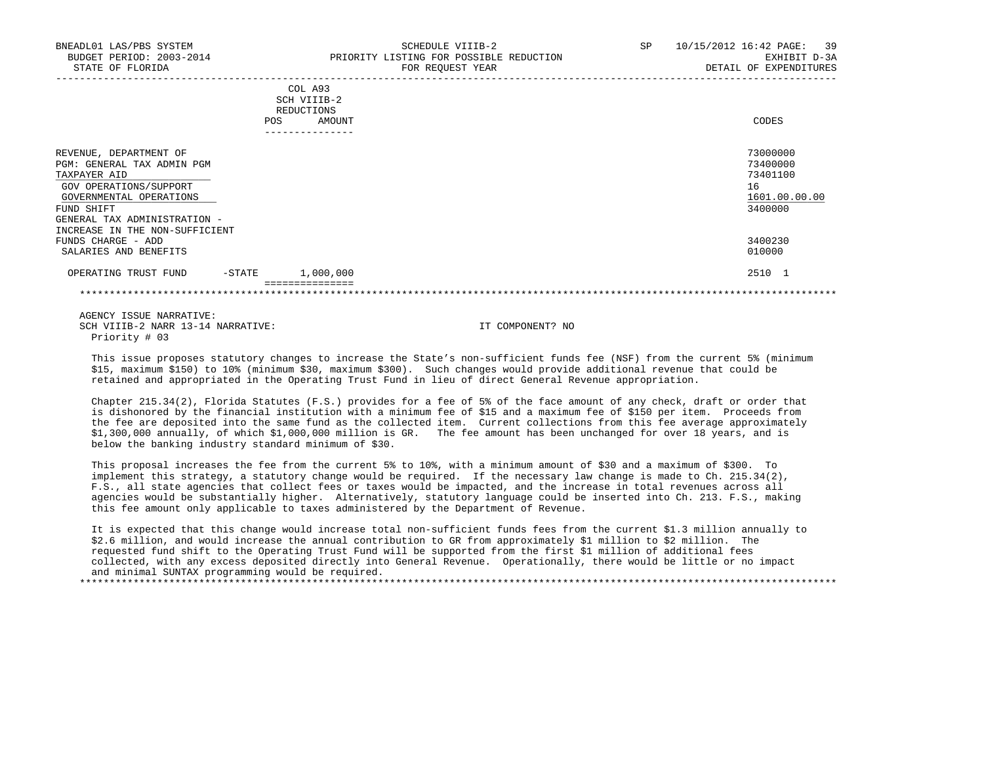| BNEADL01 LAS/PBS SYSTEM<br>BUDGET PERIOD: 2003-2014<br>STATE OF FLORIDA                                                   | SCHEDULE VIIIB-2<br>PRIORITY LISTING FOR POSSIBLE REDUCTION<br>FOR REOUEST YEAR | 10/15/2012 16:42 PAGE: 39<br>SP<br>EXHIBIT D-3A<br>DETAIL OF EXPENDITURES |
|---------------------------------------------------------------------------------------------------------------------------|---------------------------------------------------------------------------------|---------------------------------------------------------------------------|
|                                                                                                                           | COL A93<br>SCH VIIIB-2<br>REDUCTIONS<br><b>POS</b><br>AMOUNT                    | CODES                                                                     |
| REVENUE, DEPARTMENT OF<br>PGM: GENERAL TAX ADMIN PGM<br>TAXPAYER AID<br>GOV OPERATIONS/SUPPORT<br>GOVERNMENTAL OPERATIONS |                                                                                 | 73000000<br>73400000<br>73401100<br>16<br>1601.00.00.00                   |

 $\frac{\rm GOVERNMENTAL}$  OPERATIONS  $\frac{1601.00}{3400000}$  FUND SHIFT 3400000 GENERAL TAX ADMINISTRATION - INCREASE IN THE NON-SUFFICIENT FUNDS CHARGE – ADD 3400230<br>SALARIES AND BENEFITS (1999) 2009 SALARIES AND BENEFITS

## OPERATING TRUST FUND -STATE 1,000,000 2510 1

===============

\*\*\*\*\*\*\*\*\*\*\*\*\*\*\*\*\*\*\*\*\*\*\*\*\*\*\*\*\*\*\*\*\*\*\*\*\*\*\*\*\*\*\*\*\*\*\*\*\*\*\*\*\*\*\*\*\*\*\*\*\*\*\*\*\*\*\*\*\*\*\*\*\*\*\*\*\*\*\*\*\*\*\*\*\*\*\*\*\*\*\*\*\*\*\*\*\*\*\*\*\*\*\*\*\*\*\*\*\*\*\*\*\*\*\*\*\*\*\*\*\*\*\*\*\*\*\*

 AGENCY ISSUE NARRATIVE: SCH VIIIB-2 NARR 13-14 NARRATIVE: IT COMPONENT? NO Priority # 03

 This issue proposes statutory changes to increase the State's non-sufficient funds fee (NSF) from the current 5% (minimum \$15, maximum \$150) to 10% (minimum \$30, maximum \$300). Such changes would provide additional revenue that could be retained and appropriated in the Operating Trust Fund in lieu of direct General Revenue appropriation.

 Chapter 215.34(2), Florida Statutes (F.S.) provides for a fee of 5% of the face amount of any check, draft or order that is dishonored by the financial institution with a minimum fee of \$15 and a maximum fee of \$150 per item. Proceeds from the fee are deposited into the same fund as the collected item. Current collections from this fee average approximately \$1,300,000 annually, of which \$1,000,000 million is GR. The fee amount has been unchanged for over 18 years, and is below the banking industry standard minimum of \$30.

 This proposal increases the fee from the current 5% to 10%, with a minimum amount of \$30 and a maximum of \$300. To implement this strategy, a statutory change would be required. If the necessary law change is made to Ch. 215.34(2), F.S., all state agencies that collect fees or taxes would be impacted, and the increase in total revenues across all agencies would be substantially higher. Alternatively, statutory language could be inserted into Ch. 213. F.S., making this fee amount only applicable to taxes administered by the Department of Revenue.

 It is expected that this change would increase total non-sufficient funds fees from the current \$1.3 million annually to \$2.6 million, and would increase the annual contribution to GR from approximately \$1 million to \$2 million. The requested fund shift to the Operating Trust Fund will be supported from the first \$1 million of additional fees collected, with any excess deposited directly into General Revenue. Operationally, there would be little or no impact and minimal SUNTAX programming would be required.

\*\*\*\*\*\*\*\*\*\*\*\*\*\*\*\*\*\*\*\*\*\*\*\*\*\*\*\*\*\*\*\*\*\*\*\*\*\*\*\*\*\*\*\*\*\*\*\*\*\*\*\*\*\*\*\*\*\*\*\*\*\*\*\*\*\*\*\*\*\*\*\*\*\*\*\*\*\*\*\*\*\*\*\*\*\*\*\*\*\*\*\*\*\*\*\*\*\*\*\*\*\*\*\*\*\*\*\*\*\*\*\*\*\*\*\*\*\*\*\*\*\*\*\*\*\*\*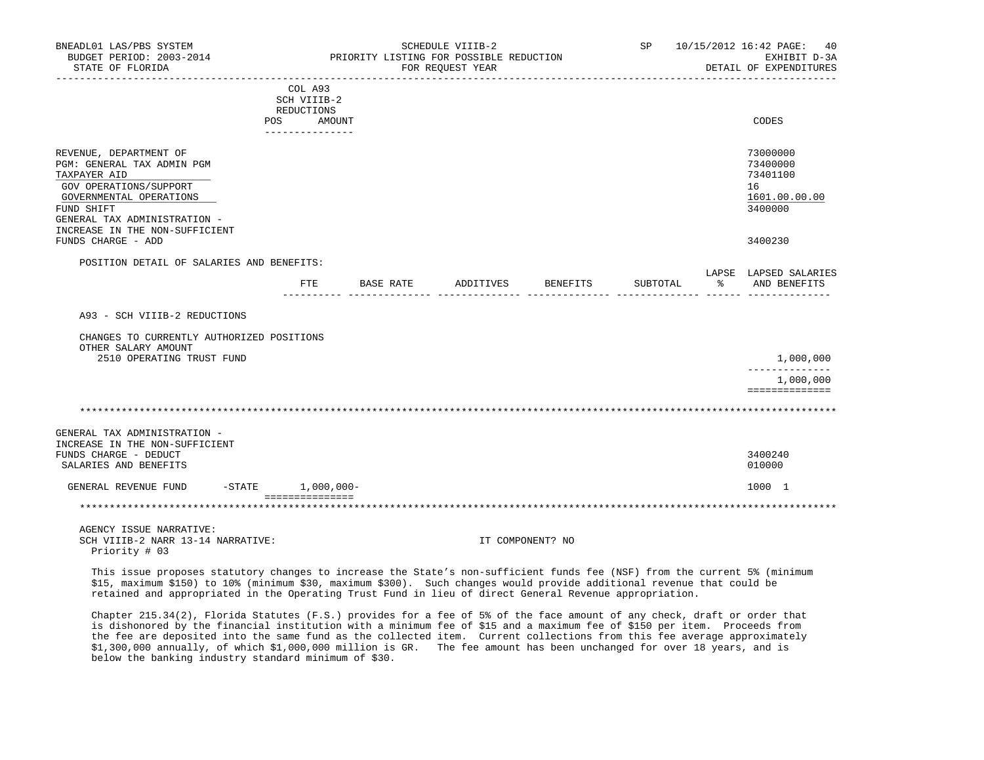| BNEADL01 LAS/PBS SYSTEM<br>BUDGET PERIOD: 2003-2014<br>STATE OF FLORIDA                                                                                                 |                                             |           | SCHEDULE VIIIB-2<br>PRIORITY LISTING FOR POSSIBLE REDUCTION<br>FOR REQUEST YEAR |                  |          |   | SP 10/15/2012 16:42 PAGE: 40<br>EXHIBIT D-3A<br>DETAIL OF EXPENDITURES |
|-------------------------------------------------------------------------------------------------------------------------------------------------------------------------|---------------------------------------------|-----------|---------------------------------------------------------------------------------|------------------|----------|---|------------------------------------------------------------------------|
|                                                                                                                                                                         | COL A93<br>SCH VIIIB-2                      |           |                                                                                 |                  |          |   |                                                                        |
|                                                                                                                                                                         | REDUCTIONS                                  |           |                                                                                 |                  |          |   |                                                                        |
|                                                                                                                                                                         | POS AMOUNT<br>. _ _ _ _ _ _ _ _ _ _ _ _ _ _ |           |                                                                                 |                  |          |   | CODES                                                                  |
| REVENUE, DEPARTMENT OF<br>PGM: GENERAL TAX ADMIN PGM<br>TAXPAYER AID<br>GOV OPERATIONS/SUPPORT<br>GOVERNMENTAL OPERATIONS<br>FUND SHIFT<br>GENERAL TAX ADMINISTRATION - |                                             |           |                                                                                 |                  |          |   | 73000000<br>73400000<br>73401100<br>16<br>1601.00.00.00<br>3400000     |
| INCREASE IN THE NON-SUFFICIENT<br>FUNDS CHARGE - ADD                                                                                                                    |                                             |           |                                                                                 |                  |          |   | 3400230                                                                |
| POSITION DETAIL OF SALARIES AND BENEFITS:                                                                                                                               |                                             |           |                                                                                 |                  |          |   |                                                                        |
|                                                                                                                                                                         | FTE                                         | BASE RATE | ADDITIVES                                                                       | BENEFITS         | SUBTOTAL | ႜ | LAPSE LAPSED SALARIES<br>AND BENEFITS                                  |
| A93 - SCH VIIIB-2 REDUCTIONS                                                                                                                                            |                                             |           |                                                                                 |                  |          |   |                                                                        |
| CHANGES TO CURRENTLY AUTHORIZED POSITIONS<br>OTHER SALARY AMOUNT<br>2510 OPERATING TRUST FUND                                                                           |                                             |           |                                                                                 |                  |          |   | 1,000,000                                                              |
|                                                                                                                                                                         |                                             |           |                                                                                 |                  |          |   | -----------                                                            |
|                                                                                                                                                                         |                                             |           |                                                                                 |                  |          |   | 1,000,000<br>==============                                            |
|                                                                                                                                                                         |                                             |           |                                                                                 |                  |          |   |                                                                        |
| GENERAL TAX ADMINISTRATION -<br>INCREASE IN THE NON-SUFFICIENT<br>FUNDS CHARGE - DEDUCT<br>SALARIES AND BENEFITS                                                        |                                             |           |                                                                                 |                  |          |   | 3400240<br>010000                                                      |
| $-$ STATE $1,000,000-$<br>GENERAL REVENUE FUND                                                                                                                          |                                             |           |                                                                                 |                  |          |   | 1000 1                                                                 |
|                                                                                                                                                                         | ===============                             |           |                                                                                 |                  |          |   |                                                                        |
| AGENCY ISSUE NARRATIVE:<br>SCH VIIIB-2 NARR 13-14 NARRATIVE:<br>Priority # 03                                                                                           |                                             |           |                                                                                 | IT COMPONENT? NO |          |   |                                                                        |
| This issue proposes statutory changes to increase the State's non-sufficient funds fee (NSF) from the current 5% (minimum                                               |                                             |           |                                                                                 |                  |          |   |                                                                        |

 This issue proposes statutory changes to increase the State's non-sufficient funds fee (NSF) from the current 5% (minimum \$15, maximum \$150) to 10% (minimum \$30, maximum \$300). Such changes would provide additional revenue that could be retained and appropriated in the Operating Trust Fund in lieu of direct General Revenue appropriation.

 Chapter 215.34(2), Florida Statutes (F.S.) provides for a fee of 5% of the face amount of any check, draft or order that is dishonored by the financial institution with a minimum fee of \$15 and a maximum fee of \$150 per item. Proceeds from the fee are deposited into the same fund as the collected item. Current collections from this fee average approximately \$1,300,000 annually, of which \$1,000,000 million is GR. The fee amount has been unchanged for over 18 years, and is below the banking industry standard minimum of \$30.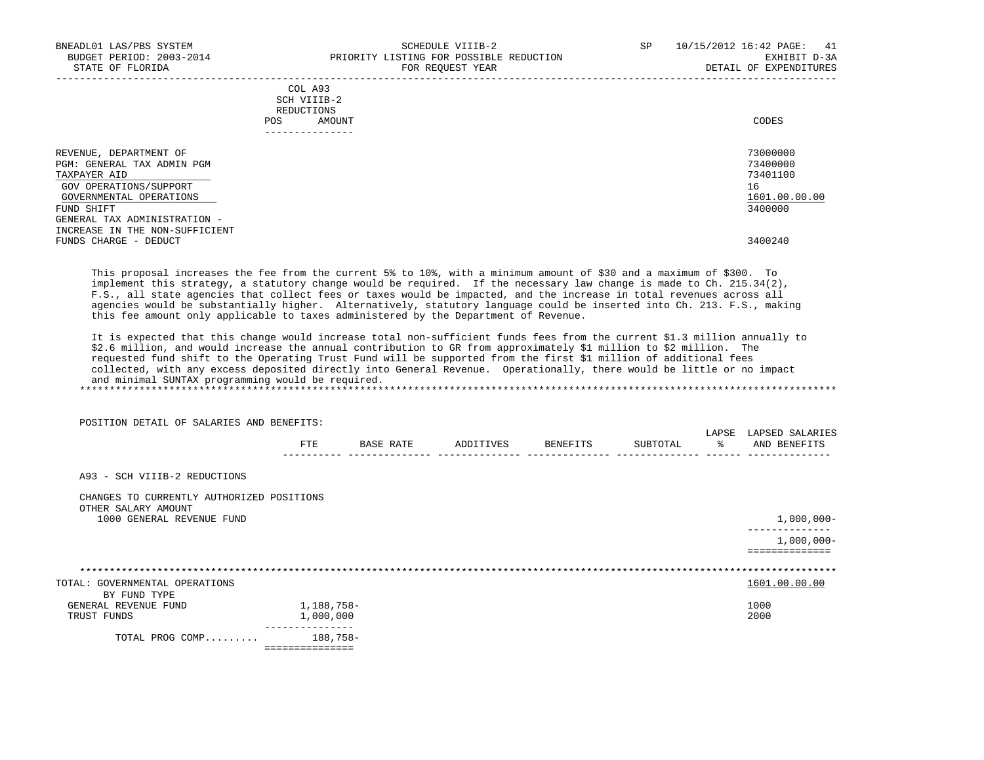| BNEADL01 LAS/PBS SYSTEM<br>BUDGET PERIOD: 2003-2014<br>STATE OF FLORIDA                                                   | SCHEDULE VIIIB-2<br>PRIORITY LISTING FOR POSSIBLE REDUCTION<br>FOR REOUEST YEAR | 10/15/2012 16:42 PAGE: 41<br>SP<br>EXHIBIT D-3A<br>DETAIL OF EXPENDITURES |
|---------------------------------------------------------------------------------------------------------------------------|---------------------------------------------------------------------------------|---------------------------------------------------------------------------|
|                                                                                                                           | COL A93<br>SCH VIIIB-2<br>REDUCTIONS<br>AMOUNT<br>POS                           | CODES                                                                     |
| REVENUE, DEPARTMENT OF<br>PGM: GENERAL TAX ADMIN PGM<br>TAXPAYER AID<br>GOV OPERATIONS/SUPPORT<br>GOVERNMENTAL OPERATIONS |                                                                                 | 73000000<br>73400000<br>73401100<br>16<br>1601.00.00.00                   |
| FUND SHIFT<br>GENERAL TAX ADMINISTRATION -<br>INCREASE IN THE NON-SUFFICIENT<br>FUNDS CHARGE - DEDUCT                     |                                                                                 | 3400000<br>3400240                                                        |

 This proposal increases the fee from the current 5% to 10%, with a minimum amount of \$30 and a maximum of \$300. To implement this strategy, a statutory change would be required. If the necessary law change is made to Ch. 215.34(2), F.S., all state agencies that collect fees or taxes would be impacted, and the increase in total revenues across all agencies would be substantially higher. Alternatively, statutory language could be inserted into Ch. 213. F.S., making this fee amount only applicable to taxes administered by the Department of Revenue.

 It is expected that this change would increase total non-sufficient funds fees from the current \$1.3 million annually to \$2.6 million, and would increase the annual contribution to GR from approximately \$1 million to \$2 million. The requested fund shift to the Operating Trust Fund will be supported from the first \$1 million of additional fees collected, with any excess deposited directly into General Revenue. Operationally, there would be little or no impact and minimal SUNTAX programming would be required. \*\*\*\*\*\*\*\*\*\*\*\*\*\*\*\*\*\*\*\*\*\*\*\*\*\*\*\*\*\*\*\*\*\*\*\*\*\*\*\*\*\*\*\*\*\*\*\*\*\*\*\*\*\*\*\*\*\*\*\*\*\*\*\*\*\*\*\*\*\*\*\*\*\*\*\*\*\*\*\*\*\*\*\*\*\*\*\*\*\*\*\*\*\*\*\*\*\*\*\*\*\*\*\*\*\*\*\*\*\*\*\*\*\*\*\*\*\*\*\*\*\*\*\*\*\*\*

POSITION DETAIL OF SALARIES AND BENEFITS:

|                                                                  | FTE                       | BASE RATE | ADDITIVES | BENEFITS | SUBTOTAL | LAPSE<br>- % | LAPSED SALARIES<br>AND BENEFITS |
|------------------------------------------------------------------|---------------------------|-----------|-----------|----------|----------|--------------|---------------------------------|
| A93 - SCH VIIIB-2 REDUCTIONS                                     |                           |           |           |          |          |              |                                 |
| CHANGES TO CURRENTLY AUTHORIZED POSITIONS<br>OTHER SALARY AMOUNT |                           |           |           |          |          |              |                                 |
| 1000 GENERAL REVENUE FUND                                        |                           |           |           |          |          |              | $1,000,000-$                    |
|                                                                  |                           |           |           |          |          |              | $1,000,000 -$                   |
|                                                                  |                           |           |           |          |          |              |                                 |
| TOTAL: GOVERNMENTAL OPERATIONS                                   |                           |           |           |          |          |              | 1601.00.00.00                   |
| BY FUND TYPE                                                     |                           |           |           |          |          |              |                                 |
| GENERAL REVENUE FUND                                             | 1,188,758-                |           |           |          |          |              | 1000                            |
| TRUST FUNDS                                                      | 1,000,000                 |           |           |          |          |              | 2000                            |
| TOTAL PROG COMP                                                  | 188,758-<br>============= |           |           |          |          |              |                                 |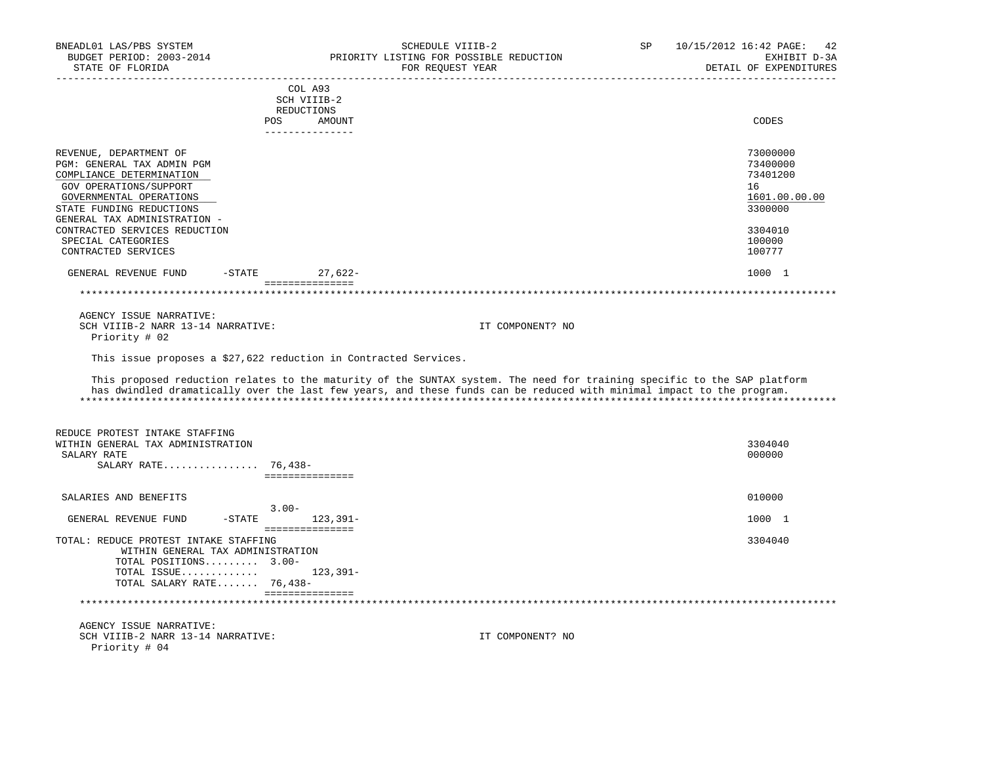| BNEADL01 LAS/PBS SYSTEM<br>BUDGET PERIOD: 2003-2014<br>STATE OF FLORIDA |                                    | SCHEDULE VIIIB-2<br>PRIORITY LISTING FOR POSSIBLE REDUCTION<br>FOR REQUEST YEAR                                          | SP | 10/15/2012 16:42 PAGE: 42<br>EXHIBIT D-3A<br>DETAIL OF EXPENDITURES |
|-------------------------------------------------------------------------|------------------------------------|--------------------------------------------------------------------------------------------------------------------------|----|---------------------------------------------------------------------|
|                                                                         |                                    |                                                                                                                          |    |                                                                     |
|                                                                         | COL A93                            |                                                                                                                          |    |                                                                     |
|                                                                         | SCH VIIIB-2                        |                                                                                                                          |    |                                                                     |
|                                                                         | REDUCTIONS<br>POS AMOUNT           |                                                                                                                          |    | CODES                                                               |
|                                                                         | ---------------                    |                                                                                                                          |    |                                                                     |
|                                                                         |                                    |                                                                                                                          |    |                                                                     |
| REVENUE, DEPARTMENT OF                                                  |                                    |                                                                                                                          |    | 73000000                                                            |
| PGM: GENERAL TAX ADMIN PGM<br>COMPLIANCE DETERMINATION                  |                                    |                                                                                                                          |    | 73400000<br>73401200                                                |
| GOV OPERATIONS/SUPPORT                                                  |                                    |                                                                                                                          |    | 16                                                                  |
| GOVERNMENTAL OPERATIONS                                                 |                                    |                                                                                                                          |    | 1601.00.00.00                                                       |
| STATE FUNDING REDUCTIONS                                                |                                    |                                                                                                                          |    | 3300000                                                             |
| GENERAL TAX ADMINISTRATION -                                            |                                    |                                                                                                                          |    |                                                                     |
| CONTRACTED SERVICES REDUCTION                                           |                                    |                                                                                                                          |    | 3304010                                                             |
| SPECIAL CATEGORIES                                                      |                                    |                                                                                                                          |    | 100000                                                              |
| CONTRACTED SERVICES                                                     |                                    |                                                                                                                          |    | 100777                                                              |
| GENERAL REVENUE FUND                                                    | $-STATE$                           | 27,622-                                                                                                                  |    | 1000 1                                                              |
|                                                                         | ================                   |                                                                                                                          |    |                                                                     |
|                                                                         |                                    |                                                                                                                          |    |                                                                     |
| AGENCY ISSUE NARRATIVE:                                                 |                                    |                                                                                                                          |    |                                                                     |
| SCH VIIIB-2 NARR 13-14 NARRATIVE:                                       |                                    | IT COMPONENT? NO                                                                                                         |    |                                                                     |
| Priority # 02                                                           |                                    |                                                                                                                          |    |                                                                     |
|                                                                         |                                    | This issue proposes a \$27,622 reduction in Contracted Services.                                                         |    |                                                                     |
|                                                                         |                                    |                                                                                                                          |    |                                                                     |
|                                                                         |                                    | This proposed reduction relates to the maturity of the SUNTAX system. The need for training specific to the SAP platform |    |                                                                     |
|                                                                         |                                    | has dwindled dramatically over the last few years, and these funds can be reduced with minimal impact to the program.    |    |                                                                     |
|                                                                         |                                    |                                                                                                                          |    |                                                                     |
|                                                                         |                                    |                                                                                                                          |    |                                                                     |
| REDUCE PROTEST INTAKE STAFFING                                          |                                    |                                                                                                                          |    |                                                                     |
| WITHIN GENERAL TAX ADMINISTRATION                                       |                                    |                                                                                                                          |    | 3304040                                                             |
| SALARY RATE                                                             |                                    |                                                                                                                          |    | 000000                                                              |
| SALARY RATE 76,438-                                                     | ===============                    |                                                                                                                          |    |                                                                     |
|                                                                         |                                    |                                                                                                                          |    |                                                                     |
| SALARIES AND BENEFITS                                                   |                                    |                                                                                                                          |    | 010000                                                              |
|                                                                         | $3.00 -$                           |                                                                                                                          |    |                                                                     |
| GENERAL REVENUE FUND                                                    | -STATE 123,391-<br>=============== |                                                                                                                          |    | 1000 1                                                              |
| TOTAL: REDUCE PROTEST INTAKE STAFFING                                   |                                    |                                                                                                                          |    | 3304040                                                             |
| WITHIN GENERAL TAX ADMINISTRATION                                       |                                    |                                                                                                                          |    |                                                                     |
| TOTAL POSITIONS 3.00-                                                   |                                    |                                                                                                                          |    |                                                                     |
| TOTAL ISSUE $123,391-$                                                  |                                    |                                                                                                                          |    |                                                                     |
| TOTAL SALARY RATE 76,438-                                               |                                    |                                                                                                                          |    |                                                                     |
|                                                                         | ---------------                    |                                                                                                                          |    |                                                                     |
| AGENCY ISSUE NARRATIVE:                                                 |                                    |                                                                                                                          |    |                                                                     |
| SCH VIIIB-2 NARR 13-14 NARRATIVE:                                       |                                    | IT COMPONENT? NO                                                                                                         |    |                                                                     |
| Priority # 04                                                           |                                    |                                                                                                                          |    |                                                                     |
|                                                                         |                                    |                                                                                                                          |    |                                                                     |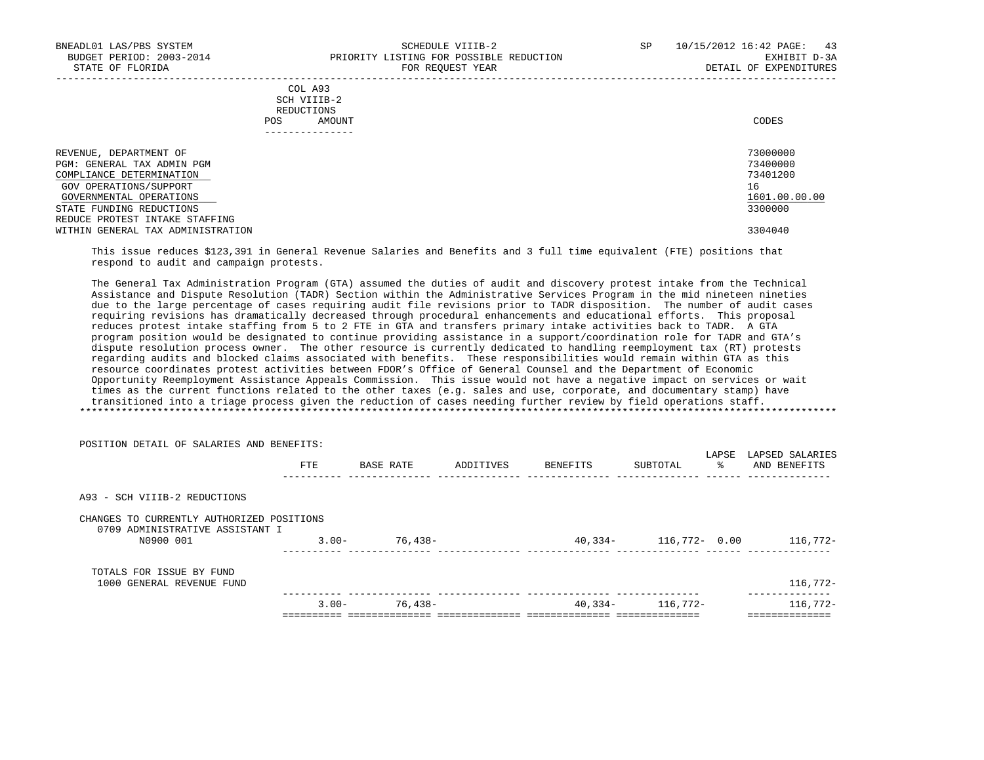POSITION DETAIL OF SALARIES AND BENEFITS:

-----------------------------------------------------------------------------------------------------------------------------------

|            | _______________ |       |
|------------|-----------------|-------|
| POS        | AMOUNT          | CODES |
| REDUCTIONS |                 |       |
|            | SCH VIIIB-2     |       |
|            | COL A93         |       |

| DEPARTMENT OF<br>REVENUE,         | 73000000      |
|-----------------------------------|---------------|
| PGM: GENERAL TAX ADMIN PGM        | 73400000      |
| COMPLIANCE DETERMINATION          | 73401200      |
| GOV OPERATIONS/SUPPORT            | 16            |
| GOVERNMENTAL OPERATIONS           | 1601.00.00.00 |
| STATE FUNDING REDUCTIONS          | 3300000       |
| REDUCE PROTEST INTAKE STAFFING    |               |
| WITHIN GENERAL TAX ADMINISTRATION | 3304040       |
|                                   |               |

 This issue reduces \$123,391 in General Revenue Salaries and Benefits and 3 full time equivalent (FTE) positions that respond to audit and campaign protests.

 The General Tax Administration Program (GTA) assumed the duties of audit and discovery protest intake from the Technical Assistance and Dispute Resolution (TADR) Section within the Administrative Services Program in the mid nineteen nineties due to the large percentage of cases requiring audit file revisions prior to TADR disposition. The number of audit cases requiring revisions has dramatically decreased through procedural enhancements and educational efforts. This proposal reduces protest intake staffing from 5 to 2 FTE in GTA and transfers primary intake activities back to TADR. A GTA program position would be designated to continue providing assistance in a support/coordination role for TADR and GTA's dispute resolution process owner. The other resource is currently dedicated to handling reemployment tax (RT) protests regarding audits and blocked claims associated with benefits. These responsibilities would remain within GTA as this resource coordinates protest activities between FDOR's Office of General Counsel and the Department of Economic Opportunity Reemployment Assistance Appeals Commission. This issue would not have a negative impact on services or wait times as the current functions related to the other taxes (e.g. sales and use, corporate, and documentary stamp) have transitioned into a triage process given the reduction of cases needing further review by field operations staff. \*\*\*\*\*\*\*\*\*\*\*\*\*\*\*\*\*\*\*\*\*\*\*\*\*\*\*\*\*\*\*\*\*\*\*\*\*\*\*\*\*\*\*\*\*\*\*\*\*\*\*\*\*\*\*\*\*\*\*\*\*\*\*\*\*\*\*\*\*\*\*\*\*\*\*\*\*\*\*\*\*\*\*\*\*\*\*\*\*\*\*\*\*\*\*\*\*\*\*\*\*\*\*\*\*\*\*\*\*\*\*\*\*\*\*\*\*\*\*\*\*\*\*\*\*\*\*

| PUSIIIUN DEIAIL UP SALAKIES AND BENEPIIS.                                                 |          |           |           |          |                  |            |                                 |
|-------------------------------------------------------------------------------------------|----------|-----------|-----------|----------|------------------|------------|---------------------------------|
|                                                                                           | FTE      | BASE RATE | ADDITIVES | BENEFITS | SUBTOTAL         | LAPSE<br>° | LAPSED SALARIES<br>AND BENEFITS |
| A93 - SCH VIIIB-2 REDUCTIONS                                                              |          |           |           |          |                  |            |                                 |
| CHANGES TO CURRENTLY AUTHORIZED POSITIONS<br>0709 ADMINISTRATIVE ASSISTANT I<br>N0900 001 | $3.00 -$ | 76,438-   |           | 40,334-  | $116,772 - 0.00$ |            | 116,772-                        |
| TOTALS FOR ISSUE BY FUND<br>1000 GENERAL REVENUE FUND                                     |          |           |           |          |                  |            | $116,772-$                      |
|                                                                                           | $3.00 -$ | 76,438-   |           | 40,334-  | 116,772-         |            | $116,772-$                      |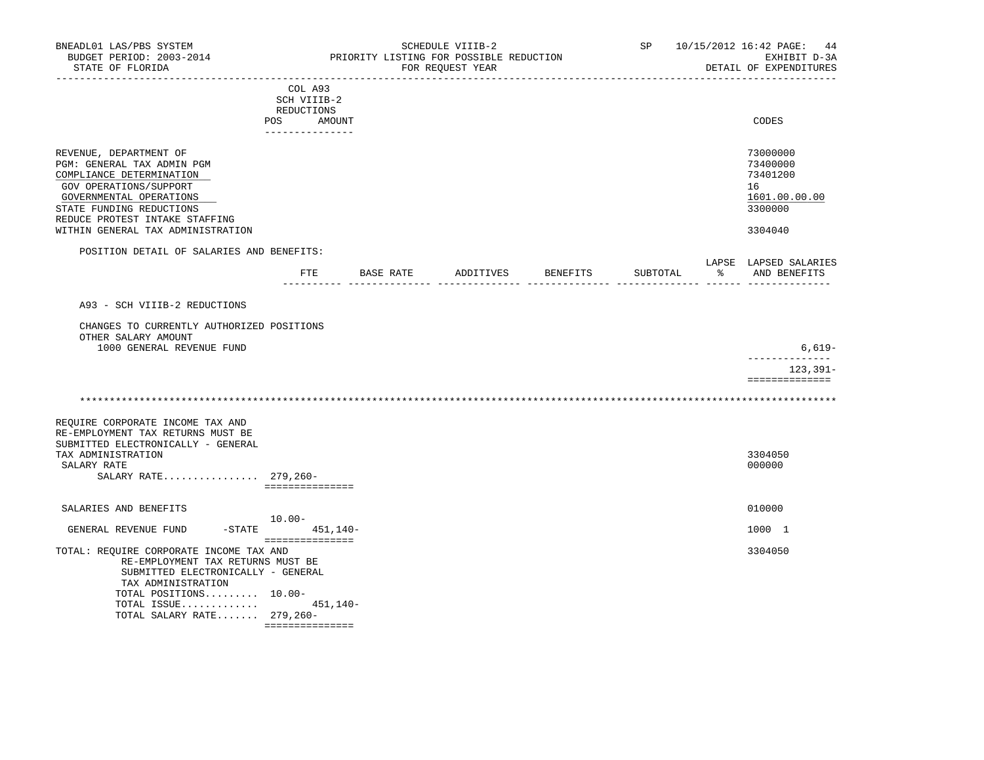| BNEADL01 LAS/PBS SYSTEM<br>BUDGET PERIOD: 2003-2014<br>STATE OF FLORIDA                                                                                                                                                                  |                                                                          |           | SCHEDULE VIIIB-2<br>PRIORITY LISTING FOR POSSIBLE REDUCTION<br>FOR REQUEST YEAR |                    | SP       |     | 10/15/2012 16:42 PAGE: 44<br>EXHIBIT D-3A<br>DETAIL OF EXPENDITURES           |
|------------------------------------------------------------------------------------------------------------------------------------------------------------------------------------------------------------------------------------------|--------------------------------------------------------------------------|-----------|---------------------------------------------------------------------------------|--------------------|----------|-----|-------------------------------------------------------------------------------|
|                                                                                                                                                                                                                                          | COL A93<br>SCH VIIIB-2<br>REDUCTIONS<br>POS<br>AMOUNT<br>--------------- |           |                                                                                 |                    |          |     | CODES                                                                         |
| REVENUE, DEPARTMENT OF<br>PGM: GENERAL TAX ADMIN PGM<br>COMPLIANCE DETERMINATION<br>GOV OPERATIONS/SUPPORT<br>GOVERNMENTAL OPERATIONS<br>STATE FUNDING REDUCTIONS<br>REDUCE PROTEST INTAKE STAFFING<br>WITHIN GENERAL TAX ADMINISTRATION |                                                                          |           |                                                                                 |                    |          |     | 73000000<br>73400000<br>73401200<br>16<br>1601.00.00.00<br>3300000<br>3304040 |
| POSITION DETAIL OF SALARIES AND BENEFITS:                                                                                                                                                                                                | FTE                                                                      | BASE RATE |                                                                                 | ADDITIVES BENEFITS | SUBTOTAL | ာ ေ | LAPSE LAPSED SALARIES<br>AND BENEFITS                                         |
| A93 - SCH VIIIB-2 REDUCTIONS<br>CHANGES TO CURRENTLY AUTHORIZED POSITIONS<br>OTHER SALARY AMOUNT<br>1000 GENERAL REVENUE FUND                                                                                                            |                                                                          |           |                                                                                 |                    |          |     | 6,619-<br>--------------<br>$123, 391 -$                                      |
|                                                                                                                                                                                                                                          |                                                                          |           |                                                                                 |                    |          |     | ==============                                                                |
| REQUIRE CORPORATE INCOME TAX AND<br>RE-EMPLOYMENT TAX RETURNS MUST BE<br>SUBMITTED ELECTRONICALLY - GENERAL<br>TAX ADMINISTRATION<br>SALARY RATE<br>SALARY RATE 279,260-                                                                 | ===============                                                          |           |                                                                                 |                    |          |     | 3304050<br>000000                                                             |
| SALARIES AND BENEFITS                                                                                                                                                                                                                    | $10.00 -$                                                                |           |                                                                                 |                    |          |     | 010000                                                                        |
| GENERAL REVENUE FUND                                                                                                                                                                                                                     | $-$ STATE 451, 140-<br>===============                                   |           |                                                                                 |                    |          |     | 1000 1                                                                        |
| TOTAL: REQUIRE CORPORATE INCOME TAX AND<br>RE-EMPLOYMENT TAX RETURNS MUST BE<br>SUBMITTED ELECTRONICALLY - GENERAL<br>TAX ADMINISTRATION<br>TOTAL POSITIONS 10.00-<br>TOTAL ISSUE<br>TOTAL SALARY RATE 279,260-                          | 451,140-<br>===============                                              |           |                                                                                 |                    |          |     | 3304050                                                                       |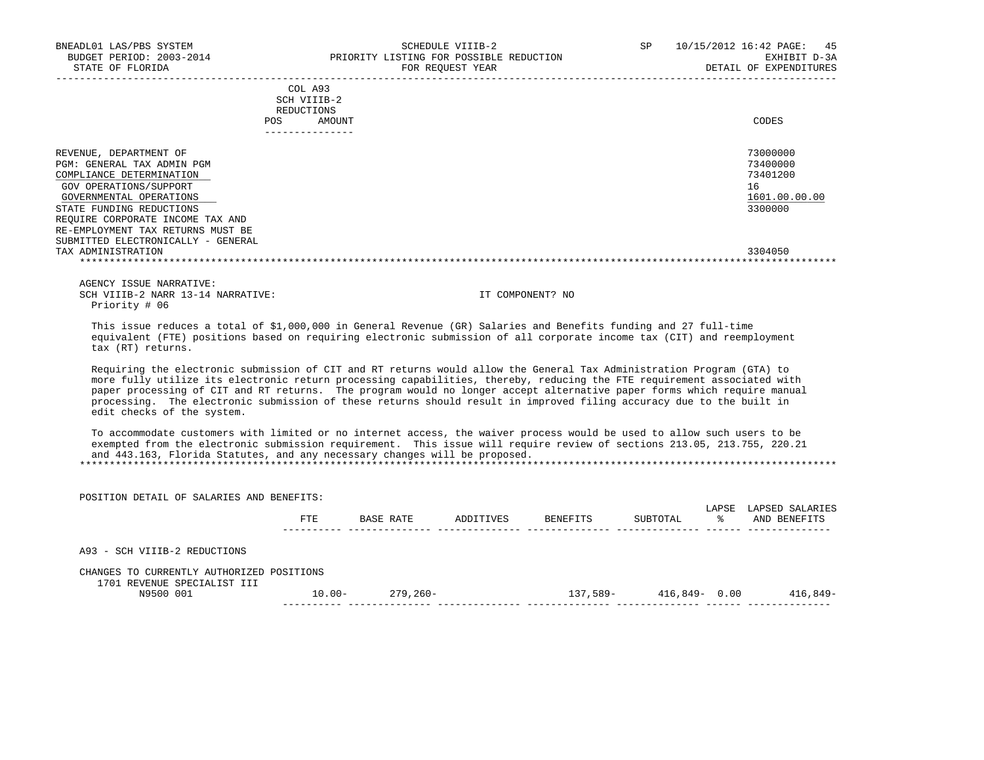| VEADLO1 LAS/PBS SYSTEM SCHEDULE VIIIB-2<br>BUDGET PERIOD: 2003-2014 PRIORITY LISTING FOR POSSIBLE REDUCTION<br>BNEADL01 LAS/PBS SYSTEM<br>STATE OF FLORIDA                                                                                                                                                                                                                                                                                                                                                                        |                                      |                     | FOR REOUEST YEAR |                                                               | SP | 10/15/2012 16:42 PAGE: 45<br>EXHIBIT D-3A<br>DETAIL OF EXPENDITURES |
|-----------------------------------------------------------------------------------------------------------------------------------------------------------------------------------------------------------------------------------------------------------------------------------------------------------------------------------------------------------------------------------------------------------------------------------------------------------------------------------------------------------------------------------|--------------------------------------|---------------------|------------------|---------------------------------------------------------------|----|---------------------------------------------------------------------|
|                                                                                                                                                                                                                                                                                                                                                                                                                                                                                                                                   |                                      |                     |                  |                                                               |    |                                                                     |
|                                                                                                                                                                                                                                                                                                                                                                                                                                                                                                                                   | COL A93<br>SCH VIIIB-2<br>REDUCTIONS |                     |                  |                                                               |    |                                                                     |
|                                                                                                                                                                                                                                                                                                                                                                                                                                                                                                                                   | POS AMOUNT<br>---------------        |                     |                  |                                                               |    | CODES                                                               |
| REVENUE, DEPARTMENT OF                                                                                                                                                                                                                                                                                                                                                                                                                                                                                                            |                                      |                     |                  |                                                               |    | 73000000                                                            |
| PGM: GENERAL TAX ADMIN PGM<br>COMPLIANCE DETERMINATION                                                                                                                                                                                                                                                                                                                                                                                                                                                                            |                                      |                     |                  |                                                               |    | 73400000<br>73401200                                                |
| GOV OPERATIONS/SUPPORT<br>GOVERNMENTAL OPERATIONS                                                                                                                                                                                                                                                                                                                                                                                                                                                                                 |                                      |                     |                  |                                                               |    | 16<br>1601.00.00.00                                                 |
| STATE FUNDING REDUCTIONS                                                                                                                                                                                                                                                                                                                                                                                                                                                                                                          |                                      |                     |                  |                                                               |    | 3300000                                                             |
| REQUIRE CORPORATE INCOME TAX AND<br>RE-EMPLOYMENT TAX RETURNS MUST BE                                                                                                                                                                                                                                                                                                                                                                                                                                                             |                                      |                     |                  |                                                               |    |                                                                     |
| SUBMITTED ELECTRONICALLY - GENERAL<br>TAX ADMINISTRATION                                                                                                                                                                                                                                                                                                                                                                                                                                                                          |                                      |                     |                  |                                                               |    | 3304050                                                             |
|                                                                                                                                                                                                                                                                                                                                                                                                                                                                                                                                   |                                      |                     |                  |                                                               |    |                                                                     |
| AGENCY ISSUE NARRATIVE:                                                                                                                                                                                                                                                                                                                                                                                                                                                                                                           |                                      |                     |                  |                                                               |    |                                                                     |
| SCH VIIIB-2 NARR 13-14 NARRATIVE:<br>Priority # 06                                                                                                                                                                                                                                                                                                                                                                                                                                                                                |                                      |                     |                  | IT COMPONENT? NO                                              |    |                                                                     |
| This issue reduces a total of \$1,000,000 in General Revenue (GR) Salaries and Benefits funding and 27 full-time<br>equivalent (FTE) positions based on requiring electronic submission of all corporate income tax (CIT) and reemployment<br>tax (RT) returns.                                                                                                                                                                                                                                                                   |                                      |                     |                  |                                                               |    |                                                                     |
| Requiring the electronic submission of CIT and RT returns would allow the General Tax Administration Program (GTA) to<br>more fully utilize its electronic return processing capabilities, thereby, reducing the FTE requirement associated with<br>paper processing of CIT and RT returns. The program would no longer accept alternative paper forms which require manual<br>processing. The electronic submission of these returns should result in improved filing accuracy due to the built in<br>edit checks of the system. |                                      |                     |                  |                                                               |    |                                                                     |
| To accommodate customers with limited or no internet access, the waiver process would be used to allow such users to be<br>exempted from the electronic submission requirement. This issue will require review of sections 213.05, 213.755, 220.21<br>and 443.163, Florida Statutes, and any necessary changes will be proposed.                                                                                                                                                                                                  |                                      |                     |                  |                                                               |    |                                                                     |
|                                                                                                                                                                                                                                                                                                                                                                                                                                                                                                                                   |                                      |                     |                  |                                                               |    |                                                                     |
| POSITION DETAIL OF SALARIES AND BENEFITS:                                                                                                                                                                                                                                                                                                                                                                                                                                                                                         |                                      |                     |                  |                                                               |    |                                                                     |
|                                                                                                                                                                                                                                                                                                                                                                                                                                                                                                                                   |                                      |                     |                  | FTE BASE RATE ADDITIVES BENEFITS SUBTOTAL $\ast$ AND BENEFITS |    | LAPSE LAPSED SALARIES                                               |
| A93 - SCH VIIIB-2 REDUCTIONS                                                                                                                                                                                                                                                                                                                                                                                                                                                                                                      |                                      |                     |                  |                                                               |    |                                                                     |
| CHANGES TO CURRENTLY AUTHORIZED POSITIONS                                                                                                                                                                                                                                                                                                                                                                                                                                                                                         |                                      |                     |                  |                                                               |    |                                                                     |
| 1701 REVENUE SPECIALIST III<br>N9500 001                                                                                                                                                                                                                                                                                                                                                                                                                                                                                          |                                      | $10.00 - 279,260 -$ |                  | $137,589-416,849-0.00$ 416,849-                               |    |                                                                     |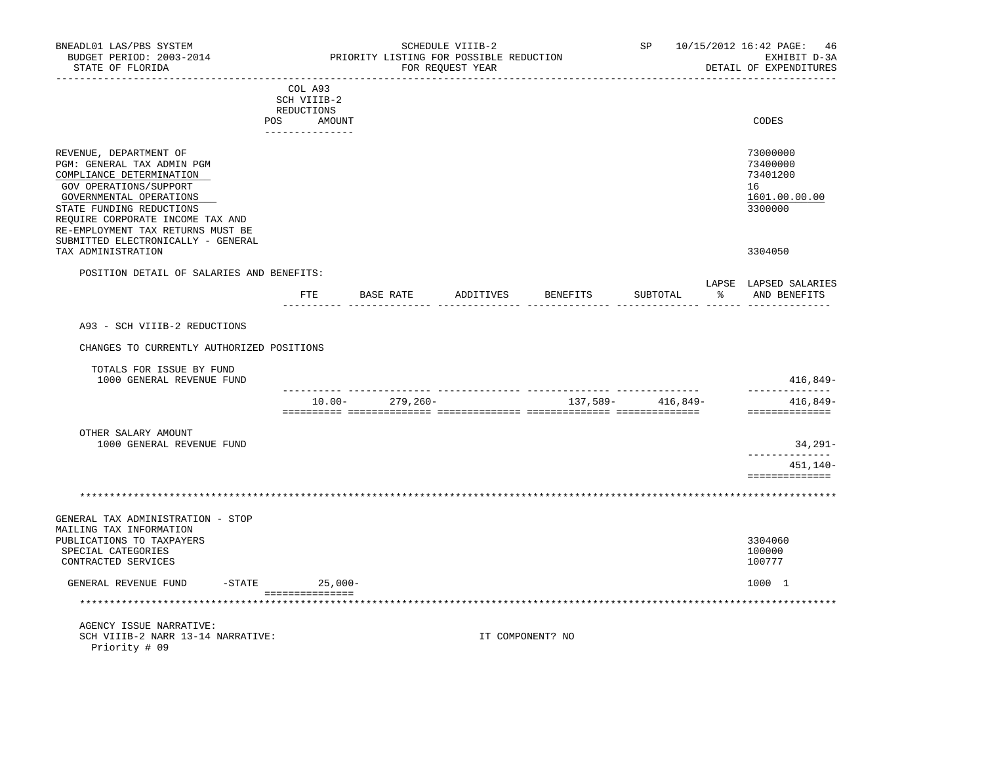| BNEADL01 LAS/PBS SYSTEM<br>BUDGET PERIOD: 2003-2014<br>STATE OF FLORIDA                                                                                                                                                                                                          |                                      |                     | SCHEDULE VIIIB-2<br>PRIORITY LISTING FOR POSSIBLE REDUCTION<br>FOR REQUEST YEAR |                          | SP                |   | 10/15/2012 16:42 PAGE: 46<br>EXHIBIT D-3A<br>DETAIL OF EXPENDITURES |
|----------------------------------------------------------------------------------------------------------------------------------------------------------------------------------------------------------------------------------------------------------------------------------|--------------------------------------|---------------------|---------------------------------------------------------------------------------|--------------------------|-------------------|---|---------------------------------------------------------------------|
| ------------------------                                                                                                                                                                                                                                                         | COL A93<br>SCH VIIIB-2<br>REDUCTIONS |                     |                                                                                 | ------------------------ |                   |   |                                                                     |
|                                                                                                                                                                                                                                                                                  | POS AMOUNT<br>--------------         |                     |                                                                                 |                          |                   |   | CODES                                                               |
| REVENUE, DEPARTMENT OF<br>PGM: GENERAL TAX ADMIN PGM<br>COMPLIANCE DETERMINATION<br>GOV OPERATIONS/SUPPORT<br>GOVERNMENTAL OPERATIONS<br>STATE FUNDING REDUCTIONS<br>REOUIRE CORPORATE INCOME TAX AND<br>RE-EMPLOYMENT TAX RETURNS MUST BE<br>SUBMITTED ELECTRONICALLY - GENERAL |                                      |                     |                                                                                 |                          |                   |   | 73000000<br>73400000<br>73401200<br>16<br>1601.00.00.00<br>3300000  |
| TAX ADMINISTRATION                                                                                                                                                                                                                                                               |                                      |                     |                                                                                 |                          |                   |   | 3304050                                                             |
| POSITION DETAIL OF SALARIES AND BENEFITS:                                                                                                                                                                                                                                        |                                      | FTE BASE RATE       |                                                                                 | ADDITIVES BENEFITS       | SUBTOTAL          | ႜ | LAPSE LAPSED SALARIES<br>AND BENEFITS                               |
| A93 - SCH VIIIB-2 REDUCTIONS                                                                                                                                                                                                                                                     |                                      |                     |                                                                                 |                          |                   |   |                                                                     |
| CHANGES TO CURRENTLY AUTHORIZED POSITIONS                                                                                                                                                                                                                                        |                                      |                     |                                                                                 |                          |                   |   |                                                                     |
| TOTALS FOR ISSUE BY FUND<br>1000 GENERAL REVENUE FUND                                                                                                                                                                                                                            |                                      |                     |                                                                                 |                          |                   |   | 416,849-                                                            |
|                                                                                                                                                                                                                                                                                  |                                      | $10.00 - 279,260 -$ |                                                                                 |                          | 137,589- 416,849- |   | --------------<br>416,849-<br>==============                        |
| OTHER SALARY AMOUNT<br>1000 GENERAL REVENUE FUND                                                                                                                                                                                                                                 |                                      |                     |                                                                                 |                          |                   |   | 34,291-                                                             |
|                                                                                                                                                                                                                                                                                  |                                      |                     |                                                                                 |                          |                   |   | ------------<br>451,140-<br>==============                          |
|                                                                                                                                                                                                                                                                                  |                                      |                     |                                                                                 |                          |                   |   |                                                                     |
| GENERAL TAX ADMINISTRATION - STOP<br>MAILING TAX INFORMATION<br>PUBLICATIONS TO TAXPAYERS<br>SPECIAL CATEGORIES<br>CONTRACTED SERVICES                                                                                                                                           |                                      |                     |                                                                                 |                          |                   |   | 3304060<br>100000<br>100777                                         |
| GENERAL REVENUE FUND                                                                                                                                                                                                                                                             | -STATE 25,000-                       |                     |                                                                                 |                          |                   |   | 1000 1                                                              |
|                                                                                                                                                                                                                                                                                  | ----------------                     |                     |                                                                                 |                          |                   |   |                                                                     |
| AGENCY ISSUE NARRATIVE:<br>SCH VIIIB-2 NARR 13-14 NARRATIVE:<br>Priority # 09                                                                                                                                                                                                    |                                      |                     |                                                                                 | IT COMPONENT? NO         |                   |   |                                                                     |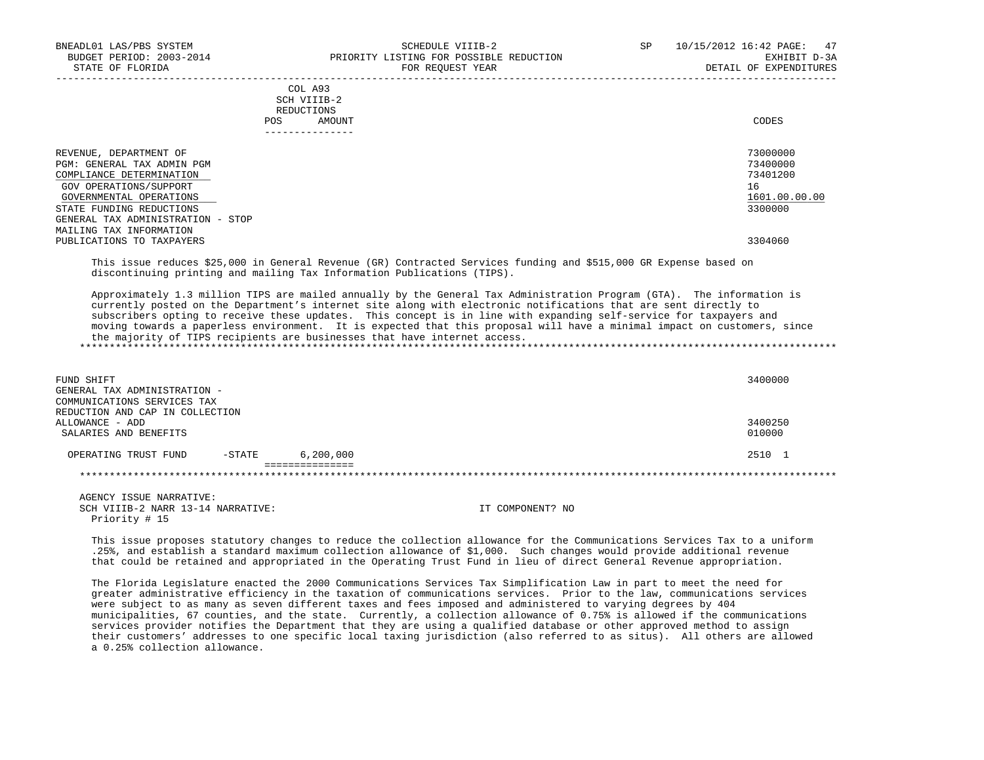| BNEADL01 LAS/PBS SYSTEM<br>BUDGET PERIOD: 2003-2014<br>STATE OF FLORIDA                                                                                                                                | SCHEDULE VIIIB-2<br>PRIORITY LISTING FOR POSSIBLE REDUCTION<br>FOR REOUEST YEAR                                                                                                                                                                                                                                                                                                                                                                                                                                                                                                                                                                                                                                                                                           | 10/15/2012 16:42 PAGE:<br>SP<br>47<br>EXHIBIT D-3A<br>DETAIL OF EXPENDITURES |
|--------------------------------------------------------------------------------------------------------------------------------------------------------------------------------------------------------|---------------------------------------------------------------------------------------------------------------------------------------------------------------------------------------------------------------------------------------------------------------------------------------------------------------------------------------------------------------------------------------------------------------------------------------------------------------------------------------------------------------------------------------------------------------------------------------------------------------------------------------------------------------------------------------------------------------------------------------------------------------------------|------------------------------------------------------------------------------|
|                                                                                                                                                                                                        | COL A93<br>SCH VIIIB-2<br>REDUCTIONS                                                                                                                                                                                                                                                                                                                                                                                                                                                                                                                                                                                                                                                                                                                                      |                                                                              |
|                                                                                                                                                                                                        | POS<br>AMOUNT<br>_______________                                                                                                                                                                                                                                                                                                                                                                                                                                                                                                                                                                                                                                                                                                                                          | CODES                                                                        |
| REVENUE, DEPARTMENT OF<br>PGM: GENERAL TAX ADMIN PGM<br>COMPLIANCE DETERMINATION<br>GOV OPERATIONS/SUPPORT<br>GOVERNMENTAL OPERATIONS<br>STATE FUNDING REDUCTIONS<br>GENERAL TAX ADMINISTRATION - STOP |                                                                                                                                                                                                                                                                                                                                                                                                                                                                                                                                                                                                                                                                                                                                                                           | 73000000<br>73400000<br>73401200<br>16<br>1601.00.00.00<br>3300000           |
| MAILING TAX INFORMATION<br>PUBLICATIONS TO TAXPAYERS                                                                                                                                                   |                                                                                                                                                                                                                                                                                                                                                                                                                                                                                                                                                                                                                                                                                                                                                                           | 3304060                                                                      |
|                                                                                                                                                                                                        | This issue reduces \$25,000 in General Revenue (GR) Contracted Services funding and \$515,000 GR Expense based on<br>discontinuing printing and mailing Tax Information Publications (TIPS).<br>Approximately 1.3 million TIPS are mailed annually by the General Tax Administration Program (GTA). The information is<br>currently posted on the Department's internet site along with electronic notifications that are sent directly to<br>subscribers opting to receive these updates. This concept is in line with expanding self-service for taxpayers and<br>moving towards a paperless environment. It is expected that this proposal will have a minimal impact on customers, since<br>the majority of TIPS recipients are businesses that have internet access. |                                                                              |
| FUND SHIFT<br>GENERAL TAX ADMINISTRATION -<br>COMMUNICATIONS SERVICES TAX<br>REDUCTION AND CAP IN COLLECTION                                                                                           |                                                                                                                                                                                                                                                                                                                                                                                                                                                                                                                                                                                                                                                                                                                                                                           | 3400000                                                                      |
| ALLOWANCE - ADD<br>SALARIES AND BENEFITS                                                                                                                                                               |                                                                                                                                                                                                                                                                                                                                                                                                                                                                                                                                                                                                                                                                                                                                                                           | 3400250<br>010000                                                            |
| $-STATE$<br>OPERATING TRUST FUND                                                                                                                                                                       | 6,200,000<br>===============                                                                                                                                                                                                                                                                                                                                                                                                                                                                                                                                                                                                                                                                                                                                              | 2510 1                                                                       |
|                                                                                                                                                                                                        |                                                                                                                                                                                                                                                                                                                                                                                                                                                                                                                                                                                                                                                                                                                                                                           |                                                                              |
| AGENCY ISSUE NARRATIVE:<br>SCH VIIIB-2 NARR 13-14 NARRATIVE:<br>Priority # 15                                                                                                                          | IT COMPONENT? NO                                                                                                                                                                                                                                                                                                                                                                                                                                                                                                                                                                                                                                                                                                                                                          |                                                                              |
|                                                                                                                                                                                                        | This issue proposes statutory changes to reduce the collection allowance for the Communications Services Tax to a uniform<br>.25%, and establish a standard maximum collection allowance of \$1,000. Such changes would provide additional revenue<br>that could be retained and appropriated in the Operating Trust Fund in lieu of direct General Revenue appropriation.                                                                                                                                                                                                                                                                                                                                                                                                |                                                                              |

 The Florida Legislature enacted the 2000 Communications Services Tax Simplification Law in part to meet the need for greater administrative efficiency in the taxation of communications services. Prior to the law, communications services were subject to as many as seven different taxes and fees imposed and administered to varying degrees by 404 municipalities, 67 counties, and the state. Currently, a collection allowance of 0.75% is allowed if the communications services provider notifies the Department that they are using a qualified database or other approved method to assign their customers' addresses to one specific local taxing jurisdiction (also referred to as situs). All others are allowed a 0.25% collection allowance.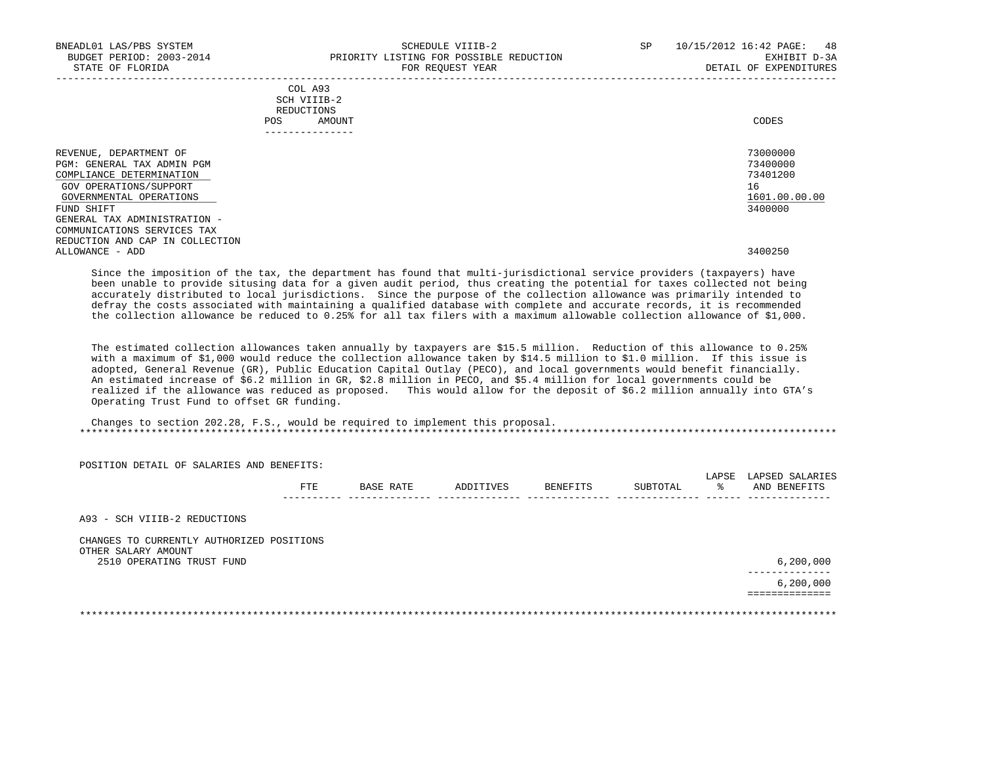| BNEADL01 LAS/PBS SYSTEM<br>BUDGET PERIOD: 2003-2014<br>STATE OF FLORIDA                                                               | SCHEDULE VIIIB-2<br>PRIORITY LISTING FOR POSSIBLE REDUCTION<br>FOR REOUEST YEAR | 10/15/2012 16:42 PAGE:<br>SP<br>EXHIBIT D-3A<br>DETAIL OF EXPENDITURES | -48 |
|---------------------------------------------------------------------------------------------------------------------------------------|---------------------------------------------------------------------------------|------------------------------------------------------------------------|-----|
|                                                                                                                                       | COL A93<br>SCH VIIIB-2<br>REDUCTIONS<br>POS<br>AMOUNT<br>--------------         | CODES                                                                  |     |
| REVENUE, DEPARTMENT OF<br>PGM: GENERAL TAX ADMIN PGM<br>COMPLIANCE DETERMINATION<br>GOV OPERATIONS/SUPPORT<br>GOVERNMENTAL OPERATIONS |                                                                                 | 73000000<br>73400000<br>73401200<br>16<br>1601.00.00.00                |     |
| FUND SHIFT<br>GENERAL TAX ADMINISTRATION -<br>COMMUNICATIONS SERVICES TAX<br>REDUCTION AND CAP IN COLLECTION<br>ALLOWANCE - ADD       |                                                                                 | 3400000<br>3400250                                                     |     |

Since the imposition of the tax, the department has found that multi-jurisdictional service providers (taxpayers) have been unable to provide situsing data for a given audit period, thus creating the potential for taxes collected not being accurately distributed to local jurisdictions. Since the purpose of the collection allowance was primarily intended to defray the costs associated with maintaining a qualified database with complete and accurate records, it is recommended the collection allowance be reduced to 0.25% for all tax filers with a maximum allowable collection allowance of \$1,000.

 The estimated collection allowances taken annually by taxpayers are \$15.5 million. Reduction of this allowance to 0.25% with a maximum of \$1,000 would reduce the collection allowance taken by \$14.5 million to \$1.0 million. If this issue is adopted, General Revenue (GR), Public Education Capital Outlay (PECO), and local governments would benefit financially. An estimated increase of \$6.2 million in GR, \$2.8 million in PECO, and \$5.4 million for local governments could be realized if the allowance was reduced as proposed. This would allow for the deposit of \$6.2 million annually into GTA's Operating Trust Fund to offset GR funding.

 Changes to section 202.28, F.S., would be required to implement this proposal. \*\*\*\*\*\*\*\*\*\*\*\*\*\*\*\*\*\*\*\*\*\*\*\*\*\*\*\*\*\*\*\*\*\*\*\*\*\*\*\*\*\*\*\*\*\*\*\*\*\*\*\*\*\*\*\*\*\*\*\*\*\*\*\*\*\*\*\*\*\*\*\*\*\*\*\*\*\*\*\*\*\*\*\*\*\*\*\*\*\*\*\*\*\*\*\*\*\*\*\*\*\*\*\*\*\*\*\*\*\*\*\*\*\*\*\*\*\*\*\*\*\*\*\*\*\*\*

 POSITION DETAIL OF SALARIES AND BENEFITS: LAPSE LAPSED SALARIES FTE BASE RATE ADDITIVES BENEFITS SUBTOTAL % AND BENEFITS ---------- -------------- -------------- -------------- -------------- ------ -------------- A93 - SCH VIIIB-2 REDUCTIONS CHANGES TO CURRENTLY AUTHORIZED POSITIONS OTHER SALARY AMOUNT 2510 OPERATING TRUST FUND 6,200,000 --------------  $6\,,200\,,000$  ============== \*\*\*\*\*\*\*\*\*\*\*\*\*\*\*\*\*\*\*\*\*\*\*\*\*\*\*\*\*\*\*\*\*\*\*\*\*\*\*\*\*\*\*\*\*\*\*\*\*\*\*\*\*\*\*\*\*\*\*\*\*\*\*\*\*\*\*\*\*\*\*\*\*\*\*\*\*\*\*\*\*\*\*\*\*\*\*\*\*\*\*\*\*\*\*\*\*\*\*\*\*\*\*\*\*\*\*\*\*\*\*\*\*\*\*\*\*\*\*\*\*\*\*\*\*\*\*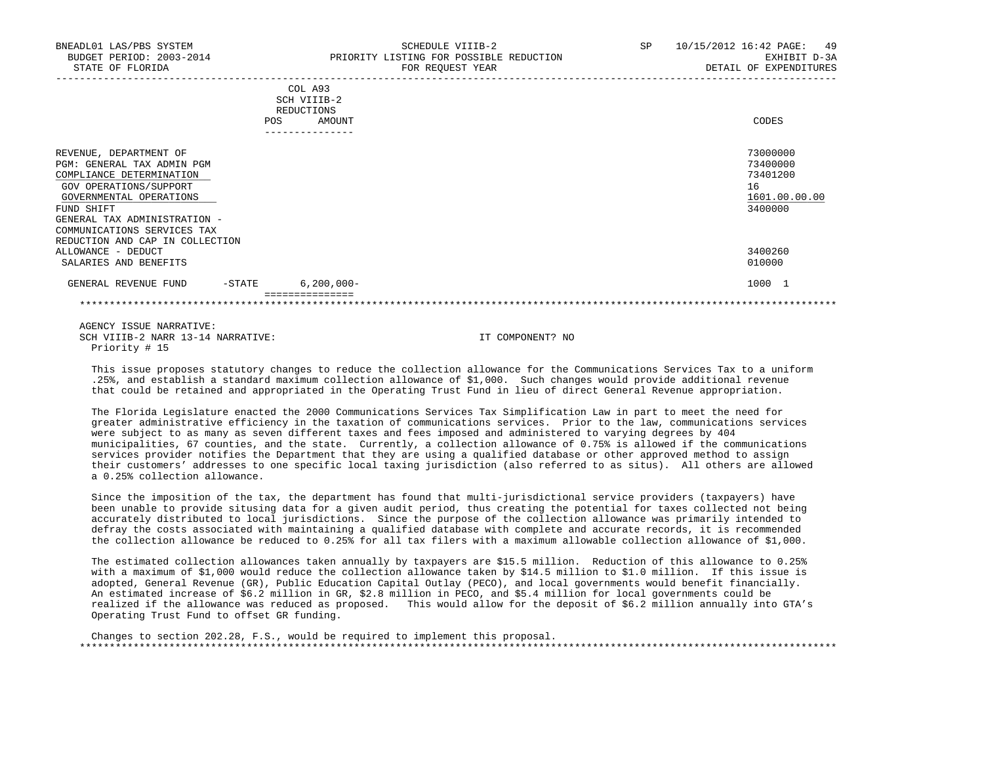| BNEADL01 LAS/PBS SYSTEM<br>BUDGET PERIOD: 2003-2014<br>STATE OF FLORIDA                                                                                                                                                                               | SCHEDULE VIIIB-2<br>PRIORITY LISTING FOR POSSIBLE REDUCTION<br>FOR REQUEST YEAR | SP | 10/15/2012 16:42 PAGE: 49<br>EXHIBIT D-3A<br>DETAIL OF EXPENDITURES |
|-------------------------------------------------------------------------------------------------------------------------------------------------------------------------------------------------------------------------------------------------------|---------------------------------------------------------------------------------|----|---------------------------------------------------------------------|
|                                                                                                                                                                                                                                                       | COL A93<br>SCH VIIIB-2<br>REDUCTIONS<br>POS<br>AMOUNT                           |    | CODES                                                               |
| REVENUE, DEPARTMENT OF<br>PGM: GENERAL TAX ADMIN PGM<br>COMPLIANCE DETERMINATION<br>GOV OPERATIONS/SUPPORT<br>GOVERNMENTAL OPERATIONS<br>FUND SHIFT<br>GENERAL TAX ADMINISTRATION -<br>COMMUNICATIONS SERVICES TAX<br>REDUCTION AND CAP IN COLLECTION |                                                                                 |    | 73000000<br>73400000<br>73401200<br>16<br>1601.00.00.00<br>3400000  |
| ALLOWANCE - DEDUCT<br>SALARIES AND BENEFITS                                                                                                                                                                                                           |                                                                                 |    | 3400260<br>010000                                                   |
| $-$ STATE<br>GENERAL REVENUE FUND                                                                                                                                                                                                                     | $6, 200, 000 -$<br>===============                                              |    | 1000 1                                                              |
|                                                                                                                                                                                                                                                       |                                                                                 |    |                                                                     |

 This issue proposes statutory changes to reduce the collection allowance for the Communications Services Tax to a uniform .25%, and establish a standard maximum collection allowance of \$1,000. Such changes would provide additional revenue that could be retained and appropriated in the Operating Trust Fund in lieu of direct General Revenue appropriation.

 The Florida Legislature enacted the 2000 Communications Services Tax Simplification Law in part to meet the need for greater administrative efficiency in the taxation of communications services. Prior to the law, communications services were subject to as many as seven different taxes and fees imposed and administered to varying degrees by 404 municipalities, 67 counties, and the state. Currently, a collection allowance of 0.75% is allowed if the communications services provider notifies the Department that they are using a qualified database or other approved method to assign their customers' addresses to one specific local taxing jurisdiction (also referred to as situs). All others are allowed a 0.25% collection allowance.

 Since the imposition of the tax, the department has found that multi-jurisdictional service providers (taxpayers) have been unable to provide situsing data for a given audit period, thus creating the potential for taxes collected not being accurately distributed to local jurisdictions. Since the purpose of the collection allowance was primarily intended to defray the costs associated with maintaining a qualified database with complete and accurate records, it is recommended the collection allowance be reduced to 0.25% for all tax filers with a maximum allowable collection allowance of \$1,000.

 The estimated collection allowances taken annually by taxpayers are \$15.5 million. Reduction of this allowance to 0.25% with a maximum of \$1,000 would reduce the collection allowance taken by \$14.5 million to \$1.0 million. If this issue is adopted, General Revenue (GR), Public Education Capital Outlay (PECO), and local governments would benefit financially. An estimated increase of \$6.2 million in GR, \$2.8 million in PECO, and \$5.4 million for local governments could be realized if the allowance was reduced as proposed. This would allow for the deposit of \$6.2 million annually into GTA's Operating Trust Fund to offset GR funding.

 Changes to section 202.28, F.S., would be required to implement this proposal. \*\*\*\*\*\*\*\*\*\*\*\*\*\*\*\*\*\*\*\*\*\*\*\*\*\*\*\*\*\*\*\*\*\*\*\*\*\*\*\*\*\*\*\*\*\*\*\*\*\*\*\*\*\*\*\*\*\*\*\*\*\*\*\*\*\*\*\*\*\*\*\*\*\*\*\*\*\*\*\*\*\*\*\*\*\*\*\*\*\*\*\*\*\*\*\*\*\*\*\*\*\*\*\*\*\*\*\*\*\*\*\*\*\*\*\*\*\*\*\*\*\*\*\*\*\*\*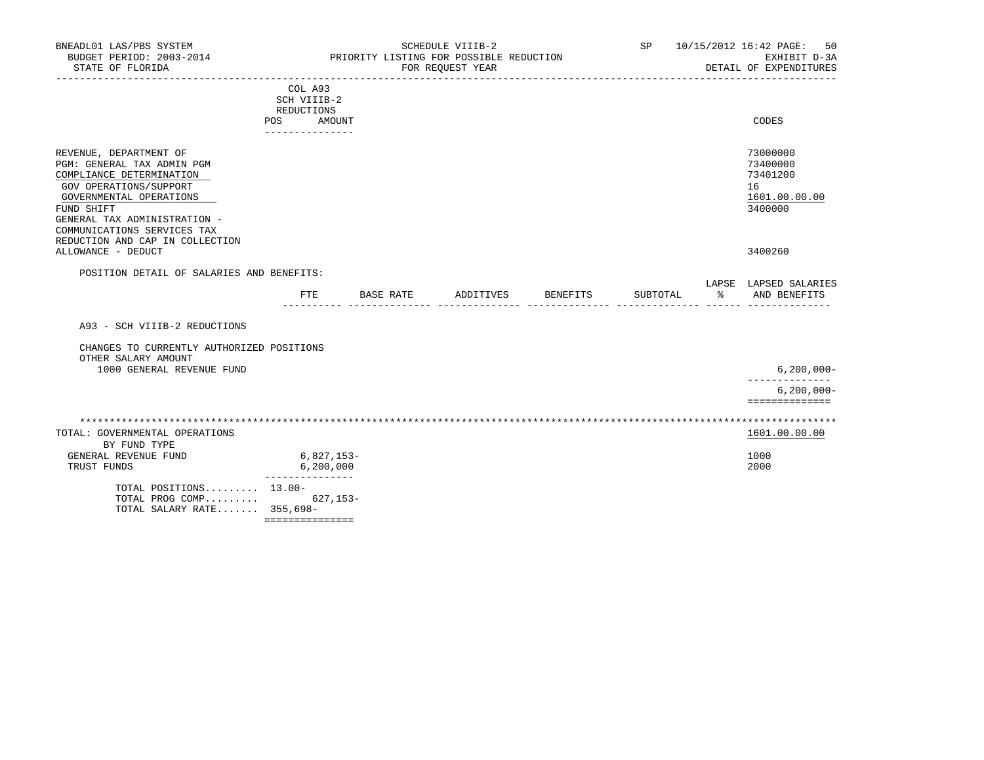| BNEADL01 LAS/PBS SYSTEM<br>BUDGET PERIOD: 2003-2014<br>STATE OF FLORIDA                                                                                                                                                                               |                                                                          |           | SCHEDULE VIIIB-2<br>PRIORITY LISTING FOR POSSIBLE REDUCTION<br>FOR REQUEST YEAR |          | SP       |    | 10/15/2012 16:42 PAGE:<br>50<br>EXHIBIT D-3A<br>DETAIL OF EXPENDITURES |
|-------------------------------------------------------------------------------------------------------------------------------------------------------------------------------------------------------------------------------------------------------|--------------------------------------------------------------------------|-----------|---------------------------------------------------------------------------------|----------|----------|----|------------------------------------------------------------------------|
|                                                                                                                                                                                                                                                       | COL A93<br>SCH VIIIB-2<br>REDUCTIONS<br>POS<br>AMOUNT<br>--------------- |           |                                                                                 |          |          |    | CODES                                                                  |
| REVENUE, DEPARTMENT OF<br>PGM: GENERAL TAX ADMIN PGM<br>COMPLIANCE DETERMINATION<br>GOV OPERATIONS/SUPPORT<br>GOVERNMENTAL OPERATIONS<br>FUND SHIFT<br>GENERAL TAX ADMINISTRATION -<br>COMMUNICATIONS SERVICES TAX<br>REDUCTION AND CAP IN COLLECTION |                                                                          |           |                                                                                 |          |          |    | 73000000<br>73400000<br>73401200<br>16<br>1601.00.00.00<br>3400000     |
| ALLOWANCE - DEDUCT                                                                                                                                                                                                                                    |                                                                          |           |                                                                                 |          |          |    | 3400260                                                                |
| POSITION DETAIL OF SALARIES AND BENEFITS:                                                                                                                                                                                                             |                                                                          |           |                                                                                 |          |          |    | LAPSE LAPSED SALARIES                                                  |
|                                                                                                                                                                                                                                                       | FTE                                                                      | BASE RATE | ADDITIVES                                                                       | BENEFITS | SUBTOTAL | ႜႜ | AND BENEFITS                                                           |
| A93 - SCH VIIIB-2 REDUCTIONS                                                                                                                                                                                                                          |                                                                          |           |                                                                                 |          |          |    |                                                                        |
| CHANGES TO CURRENTLY AUTHORIZED POSITIONS<br>OTHER SALARY AMOUNT<br>1000 GENERAL REVENUE FUND                                                                                                                                                         |                                                                          |           |                                                                                 |          |          |    | $6, 200, 000 -$                                                        |
|                                                                                                                                                                                                                                                       |                                                                          |           |                                                                                 |          |          |    | ---------------                                                        |
|                                                                                                                                                                                                                                                       |                                                                          |           |                                                                                 |          |          |    | $6, 200, 000 -$<br>==============                                      |
| TOTAL: GOVERNMENTAL OPERATIONS<br>BY FUND TYPE                                                                                                                                                                                                        |                                                                          |           |                                                                                 |          |          |    | 1601.00.00.00                                                          |
| GENERAL REVENUE FUND<br>TRUST FUNDS                                                                                                                                                                                                                   | $6,827,153-$<br>6, 200, 000<br>---------------                           |           |                                                                                 |          |          |    | 1000<br>2000                                                           |
| TOTAL POSITIONS 13.00-<br>TOTAL PROG COMP<br>TOTAL SALARY RATE 355,698-                                                                                                                                                                               | 627,153-<br>===============                                              |           |                                                                                 |          |          |    |                                                                        |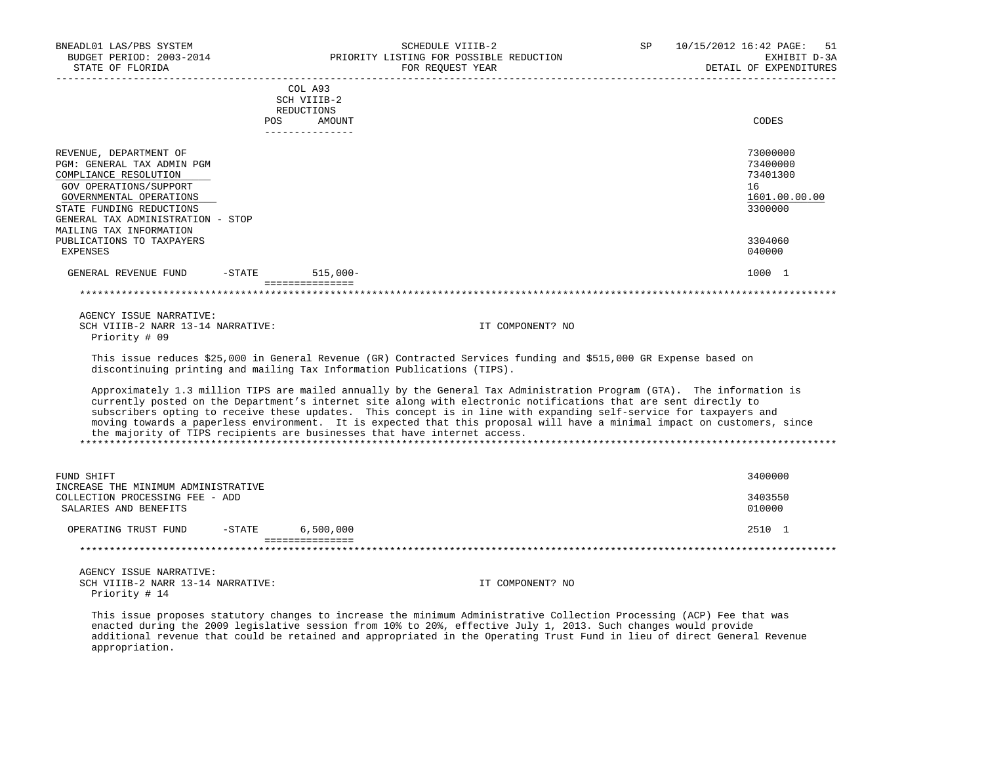| BNEADL01 LAS/PBS SYSTEM<br>BUDGET PERIOD: 2003-2014<br>STATE OF FLORIDA                                                                                                                             |                     | SCHEDULE VIIIB-2<br>PRIORITY LISTING FOR POSSIBLE REDUCTION<br>FOR REQUEST YEAR                                                                                                                                                                                                                                                                                                                                                                                                                                                                                           | SP.              | 10/15/2012 16:42 PAGE:<br>-51<br>EXHIBIT D-3A<br>DETAIL OF EXPENDITURES |
|-----------------------------------------------------------------------------------------------------------------------------------------------------------------------------------------------------|---------------------|---------------------------------------------------------------------------------------------------------------------------------------------------------------------------------------------------------------------------------------------------------------------------------------------------------------------------------------------------------------------------------------------------------------------------------------------------------------------------------------------------------------------------------------------------------------------------|------------------|-------------------------------------------------------------------------|
|                                                                                                                                                                                                     | REDUCTIONS          | COL A93<br>SCH VIIIB-2                                                                                                                                                                                                                                                                                                                                                                                                                                                                                                                                                    |                  |                                                                         |
|                                                                                                                                                                                                     | POS                 | AMOUNT<br>---------------                                                                                                                                                                                                                                                                                                                                                                                                                                                                                                                                                 |                  | CODES                                                                   |
| REVENUE, DEPARTMENT OF<br>PGM: GENERAL TAX ADMIN PGM<br>COMPLIANCE RESOLUTION<br>GOV OPERATIONS/SUPPORT<br>GOVERNMENTAL OPERATIONS<br>STATE FUNDING REDUCTIONS<br>GENERAL TAX ADMINISTRATION - STOP |                     |                                                                                                                                                                                                                                                                                                                                                                                                                                                                                                                                                                           |                  | 73000000<br>73400000<br>73401300<br>16<br>1601.00.00.00<br>3300000      |
| MAILING TAX INFORMATION<br>PUBLICATIONS TO TAXPAYERS<br><b>EXPENSES</b>                                                                                                                             |                     |                                                                                                                                                                                                                                                                                                                                                                                                                                                                                                                                                                           |                  | 3304060<br>040000                                                       |
| GENERAL REVENUE FUND                                                                                                                                                                                | $-$ STATE 515,000 - |                                                                                                                                                                                                                                                                                                                                                                                                                                                                                                                                                                           |                  | 1000 1                                                                  |
|                                                                                                                                                                                                     |                     | ===============                                                                                                                                                                                                                                                                                                                                                                                                                                                                                                                                                           |                  |                                                                         |
| AGENCY ISSUE NARRATIVE:<br>SCH VIIIB-2 NARR 13-14 NARRATIVE:<br>Priority # 09                                                                                                                       |                     |                                                                                                                                                                                                                                                                                                                                                                                                                                                                                                                                                                           | IT COMPONENT? NO |                                                                         |
|                                                                                                                                                                                                     |                     | This issue reduces \$25,000 in General Revenue (GR) Contracted Services funding and \$515,000 GR Expense based on<br>discontinuing printing and mailing Tax Information Publications (TIPS).                                                                                                                                                                                                                                                                                                                                                                              |                  |                                                                         |
|                                                                                                                                                                                                     |                     | Approximately 1.3 million TIPS are mailed annually by the General Tax Administration Program (GTA). The information is<br>currently posted on the Department's internet site along with electronic notifications that are sent directly to<br>subscribers opting to receive these updates. This concept is in line with expanding self-service for taxpayers and<br>moving towards a paperless environment. It is expected that this proposal will have a minimal impact on customers, since<br>the majority of TIPS recipients are businesses that have internet access. |                  |                                                                         |
| FUND SHIFT<br>INCREASE THE MINIMUM ADMINISTRATIVE                                                                                                                                                   |                     |                                                                                                                                                                                                                                                                                                                                                                                                                                                                                                                                                                           |                  | 3400000                                                                 |
| COLLECTION PROCESSING FEE - ADD<br>SALARIES AND BENEFITS                                                                                                                                            |                     |                                                                                                                                                                                                                                                                                                                                                                                                                                                                                                                                                                           |                  | 3403550<br>010000                                                       |
| OPERATING TRUST FUND                                                                                                                                                                                | $-$ STATE           | 6,500,000                                                                                                                                                                                                                                                                                                                                                                                                                                                                                                                                                                 |                  | 2510 1                                                                  |
|                                                                                                                                                                                                     |                     | ===============                                                                                                                                                                                                                                                                                                                                                                                                                                                                                                                                                           |                  |                                                                         |
| AGENCY ISSUE NARRATIVE:<br>SCH VIIIB-2 NARR 13-14 NARRATIVE:<br>Priority # 14                                                                                                                       |                     |                                                                                                                                                                                                                                                                                                                                                                                                                                                                                                                                                                           | IT COMPONENT? NO |                                                                         |
|                                                                                                                                                                                                     |                     | This issue proposes statutory changes to increase the minimum Administrative Collection Processing (ACP) Fee that was<br>enacted during the 2009 legislative session from 10% to 20%, effective July 1, 2013. Such changes would provide                                                                                                                                                                                                                                                                                                                                  |                  |                                                                         |

 additional revenue that could be retained and appropriated in the Operating Trust Fund in lieu of direct General Revenue appropriation.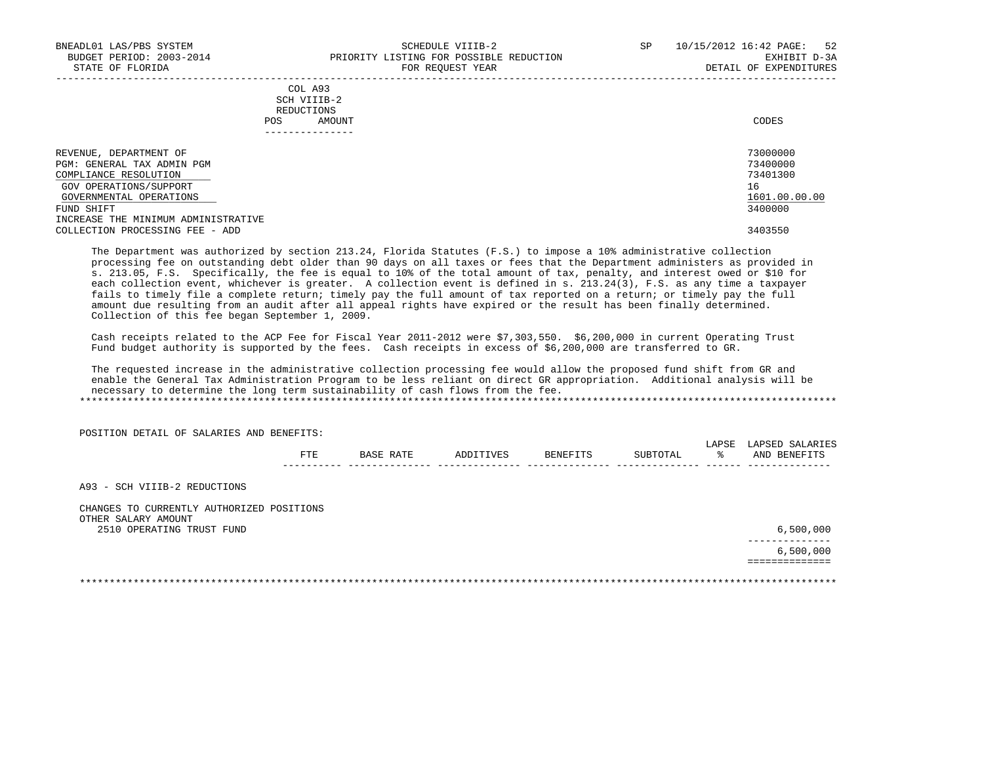|            | COL A93     |       |
|------------|-------------|-------|
|            | SCH VIIIB-2 |       |
| REDUCTIONS |             |       |
| POS        | AMOUNT      | CODES |

| REVENUE, DEPARTMENT OF              | 73000000      |
|-------------------------------------|---------------|
| PGM: GENERAL TAX ADMIN PGM          | 73400000      |
| COMPLIANCE RESOLUTION               | 73401300      |
| GOV OPERATIONS/SUPPORT              | 16            |
| GOVERNMENTAL OPERATIONS             | 1601.00.00.00 |
| FUND SHIFT                          | 3400000       |
| INCREASE THE MINIMUM ADMINISTRATIVE |               |
| COLLECTION PROCESSING FEE - ADD     | 3403550       |

-----------------------------------------------------------------------------------------------------------------------------------

 The Department was authorized by section 213.24, Florida Statutes (F.S.) to impose a 10% administrative collection processing fee on outstanding debt older than 90 days on all taxes or fees that the Department administers as provided in s. 213.05, F.S. Specifically, the fee is equal to 10% of the total amount of tax, penalty, and interest owed or \$10 for each collection event, whichever is greater. A collection event is defined in s. 213.24(3), F.S. as any time a taxpayer fails to timely file a complete return; timely pay the full amount of tax reported on a return; or timely pay the full amount due resulting from an audit after all appeal rights have expired or the result has been finally determined. Collection of this fee began September 1, 2009.

 Cash receipts related to the ACP Fee for Fiscal Year 2011-2012 were \$7,303,550. \$6,200,000 in current Operating Trust Fund budget authority is supported by the fees. Cash receipts in excess of \$6,200,000 are transferred to GR.

 The requested increase in the administrative collection processing fee would allow the proposed fund shift from GR and enable the General Tax Administration Program to be less reliant on direct GR appropriation. Additional analysis will be necessary to determine the long term sustainability of cash flows from the fee. \*\*\*\*\*\*\*\*\*\*\*\*\*\*\*\*\*\*\*\*\*\*\*\*\*\*\*\*\*\*\*\*\*\*\*\*\*\*\*\*\*\*\*\*\*\*\*\*\*\*\*\*\*\*\*\*\*\*\*\*\*\*\*\*\*\*\*\*\*\*\*\*\*\*\*\*\*\*\*\*\*\*\*\*\*\*\*\*\*\*\*\*\*\*\*\*\*\*\*\*\*\*\*\*\*\*\*\*\*\*\*\*\*\*\*\*\*\*\*\*\*\*\*\*\*\*\*

POSITION DETAIL OF SALARIES AND BENEFITS:

|     |           |          |                 | $\pi$ $\pi$<br>Yor<br>ىد عالم | A P.S.E.D<br>''ARIES |
|-----|-----------|----------|-----------------|-------------------------------|----------------------|
| FTE | TVE:<br>. | BENEFITS | <b>TUBTOTAL</b> |                               | AND<br><b>BENEF</b>  |
|     |           |          |                 |                               |                      |

A93 - SCH VIIIB-2 REDUCTIONS

 CHANGES TO CURRENTLY AUTHORIZED POSITIONS OTHER SALARY AMOUNT 2510 OPERATING TRUST FUND 6,500,000

 --------------  $6\,,500\,,000$ 

==============

\*\*\*\*\*\*\*\*\*\*\*\*\*\*\*\*\*\*\*\*\*\*\*\*\*\*\*\*\*\*\*\*\*\*\*\*\*\*\*\*\*\*\*\*\*\*\*\*\*\*\*\*\*\*\*\*\*\*\*\*\*\*\*\*\*\*\*\*\*\*\*\*\*\*\*\*\*\*\*\*\*\*\*\*\*\*\*\*\*\*\*\*\*\*\*\*\*\*\*\*\*\*\*\*\*\*\*\*\*\*\*\*\*\*\*\*\*\*\*\*\*\*\*\*\*\*\*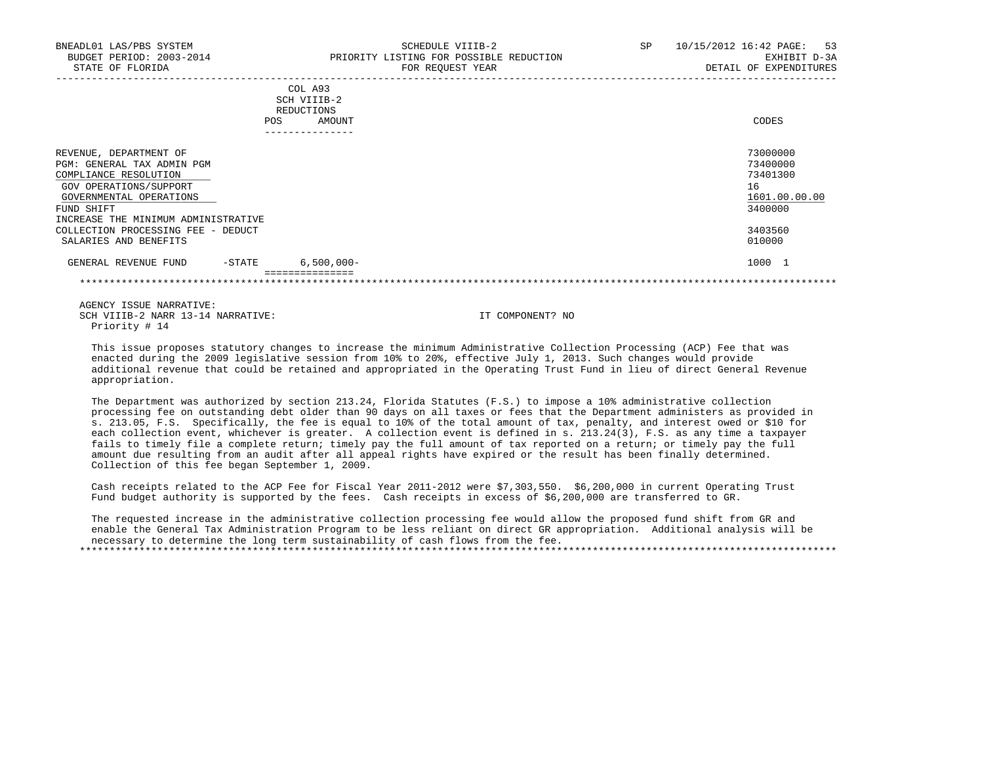| BNEADL01 LAS/PBS SYSTEM<br>BUDGET PERIOD: 2003-2014                                                     | SCHEDULE VIIIB-2<br>PRIORITY LISTING FOR POSSIBLE REDUCTION | 10/15/2012 16:42 PAGE:<br>53<br>SP<br>EXHIBIT D-3A |
|---------------------------------------------------------------------------------------------------------|-------------------------------------------------------------|----------------------------------------------------|
| STATE OF FLORIDA                                                                                        | FOR REQUEST YEAR                                            | DETAIL OF EXPENDITURES                             |
|                                                                                                         | COL A93<br>SCH VIIIB-2<br>REDUCTIONS<br>AMOUNT<br>POS.      | CODES                                              |
| REVENUE, DEPARTMENT OF<br>PGM: GENERAL TAX ADMIN PGM<br>COMPLIANCE RESOLUTION<br>GOV OPERATIONS/SUPPORT |                                                             | 73000000<br>73400000<br>73401300<br>16             |

 $\frac{\rm GOVERMEMTAL~OPERATIONS} {\rm 1601.00.00}$  and  $\frac{\rm 1601.00.000} {\rm 3400000}$  FUND SHIFT 3400000 INCREASE THE MINIMUM ADMINISTRATIVE COLLECTION PROCESSING FEE - DEDUCT 3403560 SALARIES AND BENEFITS

GENERAL REVENUE FUND -STATE 6,500,000- 1000 1 and the state of the state of the state of the state of the state of the state of the state of the state of the state of the state of the state of the state of the state of the ===============

\*\*\*\*\*\*\*\*\*\*\*\*\*\*\*\*\*\*\*\*\*\*\*\*\*\*\*\*\*\*\*\*\*\*\*\*\*\*\*\*\*\*\*\*\*\*\*\*\*\*\*\*\*\*\*\*\*\*\*\*\*\*\*\*\*\*\*\*\*\*\*\*\*\*\*\*\*\*\*\*\*\*\*\*\*\*\*\*\*\*\*\*\*\*\*\*\*\*\*\*\*\*\*\*\*\*\*\*\*\*\*\*\*\*\*\*\*\*\*\*\*\*\*\*\*\*\*

 AGENCY ISSUE NARRATIVE: SCH VIIIB-2 NARR 13-14 NARRATIVE: IT COMPONENT? NO Priority # 14

 This issue proposes statutory changes to increase the minimum Administrative Collection Processing (ACP) Fee that was enacted during the 2009 legislative session from 10% to 20%, effective July 1, 2013. Such changes would provide additional revenue that could be retained and appropriated in the Operating Trust Fund in lieu of direct General Revenue appropriation.

 The Department was authorized by section 213.24, Florida Statutes (F.S.) to impose a 10% administrative collection processing fee on outstanding debt older than 90 days on all taxes or fees that the Department administers as provided in s. 213.05, F.S. Specifically, the fee is equal to 10% of the total amount of tax, penalty, and interest owed or \$10 for each collection event, whichever is greater. A collection event is defined in s. 213.24(3), F.S. as any time a taxpayer fails to timely file a complete return; timely pay the full amount of tax reported on a return; or timely pay the full amount due resulting from an audit after all appeal rights have expired or the result has been finally determined. Collection of this fee began September 1, 2009.

 Cash receipts related to the ACP Fee for Fiscal Year 2011-2012 were \$7,303,550. \$6,200,000 in current Operating Trust Fund budget authority is supported by the fees. Cash receipts in excess of \$6,200,000 are transferred to GR.

 The requested increase in the administrative collection processing fee would allow the proposed fund shift from GR and enable the General Tax Administration Program to be less reliant on direct GR appropriation. Additional analysis will be necessary to determine the long term sustainability of cash flows from the fee.

\*\*\*\*\*\*\*\*\*\*\*\*\*\*\*\*\*\*\*\*\*\*\*\*\*\*\*\*\*\*\*\*\*\*\*\*\*\*\*\*\*\*\*\*\*\*\*\*\*\*\*\*\*\*\*\*\*\*\*\*\*\*\*\*\*\*\*\*\*\*\*\*\*\*\*\*\*\*\*\*\*\*\*\*\*\*\*\*\*\*\*\*\*\*\*\*\*\*\*\*\*\*\*\*\*\*\*\*\*\*\*\*\*\*\*\*\*\*\*\*\*\*\*\*\*\*\*